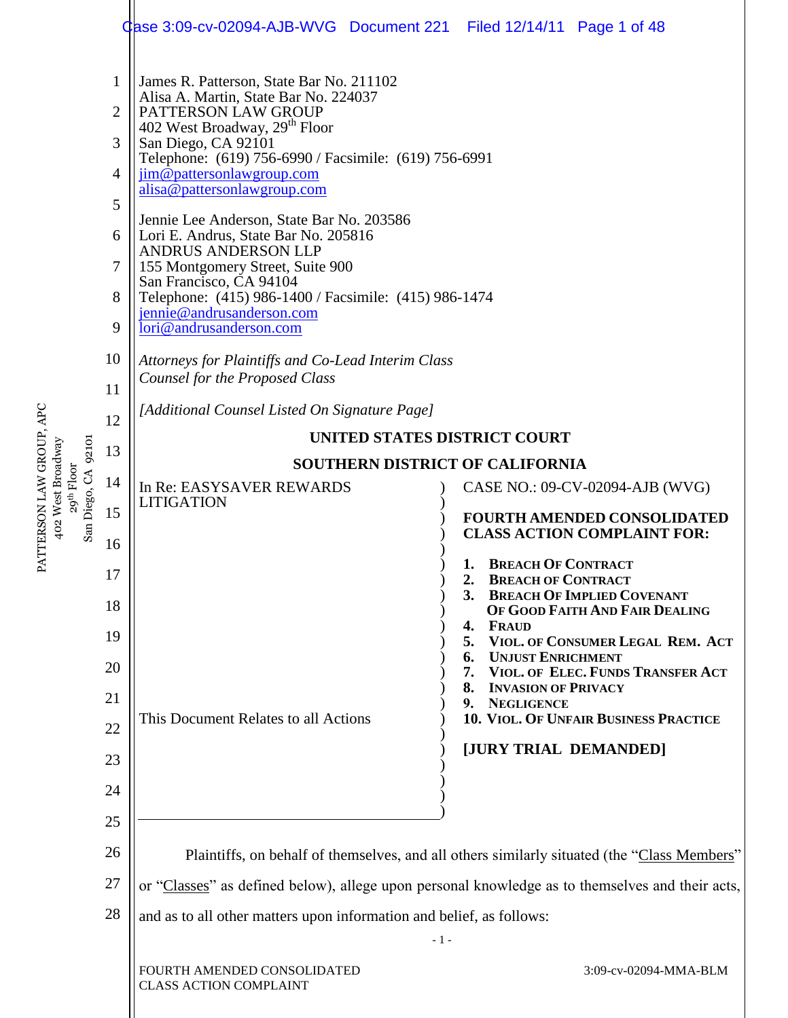|                                                      |                | Case 3:09-cv-02094-AJB-WVG Document 221 Filed 12/14/11 Page 1 of 48                                                                                                                                                     |  |                                                                                                 |  |  |  |  |  |  |
|------------------------------------------------------|----------------|-------------------------------------------------------------------------------------------------------------------------------------------------------------------------------------------------------------------------|--|-------------------------------------------------------------------------------------------------|--|--|--|--|--|--|
|                                                      | 1              | James R. Patterson, State Bar No. 211102<br>Alisa A. Martin, State Bar No. 224037                                                                                                                                       |  |                                                                                                 |  |  |  |  |  |  |
|                                                      | $\overline{2}$ | PATTERSON LAW GROUP<br>402 West Broadway, 29 <sup>th</sup> Floor                                                                                                                                                        |  |                                                                                                 |  |  |  |  |  |  |
|                                                      | 3              | San Diego, CA 92101<br>Telephone: (619) 756-6990 / Facsimile: (619) 756-6991                                                                                                                                            |  |                                                                                                 |  |  |  |  |  |  |
|                                                      | $\overline{4}$ | jim@pattersonlawgroup.com<br>alisa@pattersonlawgroup.com                                                                                                                                                                |  |                                                                                                 |  |  |  |  |  |  |
|                                                      | 5              | Jennie Lee Anderson, State Bar No. 203586                                                                                                                                                                               |  |                                                                                                 |  |  |  |  |  |  |
|                                                      | 6              | Lori E. Andrus, State Bar No. 205816<br><b>ANDRUS ANDERSON LLP</b><br>155 Montgomery Street, Suite 900<br>San Francisco, CA 94104<br>Telephone: (415) 986-1400 / Facsimile: (415) 986-1474<br>jennie@andrusanderson.com |  |                                                                                                 |  |  |  |  |  |  |
|                                                      | 7              |                                                                                                                                                                                                                         |  |                                                                                                 |  |  |  |  |  |  |
|                                                      | 8              |                                                                                                                                                                                                                         |  |                                                                                                 |  |  |  |  |  |  |
|                                                      | 9              | lori@andrusanderson.com<br>Attorneys for Plaintiffs and Co-Lead Interim Class<br>Counsel for the Proposed Class                                                                                                         |  |                                                                                                 |  |  |  |  |  |  |
|                                                      | 10             |                                                                                                                                                                                                                         |  |                                                                                                 |  |  |  |  |  |  |
|                                                      | 11             | [Additional Counsel Listed On Signature Page]                                                                                                                                                                           |  |                                                                                                 |  |  |  |  |  |  |
|                                                      | 12             | UNITED STATES DISTRICT COURT                                                                                                                                                                                            |  |                                                                                                 |  |  |  |  |  |  |
| 92101                                                | 13             | <b>SOUTHERN DISTRICT OF CALIFORNIA</b>                                                                                                                                                                                  |  |                                                                                                 |  |  |  |  |  |  |
| 29 <sup>th</sup> Floor<br>Diego, CA                  | 14             | In Re: EASYSAVER REWARDS                                                                                                                                                                                                |  | CASE NO.: 09-CV-02094-AJB (WVG)                                                                 |  |  |  |  |  |  |
| PATTERSON LAW GROUP, APC<br>402 West Broadway<br>San | 15             | <b>LITIGATION</b>                                                                                                                                                                                                       |  | <b>FOURTH AMENDED CONSOLIDATED</b><br><b>CLASS ACTION COMPLAINT FOR:</b>                        |  |  |  |  |  |  |
|                                                      | 16             |                                                                                                                                                                                                                         |  |                                                                                                 |  |  |  |  |  |  |
|                                                      | 17             |                                                                                                                                                                                                                         |  | 1. BREACH OF CONTRACT<br>2.<br><b>BREACH OF CONTRACT</b>                                        |  |  |  |  |  |  |
|                                                      | 18             |                                                                                                                                                                                                                         |  | 3.<br><b>BREACH OF IMPLIED COVENANT</b><br>OF GOOD FAITH AND FAIR DEALING                       |  |  |  |  |  |  |
|                                                      | 19             |                                                                                                                                                                                                                         |  | <b>FRAUD</b><br>4.<br>VIOL. OF CONSUMER LEGAL REM. ACT<br>5.                                    |  |  |  |  |  |  |
|                                                      | 20             |                                                                                                                                                                                                                         |  | <b>UNJUST ENRICHMENT</b><br>6.<br>VIOL. OF ELEC. FUNDS TRANSFER ACT<br>7.                       |  |  |  |  |  |  |
|                                                      | 21             |                                                                                                                                                                                                                         |  | 8.<br><b>INVASION OF PRIVACY</b><br>9.<br><b>NEGLIGENCE</b>                                     |  |  |  |  |  |  |
|                                                      | 22             | This Document Relates to all Actions                                                                                                                                                                                    |  | 10. VIOL. OF UNFAIR BUSINESS PRACTICE                                                           |  |  |  |  |  |  |
|                                                      | 23             |                                                                                                                                                                                                                         |  | [JURY TRIAL DEMANDED]                                                                           |  |  |  |  |  |  |
|                                                      | 24             |                                                                                                                                                                                                                         |  |                                                                                                 |  |  |  |  |  |  |
|                                                      | 25             |                                                                                                                                                                                                                         |  |                                                                                                 |  |  |  |  |  |  |
|                                                      | 26             |                                                                                                                                                                                                                         |  | Plaintiffs, on behalf of themselves, and all others similarly situated (the "Class Members"     |  |  |  |  |  |  |
|                                                      | 27             |                                                                                                                                                                                                                         |  | or "Classes" as defined below), allege upon personal knowledge as to themselves and their acts, |  |  |  |  |  |  |
|                                                      | 28             | and as to all other matters upon information and belief, as follows:                                                                                                                                                    |  |                                                                                                 |  |  |  |  |  |  |
|                                                      |                | $-1-$                                                                                                                                                                                                                   |  |                                                                                                 |  |  |  |  |  |  |
|                                                      |                | FOURTH AMENDED CONSOLIDATED<br><b>CLASS ACTION COMPLAINT</b>                                                                                                                                                            |  | 3:09-cv-02094-MMA-BLM                                                                           |  |  |  |  |  |  |

 $\mathbb{I}$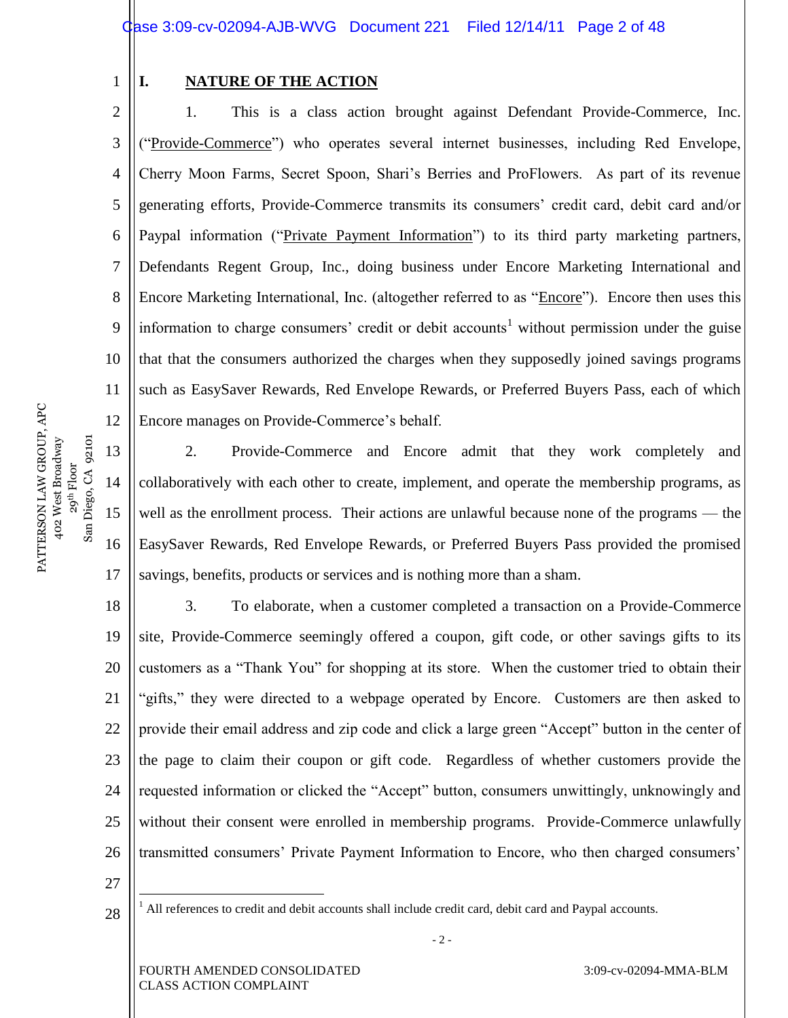Case 3:09-cv-02094-AJB-WVG Document 221 Filed 12/14/11 Page 2 of 48

1

#### **I. NATURE OF THE ACTION**

2 3 4 5 6 7 8 9 10 11 12 1. This is a class action brought against Defendant Provide-Commerce, Inc. (―Provide-Commerce‖) who operates several internet businesses, including Red Envelope, Cherry Moon Farms, Secret Spoon, Shari's Berries and ProFlowers. As part of its revenue generating efforts, Provide-Commerce transmits its consumers' credit card, debit card and/or Paypal information ("Private Payment Information") to its third party marketing partners, Defendants Regent Group, Inc., doing business under Encore Marketing International and Encore Marketing International, Inc. (altogether referred to as "Encore"). Encore then uses this information to charge consumers' credit or debit accounts<sup>1</sup> without permission under the guise that that the consumers authorized the charges when they supposedly joined savings programs such as EasySaver Rewards, Red Envelope Rewards, or Preferred Buyers Pass, each of which Encore manages on Provide-Commerce's behalf.

2. Provide-Commerce and Encore admit that they work completely and collaboratively with each other to create, implement, and operate the membership programs, as well as the enrollment process. Their actions are unlawful because none of the programs — the EasySaver Rewards, Red Envelope Rewards, or Preferred Buyers Pass provided the promised savings, benefits, products or services and is nothing more than a sham.

18 19 20 21 22 23 24 25 26 3. To elaborate, when a customer completed a transaction on a Provide-Commerce site, Provide-Commerce seemingly offered a coupon, gift code, or other savings gifts to its customers as a "Thank You" for shopping at its store. When the customer tried to obtain their "gifts," they were directed to a webpage operated by Encore. Customers are then asked to provide their email address and zip code and click a large green "Accept" button in the center of the page to claim their coupon or gift code. Regardless of whether customers provide the requested information or clicked the "Accept" button, consumers unwittingly, unknowingly and without their consent were enrolled in membership programs. Provide-Commerce unlawfully transmitted consumers' Private Payment Information to Encore, who then charged consumers'

27

 $\overline{a}$ 

28

<sup>1</sup> All references to credit and debit accounts shall include credit card, debit card and Paypal accounts.

 $-2-$ 

13

14

San Diego, CA 92101

 $San$ 

15

16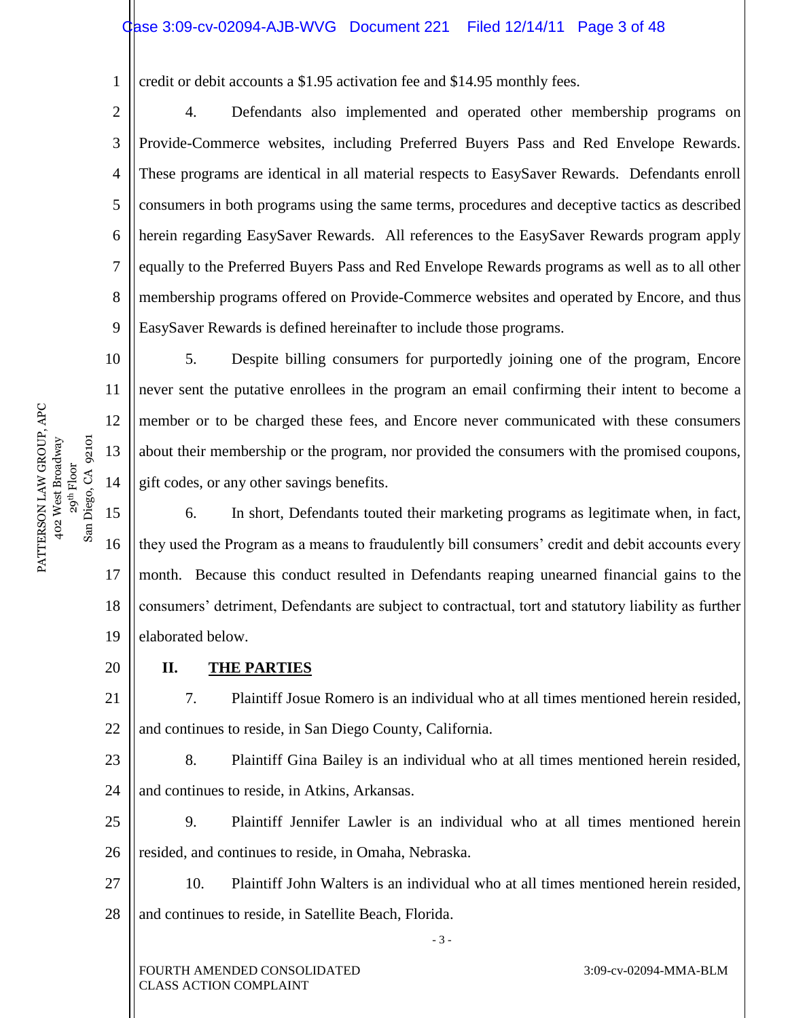### Case 3:09-cv-02094-AJB-WVG Document 221 Filed 12/14/11 Page 3 of 48

1 credit or debit accounts a \$1.95 activation fee and \$14.95 monthly fees.

2 3 4 5 6 7 8 9 4. Defendants also implemented and operated other membership programs on Provide-Commerce websites, including Preferred Buyers Pass and Red Envelope Rewards. These programs are identical in all material respects to EasySaver Rewards. Defendants enroll consumers in both programs using the same terms, procedures and deceptive tactics as described herein regarding EasySaver Rewards. All references to the EasySaver Rewards program apply equally to the Preferred Buyers Pass and Red Envelope Rewards programs as well as to all other membership programs offered on Provide-Commerce websites and operated by Encore, and thus EasySaver Rewards is defined hereinafter to include those programs.

PATTERSON LAW GROUP, APC PATTERSON LAW GROUP, APC 402 West Broadway 29<sup>th</sup> Floor<br>Diego, CA 92101 San Diego, CA 92101 402 West Broadway  $S$ an

10

11

12

13

14

5. Despite billing consumers for purportedly joining one of the program, Encore never sent the putative enrollees in the program an email confirming their intent to become a member or to be charged these fees, and Encore never communicated with these consumers about their membership or the program, nor provided the consumers with the promised coupons, gift codes, or any other savings benefits.

15 16 17 18 19 6. In short, Defendants touted their marketing programs as legitimate when, in fact, they used the Program as a means to fraudulently bill consumers' credit and debit accounts every month. Because this conduct resulted in Defendants reaping unearned financial gains to the consumers' detriment, Defendants are subject to contractual, tort and statutory liability as further elaborated below.

20 **II. THE PARTIES**

21 22 7. Plaintiff Josue Romero is an individual who at all times mentioned herein resided, and continues to reside, in San Diego County, California.

23 24 8. Plaintiff Gina Bailey is an individual who at all times mentioned herein resided, and continues to reside, in Atkins, Arkansas.

25 26 9. Plaintiff Jennifer Lawler is an individual who at all times mentioned herein resided, and continues to reside, in Omaha, Nebraska.

27 28 10. Plaintiff John Walters is an individual who at all times mentioned herein resided, and continues to reside, in Satellite Beach, Florida.

- 3 -

FOURTH AMENDED CONSOLIDATED CLASS ACTION COMPLAINT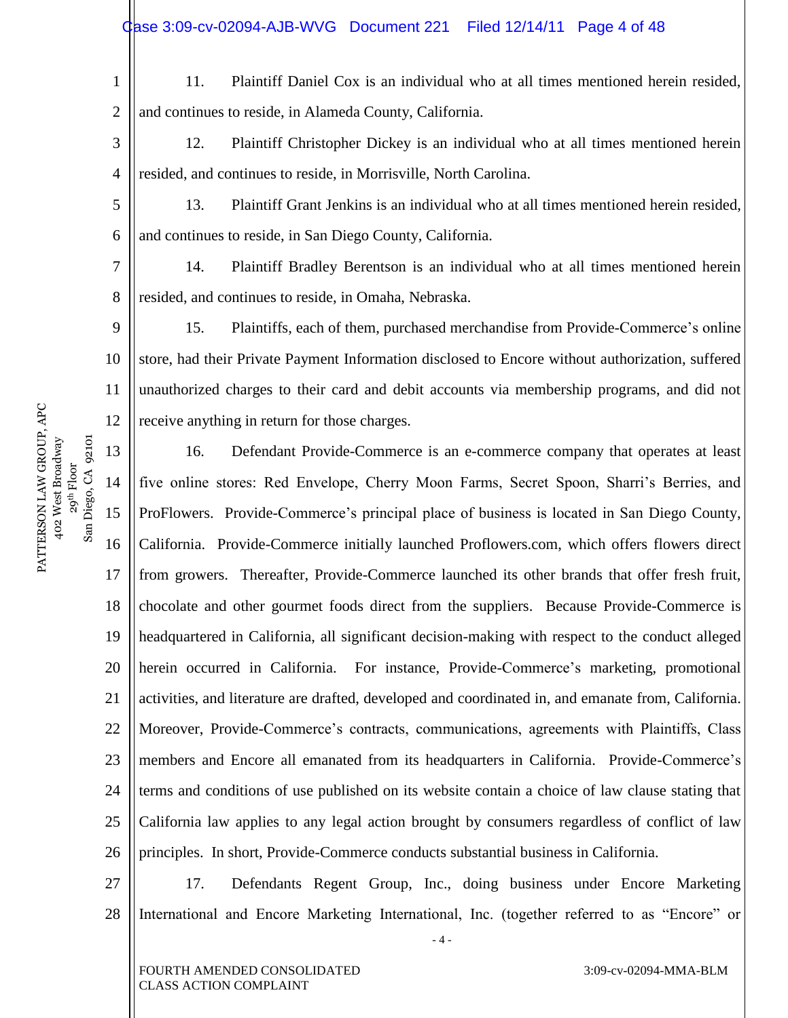1 2 11. Plaintiff Daniel Cox is an individual who at all times mentioned herein resided, and continues to reside, in Alameda County, California.

3 4 12. Plaintiff Christopher Dickey is an individual who at all times mentioned herein resided, and continues to reside, in Morrisville, North Carolina.

5 6 13. Plaintiff Grant Jenkins is an individual who at all times mentioned herein resided, and continues to reside, in San Diego County, California.

7 8 14. Plaintiff Bradley Berentson is an individual who at all times mentioned herein resided, and continues to reside, in Omaha, Nebraska.

9 10 11 12 15. Plaintiffs, each of them, purchased merchandise from Provide-Commerce's online store, had their Private Payment Information disclosed to Encore without authorization, suffered unauthorized charges to their card and debit accounts via membership programs, and did not receive anything in return for those charges.

13 14 15 16 17 18 19 20 21 22 23 24 25 26 16. Defendant Provide-Commerce is an e-commerce company that operates at least five online stores: Red Envelope, Cherry Moon Farms, Secret Spoon, Sharri's Berries, and ProFlowers. Provide-Commerce's principal place of business is located in San Diego County, California. Provide-Commerce initially launched Proflowers.com, which offers flowers direct from growers. Thereafter, Provide-Commerce launched its other brands that offer fresh fruit, chocolate and other gourmet foods direct from the suppliers. Because Provide-Commerce is headquartered in California, all significant decision-making with respect to the conduct alleged herein occurred in California. For instance, Provide-Commerce's marketing, promotional activities, and literature are drafted, developed and coordinated in, and emanate from, California. Moreover, Provide-Commerce's contracts, communications, agreements with Plaintiffs, Class members and Encore all emanated from its headquarters in California. Provide-Commerce's terms and conditions of use published on its website contain a choice of law clause stating that California law applies to any legal action brought by consumers regardless of conflict of law principles. In short, Provide-Commerce conducts substantial business in California.

27 28 17. Defendants Regent Group, Inc., doing business under Encore Marketing International and Encore Marketing International, Inc. (together referred to as "Encore" or

- 4 -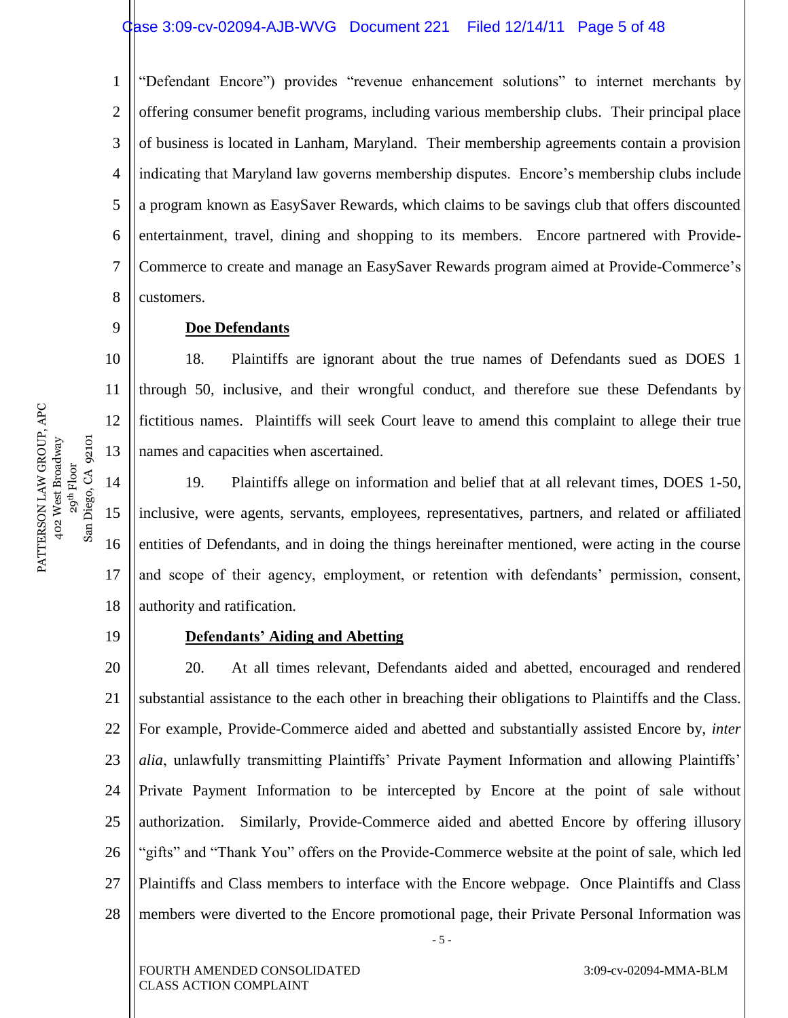1 2 3 4 5 6 7 8 "Defendant Encore") provides "revenue enhancement solutions" to internet merchants by offering consumer benefit programs, including various membership clubs. Their principal place of business is located in Lanham, Maryland. Their membership agreements contain a provision indicating that Maryland law governs membership disputes. Encore's membership clubs include a program known as EasySaver Rewards, which claims to be savings club that offers discounted entertainment, travel, dining and shopping to its members. Encore partnered with Provide-Commerce to create and manage an EasySaver Rewards program aimed at Provide-Commerce's customers.

**Doe Defendants**

18. Plaintiffs are ignorant about the true names of Defendants sued as DOES 1 through 50, inclusive, and their wrongful conduct, and therefore sue these Defendants by fictitious names. Plaintiffs will seek Court leave to amend this complaint to allege their true names and capacities when ascertained.

15 16 18 19. Plaintiffs allege on information and belief that at all relevant times, DOES 1-50, inclusive, were agents, servants, employees, representatives, partners, and related or affiliated entities of Defendants, and in doing the things hereinafter mentioned, were acting in the course and scope of their agency, employment, or retention with defendants' permission, consent, authority and ratification.

19

17

 $San$ 

9

10

11

12

13

14

PATTERSON LAW GROUP, APC 402 West Broadway 29<sup>th</sup> Floor<br>Diego, CA 92101 San Diego, CA 92101

PATTERSON LAW GROUP, APC 402 West Broadway

#### **Defendants' Aiding and Abetting**

20 21 22 23 24 25 26 27 28 20. At all times relevant, Defendants aided and abetted, encouraged and rendered substantial assistance to the each other in breaching their obligations to Plaintiffs and the Class. For example, Provide-Commerce aided and abetted and substantially assisted Encore by, *inter alia*, unlawfully transmitting Plaintiffs' Private Payment Information and allowing Plaintiffs' Private Payment Information to be intercepted by Encore at the point of sale without authorization. Similarly, Provide-Commerce aided and abetted Encore by offering illusory "gifts" and "Thank You" offers on the Provide-Commerce website at the point of sale, which led Plaintiffs and Class members to interface with the Encore webpage. Once Plaintiffs and Class members were diverted to the Encore promotional page, their Private Personal Information was

- 5 -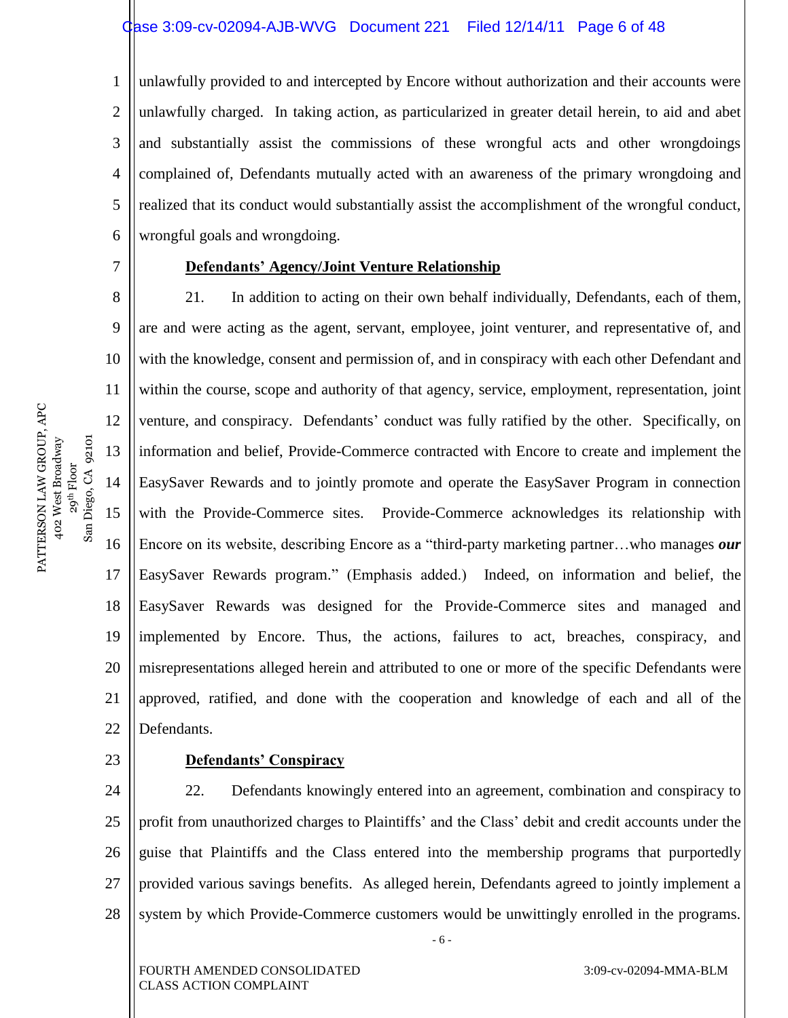1 2 3 4 5 6 unlawfully provided to and intercepted by Encore without authorization and their accounts were unlawfully charged. In taking action, as particularized in greater detail herein, to aid and abet and substantially assist the commissions of these wrongful acts and other wrongdoings complained of, Defendants mutually acted with an awareness of the primary wrongdoing and realized that its conduct would substantially assist the accomplishment of the wrongful conduct, wrongful goals and wrongdoing.

#### **Defendants' Agency/Joint Venture Relationship**

8 9 10 11 12 13 14 15 16 17 18 19 20 21 22 21. In addition to acting on their own behalf individually, Defendants, each of them, are and were acting as the agent, servant, employee, joint venturer, and representative of, and with the knowledge, consent and permission of, and in conspiracy with each other Defendant and within the course, scope and authority of that agency, service, employment, representation, joint venture, and conspiracy. Defendants' conduct was fully ratified by the other. Specifically, on information and belief, Provide-Commerce contracted with Encore to create and implement the EasySaver Rewards and to jointly promote and operate the EasySaver Program in connection with the Provide-Commerce sites. Provide-Commerce acknowledges its relationship with Encore on its website, describing Encore as a "third-party marketing partner...who manages *our* EasySaver Rewards program.‖ (Emphasis added.) Indeed, on information and belief, the EasySaver Rewards was designed for the Provide-Commerce sites and managed and implemented by Encore. Thus, the actions, failures to act, breaches, conspiracy, and misrepresentations alleged herein and attributed to one or more of the specific Defendants were approved, ratified, and done with the cooperation and knowledge of each and all of the Defendants.

23

#### **Defendants' Conspiracy**

24 25 26 27 28 22. Defendants knowingly entered into an agreement, combination and conspiracy to profit from unauthorized charges to Plaintiffs' and the Class' debit and credit accounts under the guise that Plaintiffs and the Class entered into the membership programs that purportedly provided various savings benefits. As alleged herein, Defendants agreed to jointly implement a system by which Provide-Commerce customers would be unwittingly enrolled in the programs.

- 6 -

FOURTH AMENDED CONSOLIDATED CLASS ACTION COMPLAINT

3:09-cv-02094-MMA-BLM

PATTERSON LAW GROUP, APC PATTERSON LAW GROUP, APC 29<sup>th</sup> Floor<br>San Diego, CA 92101 402 West Broadway San Diego, CA 92101 402 West Broadway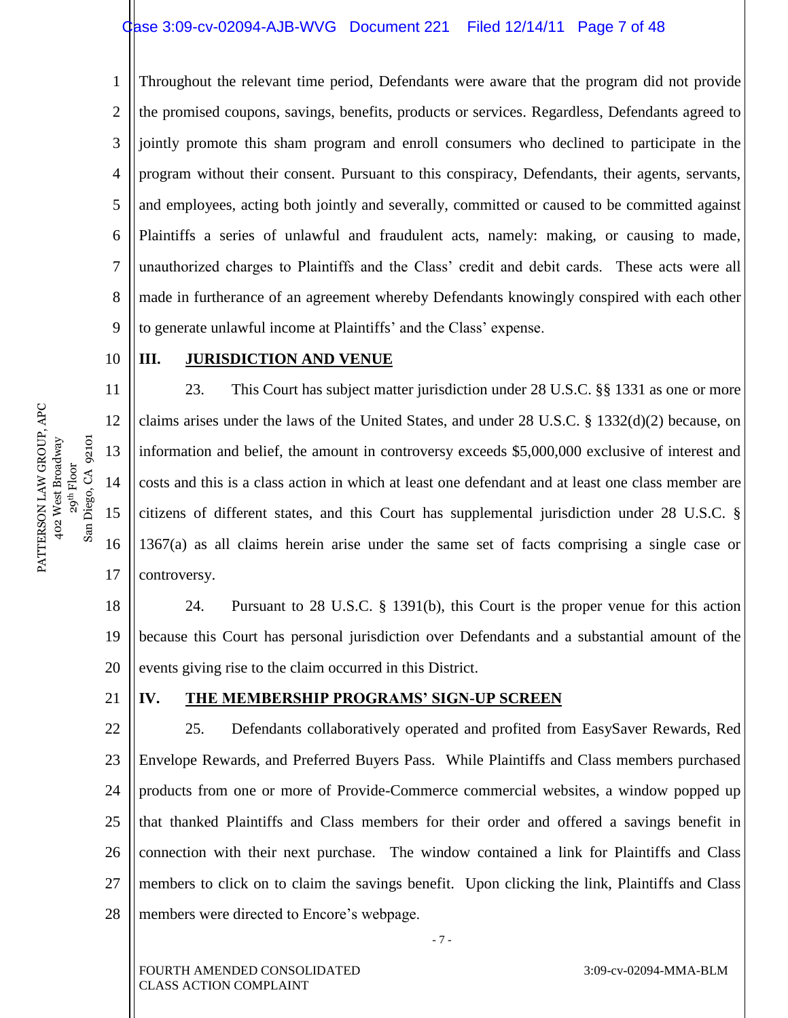1 2 3 4 5 6 7 8 9 Throughout the relevant time period, Defendants were aware that the program did not provide the promised coupons, savings, benefits, products or services. Regardless, Defendants agreed to jointly promote this sham program and enroll consumers who declined to participate in the program without their consent. Pursuant to this conspiracy, Defendants, their agents, servants, and employees, acting both jointly and severally, committed or caused to be committed against Plaintiffs a series of unlawful and fraudulent acts, namely: making, or causing to made, unauthorized charges to Plaintiffs and the Class' credit and debit cards. These acts were all made in furtherance of an agreement whereby Defendants knowingly conspired with each other to generate unlawful income at Plaintiffs' and the Class' expense.

#### 10 **III. JURISDICTION AND VENUE**

23. This Court has subject matter jurisdiction under 28 U.S.C. §§ 1331 as one or more claims arises under the laws of the United States, and under 28 U.S.C. § 1332(d)(2) because, on information and belief, the amount in controversy exceeds \$5,000,000 exclusive of interest and costs and this is a class action in which at least one defendant and at least one class member are citizens of different states, and this Court has supplemental jurisdiction under 28 U.S.C. § 1367(a) as all claims herein arise under the same set of facts comprising a single case or controversy.

18 19 20 24. Pursuant to 28 U.S.C. § 1391(b), this Court is the proper venue for this action because this Court has personal jurisdiction over Defendants and a substantial amount of the events giving rise to the claim occurred in this District.

#### **IV. THE MEMBERSHIP PROGRAMS' SIGN-UP SCREEN**

22 23 24 25 26 27 28 25. Defendants collaboratively operated and profited from EasySaver Rewards, Red Envelope Rewards, and Preferred Buyers Pass. While Plaintiffs and Class members purchased products from one or more of Provide-Commerce commercial websites, a window popped up that thanked Plaintiffs and Class members for their order and offered a savings benefit in connection with their next purchase. The window contained a link for Plaintiffs and Class members to click on to claim the savings benefit. Upon clicking the link, Plaintiffs and Class members were directed to Encore's webpage.

- 7 -

11

12

13

14

15

16

17

21

FOURTH AMENDED CONSOLIDATED CLASS ACTION COMPLAINT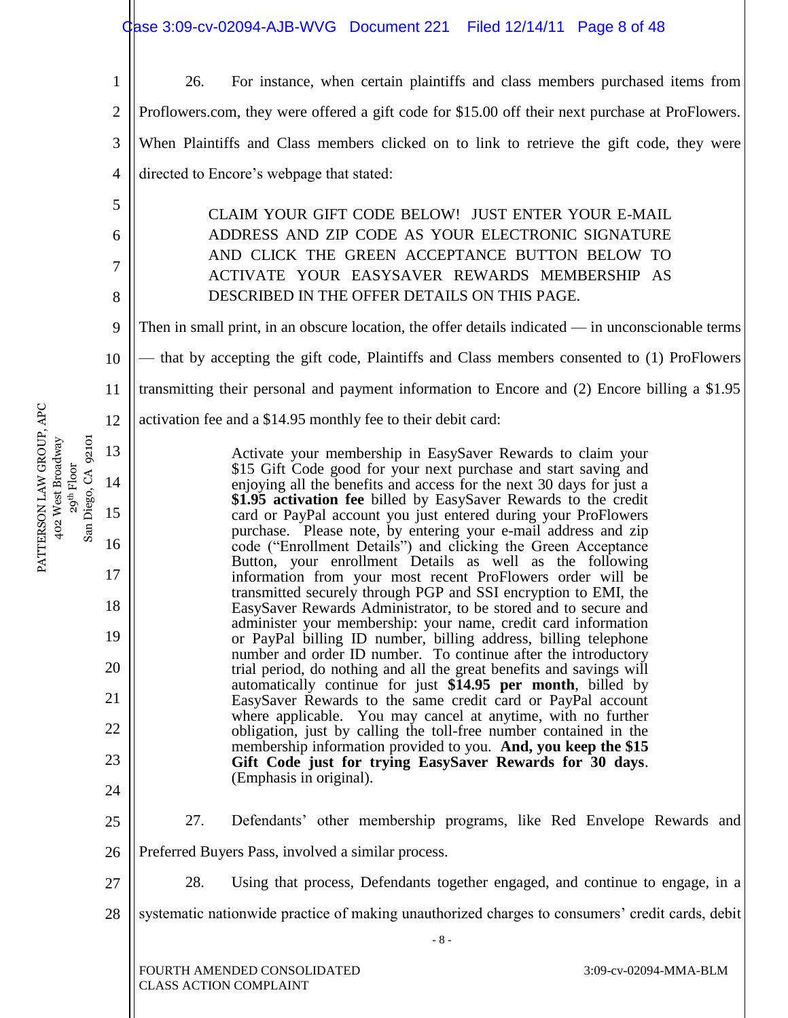|                     |                                                                                                                                         |                                                                                                                                                                                                     | Case 3:09-cv-02094-AJB-WVG Document 221 Filed 12/14/11 Page 8 of 48                                                                    |       |  |                                                                                                  |  |  |  |  |  |
|---------------------|-----------------------------------------------------------------------------------------------------------------------------------------|-----------------------------------------------------------------------------------------------------------------------------------------------------------------------------------------------------|----------------------------------------------------------------------------------------------------------------------------------------|-------|--|--------------------------------------------------------------------------------------------------|--|--|--|--|--|
|                     | $\mathbf{1}$                                                                                                                            | 26.                                                                                                                                                                                                 |                                                                                                                                        |       |  | For instance, when certain plaintiffs and class members purchased items from                     |  |  |  |  |  |
|                     | $\overline{2}$                                                                                                                          |                                                                                                                                                                                                     |                                                                                                                                        |       |  | Proflowers.com, they were offered a gift code for \$15.00 off their next purchase at ProFlowers. |  |  |  |  |  |
|                     | 3                                                                                                                                       |                                                                                                                                                                                                     |                                                                                                                                        |       |  | When Plaintiffs and Class members clicked on to link to retrieve the gift code, they were        |  |  |  |  |  |
|                     | 4                                                                                                                                       |                                                                                                                                                                                                     | directed to Encore's webpage that stated:                                                                                              |       |  |                                                                                                  |  |  |  |  |  |
|                     | 5                                                                                                                                       |                                                                                                                                                                                                     | CLAIM YOUR GIFT CODE BELOW! JUST ENTER YOUR E-MAIL                                                                                     |       |  |                                                                                                  |  |  |  |  |  |
|                     | 6                                                                                                                                       |                                                                                                                                                                                                     | ADDRESS AND ZIP CODE AS YOUR ELECTRONIC SIGNATURE                                                                                      |       |  |                                                                                                  |  |  |  |  |  |
|                     | 7                                                                                                                                       |                                                                                                                                                                                                     | AND CLICK THE GREEN ACCEPTANCE BUTTON BELOW TO<br>ACTIVATE YOUR EASYSAVER REWARDS MEMBERSHIP AS                                        |       |  |                                                                                                  |  |  |  |  |  |
|                     | 8                                                                                                                                       |                                                                                                                                                                                                     | DESCRIBED IN THE OFFER DETAILS ON THIS PAGE.                                                                                           |       |  |                                                                                                  |  |  |  |  |  |
|                     | Then in small print, in an obscure location, the offer details indicated $-$ in unconscionable terms<br>9                               |                                                                                                                                                                                                     |                                                                                                                                        |       |  |                                                                                                  |  |  |  |  |  |
|                     | 10                                                                                                                                      |                                                                                                                                                                                                     |                                                                                                                                        |       |  | — that by accepting the gift code, Plaintiffs and Class members consented to (1) ProFlowers      |  |  |  |  |  |
|                     | 11                                                                                                                                      |                                                                                                                                                                                                     |                                                                                                                                        |       |  | transmitting their personal and payment information to Encore and (2) Encore billing a \$1.95    |  |  |  |  |  |
|                     | 12                                                                                                                                      |                                                                                                                                                                                                     | activation fee and a \$14.95 monthly fee to their debit card:                                                                          |       |  |                                                                                                  |  |  |  |  |  |
|                     | 13                                                                                                                                      | Activate your membership in EasySaver Rewards to claim your<br>\$15 Gift Code good for your next purchase and start saving and                                                                      |                                                                                                                                        |       |  |                                                                                                  |  |  |  |  |  |
|                     | 14                                                                                                                                      |                                                                                                                                                                                                     | enjoying all the benefits and access for the next 30 days for just a                                                                   |       |  |                                                                                                  |  |  |  |  |  |
| San Diego, CA 92101 | 15                                                                                                                                      | \$1.95 activation fee billed by EasySaver Rewards to the credit<br>card or PayPal account you just entered during your ProFlowers<br>purchase. Please note, by entering your e-mail address and zip |                                                                                                                                        |       |  |                                                                                                  |  |  |  |  |  |
|                     | 16                                                                                                                                      |                                                                                                                                                                                                     | code ("Enrollment Details") and clicking the Green Acceptance                                                                          |       |  |                                                                                                  |  |  |  |  |  |
|                     | 17                                                                                                                                      |                                                                                                                                                                                                     | Button, your enrollment Details as well as the following<br>information from your most recent ProFlowers order will be                 |       |  |                                                                                                  |  |  |  |  |  |
|                     | 18                                                                                                                                      |                                                                                                                                                                                                     | transmitted securely through PGP and SSI encryption to EMI, the<br>EasySaver Rewards Administrator, to be stored and to secure and     |       |  |                                                                                                  |  |  |  |  |  |
|                     | 19                                                                                                                                      |                                                                                                                                                                                                     | administer your membership: your name, credit card information<br>or PayPal billing ID number, billing address, billing telephone      |       |  |                                                                                                  |  |  |  |  |  |
|                     | 20                                                                                                                                      |                                                                                                                                                                                                     | number and order ID number. To continue after the introductory<br>trial period, do nothing and all the great benefits and savings will |       |  |                                                                                                  |  |  |  |  |  |
|                     | 21                                                                                                                                      |                                                                                                                                                                                                     | automatically continue for just \$14.95 per month, billed by<br>EasySaver Rewards to the same credit card or PayPal account            |       |  |                                                                                                  |  |  |  |  |  |
|                     | where applicable. You may cancel at anytime, with no further<br>22<br>obligation, just by calling the toll-free number contained in the |                                                                                                                                                                                                     |                                                                                                                                        |       |  |                                                                                                  |  |  |  |  |  |
|                     | 23                                                                                                                                      |                                                                                                                                                                                                     | membership information provided to you. And, you keep the \$15<br>Gift Code just for trying EasySaver Rewards for 30 days.             |       |  |                                                                                                  |  |  |  |  |  |
|                     | 24                                                                                                                                      |                                                                                                                                                                                                     | (Emphasis in original).                                                                                                                |       |  |                                                                                                  |  |  |  |  |  |
|                     | 25                                                                                                                                      | 27.                                                                                                                                                                                                 |                                                                                                                                        |       |  | Defendants' other membership programs, like Red Envelope Rewards and                             |  |  |  |  |  |
|                     | 26                                                                                                                                      |                                                                                                                                                                                                     | Preferred Buyers Pass, involved a similar process.                                                                                     |       |  |                                                                                                  |  |  |  |  |  |
|                     | 27                                                                                                                                      | 28.                                                                                                                                                                                                 |                                                                                                                                        |       |  | Using that process, Defendants together engaged, and continue to engage, in a                    |  |  |  |  |  |
|                     | 28                                                                                                                                      |                                                                                                                                                                                                     |                                                                                                                                        |       |  | systematic nationwide practice of making unauthorized charges to consumers' credit cards, debit  |  |  |  |  |  |
|                     |                                                                                                                                         |                                                                                                                                                                                                     |                                                                                                                                        | $-8-$ |  |                                                                                                  |  |  |  |  |  |
|                     |                                                                                                                                         | <b>CLASS ACTION COMPLAINT</b>                                                                                                                                                                       | FOURTH AMENDED CONSOLIDATED                                                                                                            |       |  | 3:09-cv-02094-MMA-BLM                                                                            |  |  |  |  |  |

PATTERSON LAW GROUP, APC 402 West Broadway PATTERSON LAW GROUP, APC<br>402 West Broadway<br>29<sup>th</sup> Floor<br>San Diego, CA 92101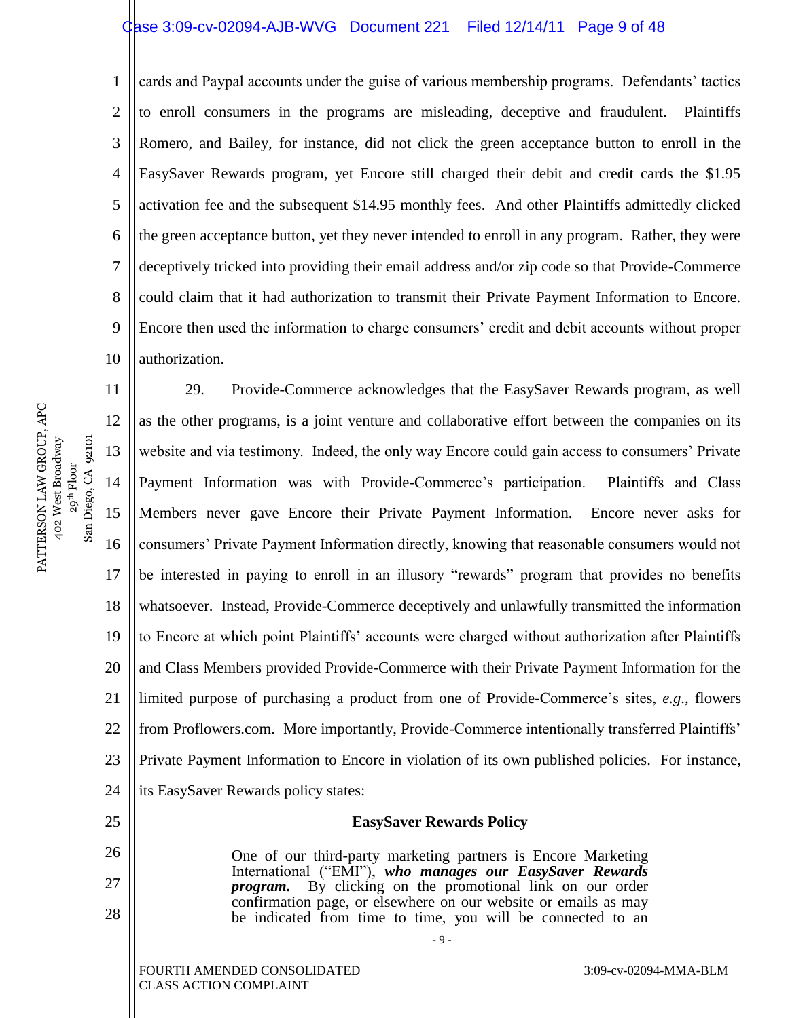#### Case 3:09-cv-02094-AJB-WVG Document 221 Filed 12/14/11 Page 9 of 48

1 2 3 4 5 6 7 8 9 10 cards and Paypal accounts under the guise of various membership programs. Defendants' tactics to enroll consumers in the programs are misleading, deceptive and fraudulent. Plaintiffs Romero, and Bailey, for instance, did not click the green acceptance button to enroll in the EasySaver Rewards program, yet Encore still charged their debit and credit cards the \$1.95 activation fee and the subsequent \$14.95 monthly fees. And other Plaintiffs admittedly clicked the green acceptance button, yet they never intended to enroll in any program. Rather, they were deceptively tricked into providing their email address and/or zip code so that Provide-Commerce could claim that it had authorization to transmit their Private Payment Information to Encore. Encore then used the information to charge consumers' credit and debit accounts without proper authorization.

PATTERSON LAW GROUP, APC PATTERSON LAW GROUP, APC 29<sup>th</sup> Floor<br>San Diego, CA 92101 San Diego, CA 92101 402 West Broadway 402 West Broadway

26

27

28

11 12 13 14 15 16 17 18 19 20 21 22 23 24 25 29. Provide-Commerce acknowledges that the EasySaver Rewards program, as well as the other programs, is a joint venture and collaborative effort between the companies on its website and via testimony. Indeed, the only way Encore could gain access to consumers' Private Payment Information was with Provide-Commerce's participation. Plaintiffs and Class Members never gave Encore their Private Payment Information. Encore never asks for consumers' Private Payment Information directly, knowing that reasonable consumers would not be interested in paying to enroll in an illusory "rewards" program that provides no benefits whatsoever. Instead, Provide-Commerce deceptively and unlawfully transmitted the information to Encore at which point Plaintiffs' accounts were charged without authorization after Plaintiffs and Class Members provided Provide-Commerce with their Private Payment Information for the limited purpose of purchasing a product from one of Provide-Commerce's sites, *e.g*., flowers from Proflowers.com. More importantly, Provide-Commerce intentionally transferred Plaintiffs' Private Payment Information to Encore in violation of its own published policies. For instance, its EasySaver Rewards policy states:

# **EasySaver Rewards Policy**

One of our third-party marketing partners is Encore Marketing International ("EMI"), *who manages our EasySaver Rewards program*. By clicking on the promotional link on our order By clicking on the promotional link on our order confirmation page, or elsewhere on our website or emails as may be indicated from time to time, you will be connected to an

- 9 -

FOURTH AMENDED CONSOLIDATED CLASS ACTION COMPLAINT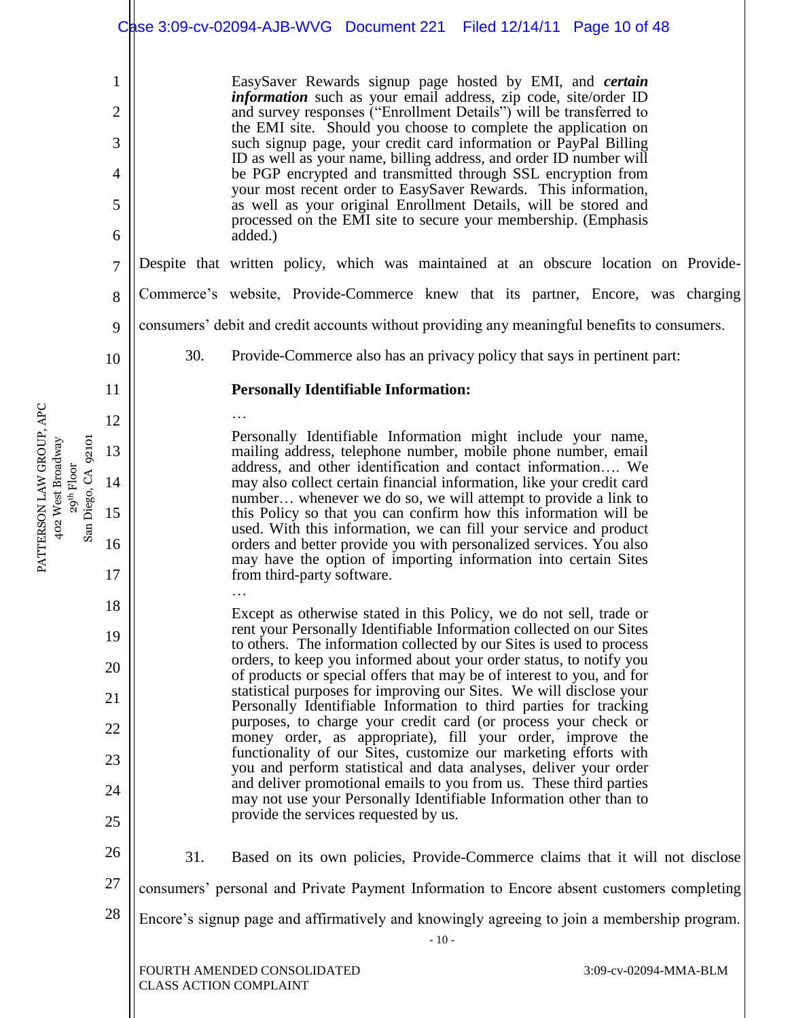|                     |                |                                                                                                       | Case 3:09-cv-02094-AJB-WVG Document 221 Filed 12/14/11 Page 10 of 48                                                                                                                                                                                                                                                                                                                                                                                                                                                                                                                                                                       |  |  |                       |  |  |
|---------------------|----------------|-------------------------------------------------------------------------------------------------------|--------------------------------------------------------------------------------------------------------------------------------------------------------------------------------------------------------------------------------------------------------------------------------------------------------------------------------------------------------------------------------------------------------------------------------------------------------------------------------------------------------------------------------------------------------------------------------------------------------------------------------------------|--|--|-----------------------|--|--|
|                     | $\mathbf{1}$   |                                                                                                       | EasySaver Rewards signup page hosted by EMI, and <i>certain</i>                                                                                                                                                                                                                                                                                                                                                                                                                                                                                                                                                                            |  |  |                       |  |  |
|                     | $\overline{2}$ |                                                                                                       | <i>information</i> such as your email address, zip code, site/order ID<br>and survey responses ("Enrollment Details") will be transferred to<br>the EMI site. Should you choose to complete the application on<br>such signup page, your credit card information or PayPal Billing<br>ID as well as your name, billing address, and order ID number will<br>be PGP encrypted and transmitted through SSL encryption from<br>your most recent order to EasySaver Rewards. This information,<br>as well as your original Enrollment Details, will be stored and<br>processed on the EMI site to secure your membership. (Emphasis<br>added.) |  |  |                       |  |  |
|                     | 3              |                                                                                                       |                                                                                                                                                                                                                                                                                                                                                                                                                                                                                                                                                                                                                                            |  |  |                       |  |  |
|                     | $\overline{4}$ |                                                                                                       |                                                                                                                                                                                                                                                                                                                                                                                                                                                                                                                                                                                                                                            |  |  |                       |  |  |
|                     | 5              |                                                                                                       |                                                                                                                                                                                                                                                                                                                                                                                                                                                                                                                                                                                                                                            |  |  |                       |  |  |
|                     | 6              |                                                                                                       |                                                                                                                                                                                                                                                                                                                                                                                                                                                                                                                                                                                                                                            |  |  |                       |  |  |
|                     | $\overline{7}$ |                                                                                                       | Despite that written policy, which was maintained at an obscure location on Provide-                                                                                                                                                                                                                                                                                                                                                                                                                                                                                                                                                       |  |  |                       |  |  |
|                     | 8              |                                                                                                       | Commerce's website, Provide-Commerce knew that its partner, Encore, was charging                                                                                                                                                                                                                                                                                                                                                                                                                                                                                                                                                           |  |  |                       |  |  |
|                     | 9              | consumers' debit and credit accounts without providing any meaningful benefits to consumers.          |                                                                                                                                                                                                                                                                                                                                                                                                                                                                                                                                                                                                                                            |  |  |                       |  |  |
|                     | 10             | 30.                                                                                                   | Provide-Commerce also has an privacy policy that says in pertinent part:                                                                                                                                                                                                                                                                                                                                                                                                                                                                                                                                                                   |  |  |                       |  |  |
|                     | 11             |                                                                                                       | <b>Personally Identifiable Information:</b>                                                                                                                                                                                                                                                                                                                                                                                                                                                                                                                                                                                                |  |  |                       |  |  |
|                     | 12             |                                                                                                       |                                                                                                                                                                                                                                                                                                                                                                                                                                                                                                                                                                                                                                            |  |  |                       |  |  |
|                     | 13             |                                                                                                       | Personally Identifiable Information might include your name,<br>mailing address, telephone number, mobile phone number, email                                                                                                                                                                                                                                                                                                                                                                                                                                                                                                              |  |  |                       |  |  |
|                     | 14             |                                                                                                       | address, and other identification and contact information We<br>may also collect certain financial information, like your credit card                                                                                                                                                                                                                                                                                                                                                                                                                                                                                                      |  |  |                       |  |  |
| San Diego, CA 92101 | 15             |                                                                                                       | number whenever we do so, we will attempt to provide a link to<br>this Policy so that you can confirm how this information will be                                                                                                                                                                                                                                                                                                                                                                                                                                                                                                         |  |  |                       |  |  |
|                     | 16             |                                                                                                       | used. With this information, we can fill your service and product<br>orders and better provide you with personalized services. You also                                                                                                                                                                                                                                                                                                                                                                                                                                                                                                    |  |  |                       |  |  |
|                     | 17             |                                                                                                       | may have the option of importing information into certain Sites<br>from third-party software.                                                                                                                                                                                                                                                                                                                                                                                                                                                                                                                                              |  |  |                       |  |  |
|                     | 18             |                                                                                                       | Except as otherwise stated in this Policy, we do not sell, trade or                                                                                                                                                                                                                                                                                                                                                                                                                                                                                                                                                                        |  |  |                       |  |  |
|                     | 19             |                                                                                                       | rent your Personally Identifiable Information collected on our Sites<br>to others. The information collected by our Sites is used to process                                                                                                                                                                                                                                                                                                                                                                                                                                                                                               |  |  |                       |  |  |
|                     | 20             |                                                                                                       | orders, to keep you informed about your order status, to notify you<br>of products or special offers that may be of interest to you, and for                                                                                                                                                                                                                                                                                                                                                                                                                                                                                               |  |  |                       |  |  |
|                     | 21             |                                                                                                       | statistical purposes for improving our Sites. We will disclose your<br>Personally Identifiable Information to third parties for tracking                                                                                                                                                                                                                                                                                                                                                                                                                                                                                                   |  |  |                       |  |  |
|                     | 22             |                                                                                                       | purposes, to charge your credit card (or process your check or<br>money order, as appropriate), fill your order, improve the                                                                                                                                                                                                                                                                                                                                                                                                                                                                                                               |  |  |                       |  |  |
|                     | 23             |                                                                                                       | functionality of our Sites, customize our marketing efforts with<br>you and perform statistical and data analyses, deliver your order                                                                                                                                                                                                                                                                                                                                                                                                                                                                                                      |  |  |                       |  |  |
|                     | 24             |                                                                                                       | and deliver promotional emails to you from us. These third parties<br>may not use your Personally Identifiable Information other than to                                                                                                                                                                                                                                                                                                                                                                                                                                                                                                   |  |  |                       |  |  |
|                     | 25             |                                                                                                       | provide the services requested by us.                                                                                                                                                                                                                                                                                                                                                                                                                                                                                                                                                                                                      |  |  |                       |  |  |
|                     | 26             | 31.                                                                                                   | Based on its own policies, Provide-Commerce claims that it will not disclose                                                                                                                                                                                                                                                                                                                                                                                                                                                                                                                                                               |  |  |                       |  |  |
|                     | 27             |                                                                                                       | consumers' personal and Private Payment Information to Encore absent customers completing                                                                                                                                                                                                                                                                                                                                                                                                                                                                                                                                                  |  |  |                       |  |  |
|                     | 28             | Encore's signup page and affirmatively and knowingly agreeing to join a membership program.<br>$-10-$ |                                                                                                                                                                                                                                                                                                                                                                                                                                                                                                                                                                                                                                            |  |  |                       |  |  |
|                     |                | <b>CLASS ACTION COMPLAINT</b>                                                                         | FOURTH AMENDED CONSOLIDATED                                                                                                                                                                                                                                                                                                                                                                                                                                                                                                                                                                                                                |  |  | 3:09-cv-02094-MMA-BLM |  |  |

PATTERSON LAW GROUP, APC 402 West Broadway PATTERSON LAW GROUP, APC<br>402 West Broadway<br>29<sup>th</sup> Floor<br>San Diego, CA 92101

 $\mathbb{I}$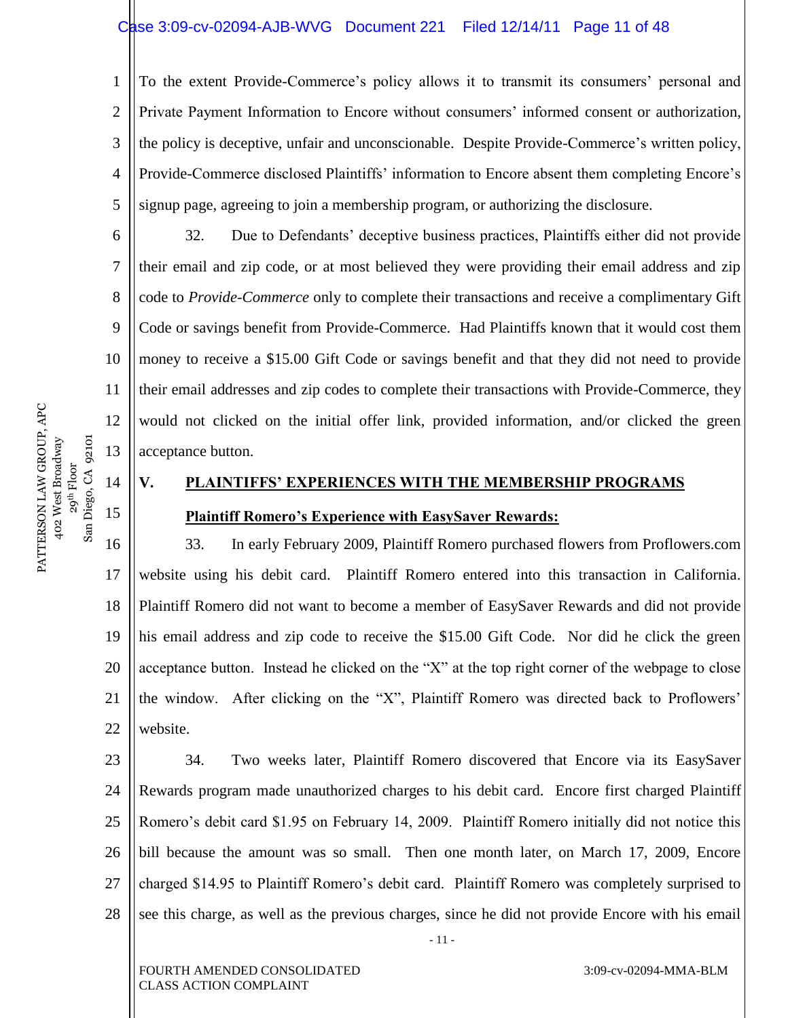1 2 3 4 5 To the extent Provide-Commerce's policy allows it to transmit its consumers' personal and Private Payment Information to Encore without consumers' informed consent or authorization, the policy is deceptive, unfair and unconscionable. Despite Provide-Commerce's written policy, Provide-Commerce disclosed Plaintiffs' information to Encore absent them completing Encore's signup page, agreeing to join a membership program, or authorizing the disclosure.

32. Due to Defendants' deceptive business practices, Plaintiffs either did not provide their email and zip code, or at most believed they were providing their email address and zip code to *Provide-Commerce* only to complete their transactions and receive a complimentary Gift Code or savings benefit from Provide-Commerce. Had Plaintiffs known that it would cost them money to receive a \$15.00 Gift Code or savings benefit and that they did not need to provide their email addresses and zip codes to complete their transactions with Provide-Commerce, they would not clicked on the initial offer link, provided information, and/or clicked the green acceptance button.

# **V. PLAINTIFFS' EXPERIENCES WITH THE MEMBERSHIP PROGRAMS Plaintiff Romero's Experience with EasySaver Rewards:**

16 17 18 19 20 21 22 33. In early February 2009, Plaintiff Romero purchased flowers from Proflowers.com website using his debit card. Plaintiff Romero entered into this transaction in California. Plaintiff Romero did not want to become a member of EasySaver Rewards and did not provide his email address and zip code to receive the \$15.00 Gift Code. Nor did he click the green acceptance button. Instead he clicked on the "X" at the top right corner of the webpage to close the window. After clicking on the "X", Plaintiff Romero was directed back to Proflowers' website.

23 24 25 26 27 28 - 11 - 34. Two weeks later, Plaintiff Romero discovered that Encore via its EasySaver Rewards program made unauthorized charges to his debit card. Encore first charged Plaintiff Romero's debit card \$1.95 on February 14, 2009. Plaintiff Romero initially did not notice this bill because the amount was so small. Then one month later, on March 17, 2009, Encore charged \$14.95 to Plaintiff Romero's debit card. Plaintiff Romero was completely surprised to see this charge, as well as the previous charges, since he did not provide Encore with his email

6

7

8

9

10

11

12

13

14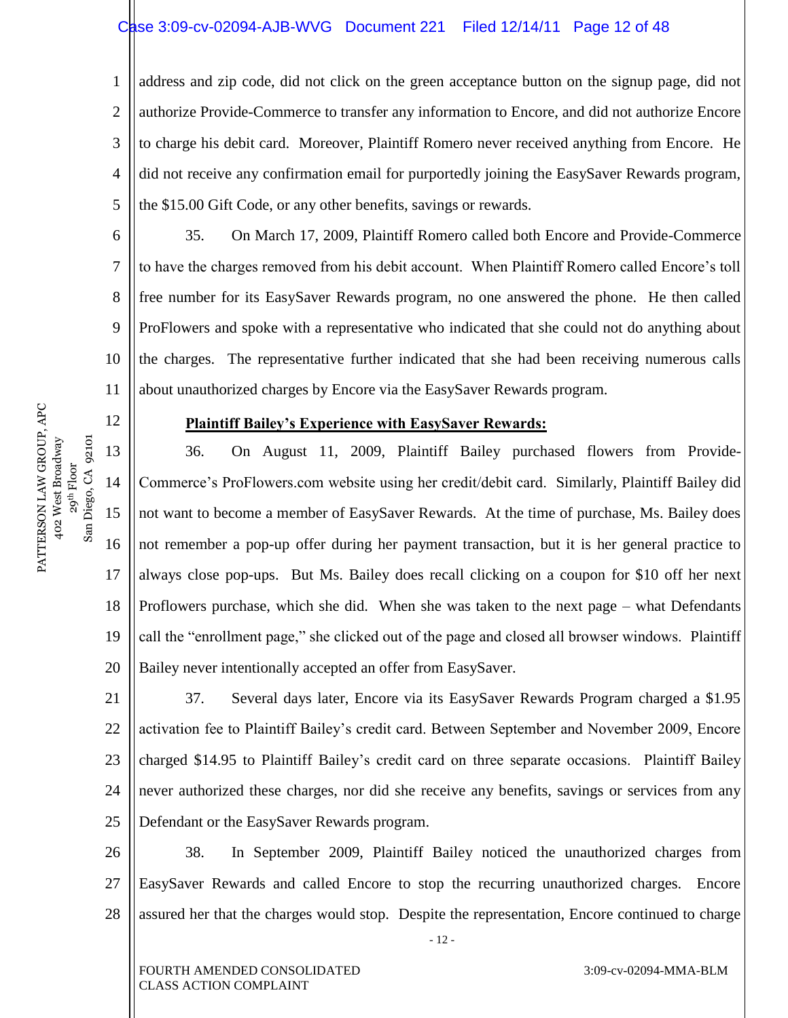# Case 3:09-cv-02094-AJB-WVG Document 221 Filed 12/14/11 Page 12 of 48

1 2 3 4 5 address and zip code, did not click on the green acceptance button on the signup page, did not authorize Provide-Commerce to transfer any information to Encore, and did not authorize Encore to charge his debit card. Moreover, Plaintiff Romero never received anything from Encore. He did not receive any confirmation email for purportedly joining the EasySaver Rewards program, the \$15.00 Gift Code, or any other benefits, savings or rewards.

35. On March 17, 2009, Plaintiff Romero called both Encore and Provide-Commerce to have the charges removed from his debit account. When Plaintiff Romero called Encore's toll free number for its EasySaver Rewards program, no one answered the phone. He then called ProFlowers and spoke with a representative who indicated that she could not do anything about the charges. The representative further indicated that she had been receiving numerous calls about unauthorized charges by Encore via the EasySaver Rewards program.

#### **Plaintiff Bailey's Experience with EasySaver Rewards:**

13 14 15 16 17 18 36. On August 11, 2009, Plaintiff Bailey purchased flowers from Provide-Commerce's ProFlowers.com website using her credit/debit card. Similarly, Plaintiff Bailey did not want to become a member of EasySaver Rewards. At the time of purchase, Ms. Bailey does not remember a pop-up offer during her payment transaction, but it is her general practice to always close pop-ups. But Ms. Bailey does recall clicking on a coupon for \$10 off her next Proflowers purchase, which she did. When she was taken to the next page – what Defendants call the "enrollment page," she clicked out of the page and closed all browser windows. Plaintiff Bailey never intentionally accepted an offer from EasySaver.

22 23 24 25 37. Several days later, Encore via its EasySaver Rewards Program charged a \$1.95 activation fee to Plaintiff Bailey's credit card. Between September and November 2009, Encore charged \$14.95 to Plaintiff Bailey's credit card on three separate occasions. Plaintiff Bailey never authorized these charges, nor did she receive any benefits, savings or services from any Defendant or the EasySaver Rewards program.

26 27 28 38. In September 2009, Plaintiff Bailey noticed the unauthorized charges from EasySaver Rewards and called Encore to stop the recurring unauthorized charges. Encore assured her that the charges would stop. Despite the representation, Encore continued to charge

- 12 -

19 20 21

 $San$ 

PATTERSON LAW GROUP, APC 402 West Broadway 29<sup>th</sup> Floor<br>Diego, CA 92101 San Diego, CA 92101

PATTERSON LAW GROUP, APC 402 West Broadway 6

7

8

9

10

11

12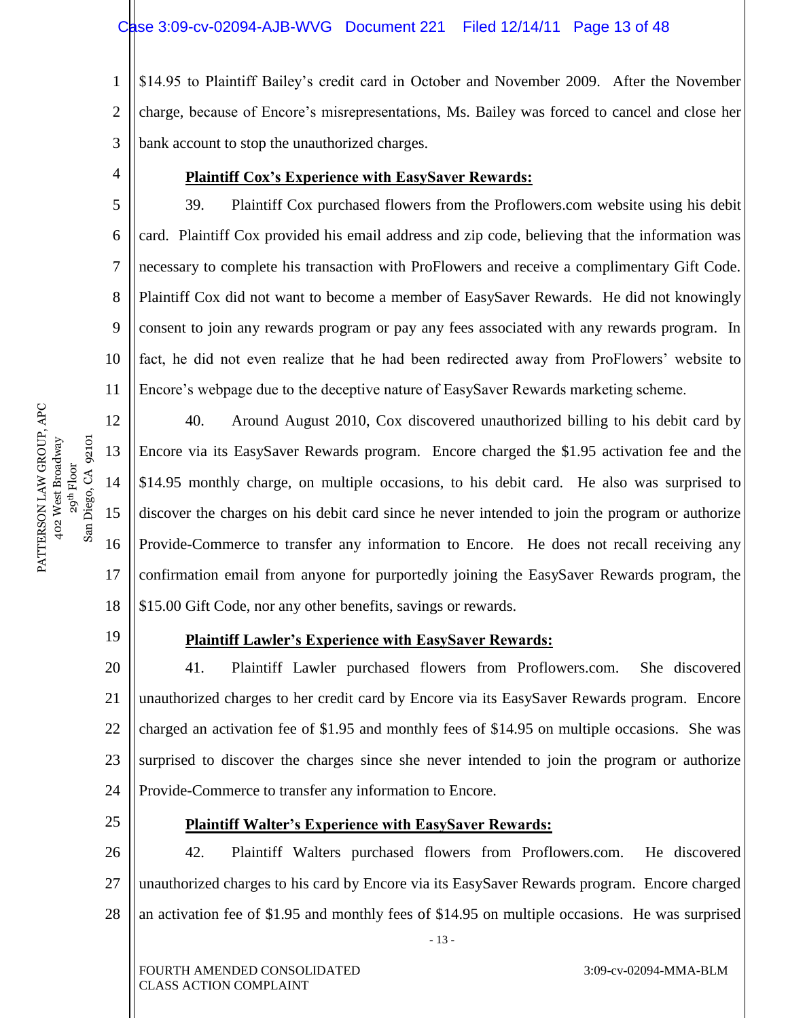1 2 3 \$14.95 to Plaintiff Bailey's credit card in October and November 2009. After the November charge, because of Encore's misrepresentations, Ms. Bailey was forced to cancel and close her bank account to stop the unauthorized charges.

4

11

#### **Plaintiff Cox's Experience with EasySaver Rewards:**

5 6 7 8 9 10 39. Plaintiff Cox purchased flowers from the Proflowers.com website using his debit card. Plaintiff Cox provided his email address and zip code, believing that the information was necessary to complete his transaction with ProFlowers and receive a complimentary Gift Code. Plaintiff Cox did not want to become a member of EasySaver Rewards. He did not knowingly consent to join any rewards program or pay any fees associated with any rewards program. In fact, he did not even realize that he had been redirected away from ProFlowers' website to Encore's webpage due to the deceptive nature of EasySaver Rewards marketing scheme.

12 13 14 15 16 18 40. Around August 2010, Cox discovered unauthorized billing to his debit card by Encore via its EasySaver Rewards program. Encore charged the \$1.95 activation fee and the \$14.95 monthly charge, on multiple occasions, to his debit card. He also was surprised to discover the charges on his debit card since he never intended to join the program or authorize Provide-Commerce to transfer any information to Encore. He does not recall receiving any confirmation email from anyone for purportedly joining the EasySaver Rewards program, the \$15.00 Gift Code, nor any other benefits, savings or rewards.

19

17

 $San$ 

PATTERSON LAW GROUP, APC 402 West Broadway 29<sup>th</sup> Floor<br>Diego, CA 92101 San Diego, CA 92101

PATTERSON LAW GROUP, APC 402 West Broadway

# **Plaintiff Lawler's Experience with EasySaver Rewards:**

20 21 22 23 24 41. Plaintiff Lawler purchased flowers from Proflowers.com. She discovered unauthorized charges to her credit card by Encore via its EasySaver Rewards program. Encore charged an activation fee of \$1.95 and monthly fees of \$14.95 on multiple occasions. She was surprised to discover the charges since she never intended to join the program or authorize Provide-Commerce to transfer any information to Encore.

25

# **Plaintiff Walter's Experience with EasySaver Rewards:**

26 27 28 42. Plaintiff Walters purchased flowers from Proflowers.com. He discovered unauthorized charges to his card by Encore via its EasySaver Rewards program. Encore charged an activation fee of \$1.95 and monthly fees of \$14.95 on multiple occasions. He was surprised

- 13 -

FOURTH AMENDED CONSOLIDATED CLASS ACTION COMPLAINT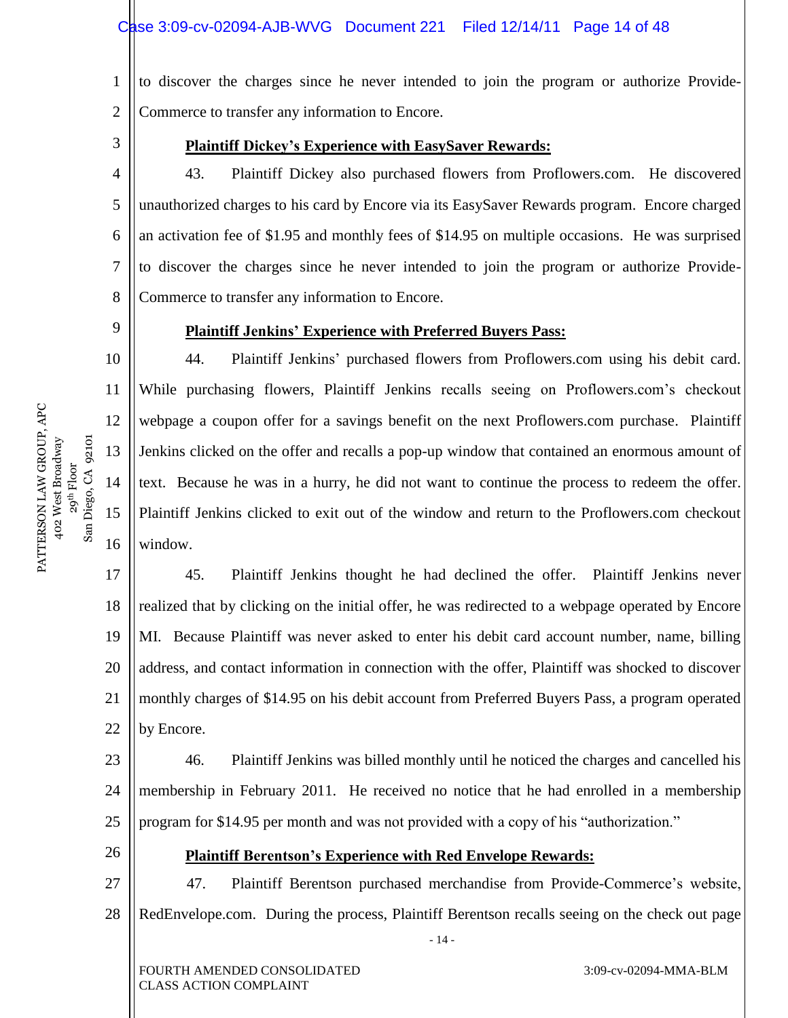1 2 to discover the charges since he never intended to join the program or authorize Provide-Commerce to transfer any information to Encore.

3

9

10

11

12

13

14

15

16

26

### **Plaintiff Dickey's Experience with EasySaver Rewards:**

4 5 6 7 8 43. Plaintiff Dickey also purchased flowers from Proflowers.com. He discovered unauthorized charges to his card by Encore via its EasySaver Rewards program. Encore charged an activation fee of \$1.95 and monthly fees of \$14.95 on multiple occasions. He was surprised to discover the charges since he never intended to join the program or authorize Provide-Commerce to transfer any information to Encore.

**Plaintiff Jenkins' Experience with Preferred Buyers Pass:**

44. Plaintiff Jenkins' purchased flowers from Proflowers.com using his debit card. While purchasing flowers, Plaintiff Jenkins recalls seeing on Proflowers.com's checkout webpage a coupon offer for a savings benefit on the next Proflowers.com purchase. Plaintiff Jenkins clicked on the offer and recalls a pop-up window that contained an enormous amount of text. Because he was in a hurry, he did not want to continue the process to redeem the offer. Plaintiff Jenkins clicked to exit out of the window and return to the Proflowers.com checkout window.

17 18 19 20 21 22 45. Plaintiff Jenkins thought he had declined the offer. Plaintiff Jenkins never realized that by clicking on the initial offer, he was redirected to a webpage operated by Encore MI. Because Plaintiff was never asked to enter his debit card account number, name, billing address, and contact information in connection with the offer, Plaintiff was shocked to discover monthly charges of \$14.95 on his debit account from Preferred Buyers Pass, a program operated by Encore.

23 24 25 46. Plaintiff Jenkins was billed monthly until he noticed the charges and cancelled his membership in February 2011. He received no notice that he had enrolled in a membership program for \$14.95 per month and was not provided with a copy of his "authorization."

**Plaintiff Berentson's Experience with Red Envelope Rewards:**

27 28 47. Plaintiff Berentson purchased merchandise from Provide-Commerce's website, RedEnvelope.com. During the process, Plaintiff Berentson recalls seeing on the check out page

- 14 -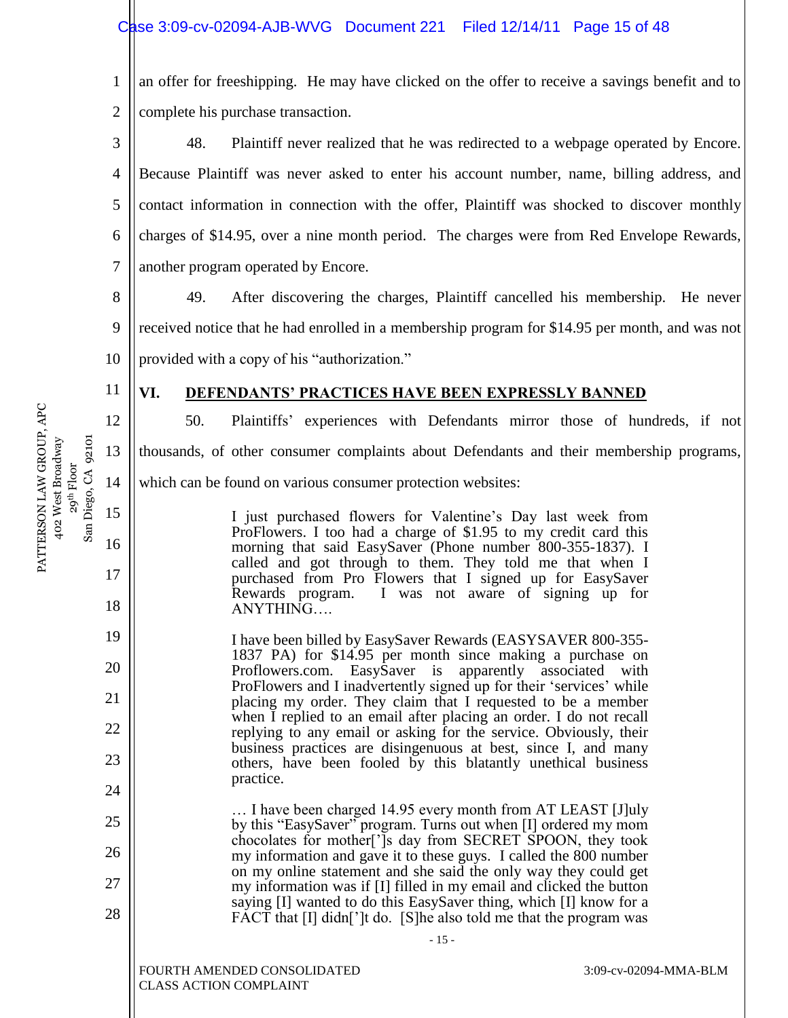11

12

13

14

15

16

17

18

19

20

21

22

23

24

25

26

27

28

1 2 an offer for freeshipping. He may have clicked on the offer to receive a savings benefit and to complete his purchase transaction.

3 4 5 6 7 48. Plaintiff never realized that he was redirected to a webpage operated by Encore. Because Plaintiff was never asked to enter his account number, name, billing address, and contact information in connection with the offer, Plaintiff was shocked to discover monthly charges of \$14.95, over a nine month period. The charges were from Red Envelope Rewards, another program operated by Encore.

8 9 10 49. After discovering the charges, Plaintiff cancelled his membership. He never received notice that he had enrolled in a membership program for \$14.95 per month, and was not provided with a copy of his "authorization."

# **VI. DEFENDANTS' PRACTICES HAVE BEEN EXPRESSLY BANNED**

50. Plaintiffs' experiences with Defendants mirror those of hundreds, if not thousands, of other consumer complaints about Defendants and their membership programs, which can be found on various consumer protection websites:

> I just purchased flowers for Valentine's Day last week from ProFlowers. I too had a charge of \$1.95 to my credit card this morning that said EasySaver (Phone number 800-355-1837). I called and got through to them. They told me that when I purchased from Pro Flowers that I signed up for EasySaver Rewards program. I was not aware of signing up for ANYTHING….

I have been billed by EasySaver Rewards (EASYSAVER 800-355- 1837 PA) for \$14.95 per month since making a purchase on Proflowers.com. EasySaver is apparently associated with ProFlowers and I inadvertently signed up for their 'services' while placing my order. They claim that I requested to be a member when I replied to an email after placing an order. I do not recall replying to any email or asking for the service. Obviously, their business practices are disingenuous at best, since I, and many others, have been fooled by this blatantly unethical business practice.

… I have been charged 14.95 every month from AT LEAST [J]uly by this "EasySaver" program. Turns out when [I] ordered my mom chocolates for mother[']s day from SECRET SPOON, they took my information and gave it to these guys. I called the 800 number on my online statement and she said the only way they could get my information was if [I] filled in my email and clicked the button saying [I] wanted to do this EasySaver thing, which [I] know for a FACT that [I] didn<sup>['</sup>]t do. [S]he also told me that the program was

- 15 -

FOURTH AMENDED CONSOLIDATED CLASS ACTION COMPLAINT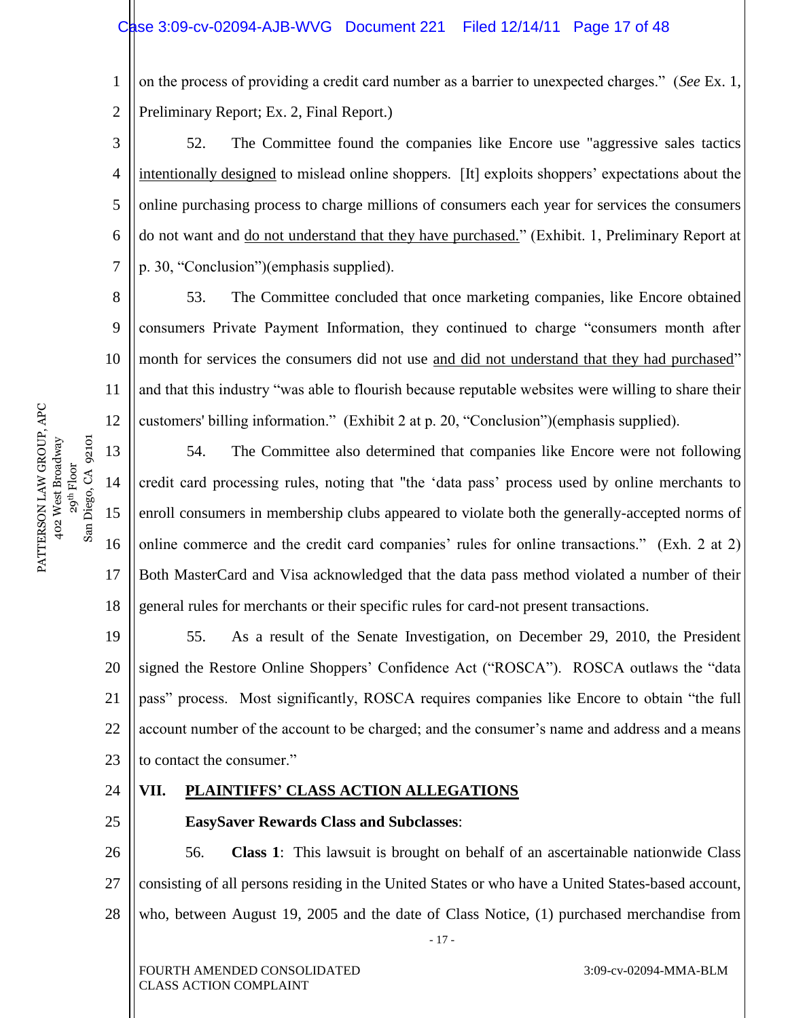1 2 on the process of providing a credit card number as a barrier to unexpected charges.‖ (*See* Ex. 1, Preliminary Report; Ex. 2, Final Report.)

3 4 5 6 7 52. The Committee found the companies like Encore use "aggressive sales tactics intentionally designed to mislead online shoppers. [It] exploits shoppers' expectations about the online purchasing process to charge millions of consumers each year for services the consumers do not want and do not understand that they have purchased.‖ (Exhibit. 1, Preliminary Report at p. 30, "Conclusion")(emphasis supplied).

8 9 10 11 12 53. The Committee concluded that once marketing companies, like Encore obtained consumers Private Payment Information, they continued to charge "consumers month after month for services the consumers did not use and did not understand that they had purchased" and that this industry "was able to flourish because reputable websites were willing to share their customers' billing information." (Exhibit 2 at p. 20, "Conclusion")(emphasis supplied).

13 14 15 16 17 18 54. The Committee also determined that companies like Encore were not following credit card processing rules, noting that "the ‗data pass' process used by online merchants to enroll consumers in membership clubs appeared to violate both the generally-accepted norms of online commerce and the credit card companies' rules for online transactions.‖ (Exh. 2 at 2) Both MasterCard and Visa acknowledged that the data pass method violated a number of their general rules for merchants or their specific rules for card-not present transactions.

19 20 21 22 23 55. As a result of the Senate Investigation, on December 29, 2010, the President signed the Restore Online Shoppers' Confidence Act ("ROSCA"). ROSCA outlaws the "data pass" process. Most significantly, ROSCA requires companies like Encore to obtain "the full account number of the account to be charged; and the consumer's name and address and a means to contact the consumer."

24

25

# **VII. PLAINTIFFS' CLASS ACTION ALLEGATIONS**

**EasySaver Rewards Class and Subclasses**:

26 27 28 56. **Class 1**: This lawsuit is brought on behalf of an ascertainable nationwide Class consisting of all persons residing in the United States or who have a United States-based account, who, between August 19, 2005 and the date of Class Notice, (1) purchased merchandise from

- 17 -

PATTERSON LAW GROUP, APC PATTERSON LAW GROUP, APC 29<sup>th</sup> Floor<br>Diego, CA 92101 402 West Broadway San Diego, CA 92101 402 West Broadway San 1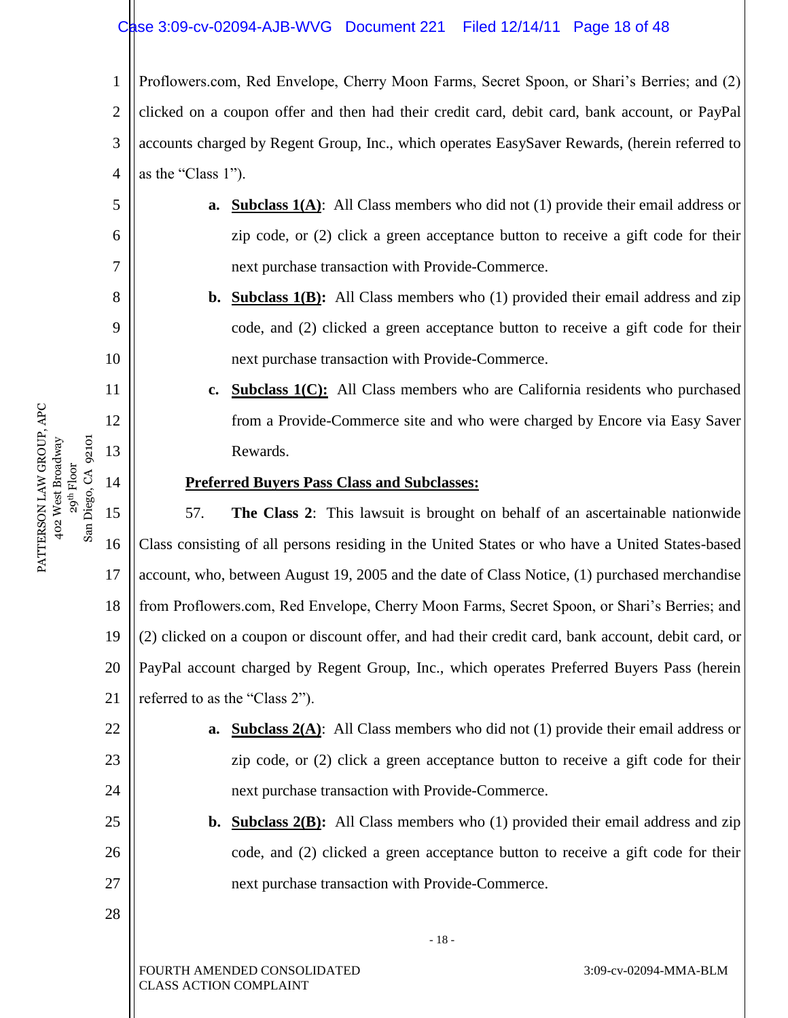# Case 3:09-cv-02094-AJB-WVG Document 221 Filed 12/14/11 Page 18 of 48

1 2 3 4 Proflowers.com, Red Envelope, Cherry Moon Farms, Secret Spoon, or Shari's Berries; and (2) clicked on a coupon offer and then had their credit card, debit card, bank account, or PayPal accounts charged by Regent Group, Inc., which operates EasySaver Rewards, (herein referred to as the "Class  $1$ ").

- **a. Subclass 1(A)**: All Class members who did not (1) provide their email address or zip code, or (2) click a green acceptance button to receive a gift code for their next purchase transaction with Provide-Commerce.
- **b. Subclass 1(B):** All Class members who (1) provided their email address and zip code, and (2) clicked a green acceptance button to receive a gift code for their next purchase transaction with Provide-Commerce.
- **c. Subclass 1(C):** All Class members who are California residents who purchased from a Provide-Commerce site and who were charged by Encore via Easy Saver Rewards.

#### **Preferred Buyers Pass Class and Subclasses:**

15 16 17 18 19 20 21 57. **The Class 2**: This lawsuit is brought on behalf of an ascertainable nationwide Class consisting of all persons residing in the United States or who have a United States-based account, who, between August 19, 2005 and the date of Class Notice, (1) purchased merchandise from Proflowers.com, Red Envelope, Cherry Moon Farms, Secret Spoon, or Shari's Berries; and (2) clicked on a coupon or discount offer, and had their credit card, bank account, debit card, or PayPal account charged by Regent Group, Inc., which operates Preferred Buyers Pass (herein referred to as the "Class 2").

- **a. Subclass 2(A)**: All Class members who did not (1) provide their email address or zip code, or (2) click a green acceptance button to receive a gift code for their next purchase transaction with Provide-Commerce.
- **b. Subclass 2(B):** All Class members who (1) provided their email address and zip code, and (2) clicked a green acceptance button to receive a gift code for their next purchase transaction with Provide-Commerce.

- 18 -

PATTERSON LAW GROUP, APC PATTERSON LAW GROUP, APC 29<sup>th</sup> Floor<br>Diego, CA 92101 402 West Broadway San Diego, CA 92101 402 West Broadway  $S$ an

5

6

7

8

9

10

11

12

13

14

22

23

24

25

26

27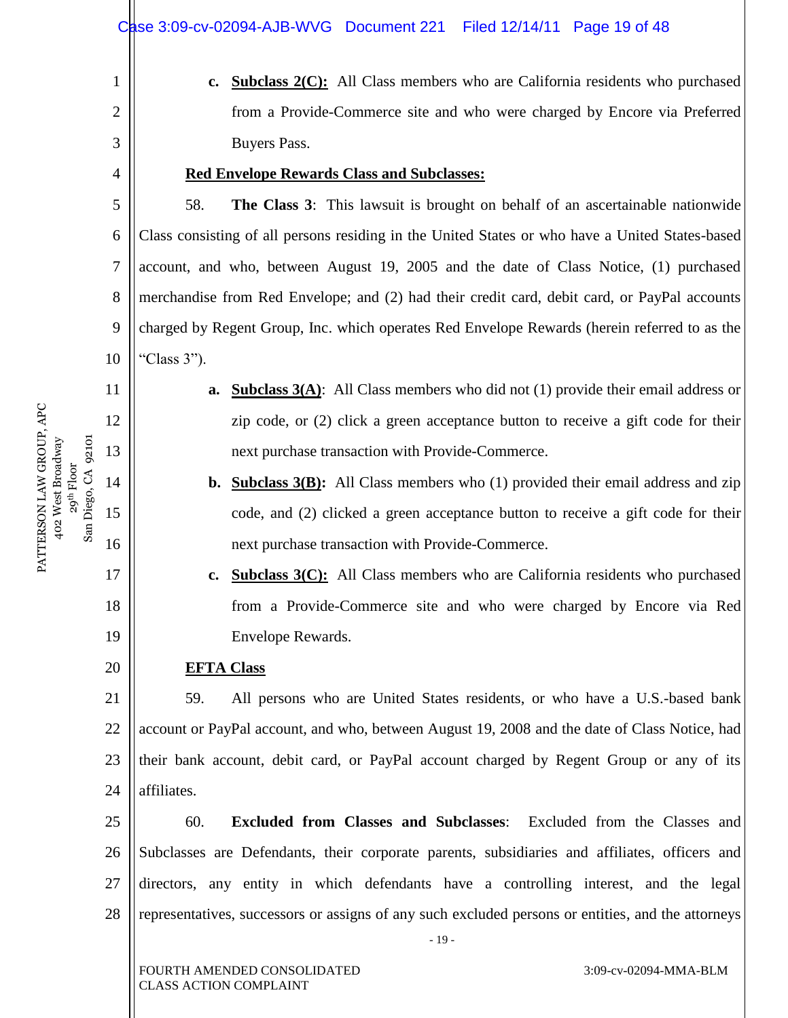**c. Subclass 2(C):** All Class members who are California residents who purchased from a Provide-Commerce site and who were charged by Encore via Preferred Buyers Pass.

#### **Red Envelope Rewards Class and Subclasses:**

58. **The Class 3**: This lawsuit is brought on behalf of an ascertainable nationwide Class consisting of all persons residing in the United States or who have a United States-based account, and who, between August 19, 2005 and the date of Class Notice, (1) purchased merchandise from Red Envelope; and (2) had their credit card, debit card, or PayPal accounts charged by Regent Group, Inc. which operates Red Envelope Rewards (herein referred to as the "Class  $3$ ").

- **a. Subclass 3(A)**: All Class members who did not (1) provide their email address or zip code, or (2) click a green acceptance button to receive a gift code for their next purchase transaction with Provide-Commerce.
- **b. Subclass 3(B):** All Class members who (1) provided their email address and zip code, and (2) clicked a green acceptance button to receive a gift code for their next purchase transaction with Provide-Commerce.
- **c. Subclass 3(C):** All Class members who are California residents who purchased from a Provide-Commerce site and who were charged by Encore via Red Envelope Rewards.

#### **EFTA Class**

1

2

3

4

5

6

7

8

9

10

11

12

13

14

PATTERSON LAW GROUP, APC 402 West Broadway 29<sup>th</sup> Floor<br>San Diego, CA 92101 San Diego, CA 92101

PATTERSON LAW GROUP, APC 402 West Broadway

15

16

17

18

19

20

21 22 23 24 59. All persons who are United States residents, or who have a U.S.-based bank account or PayPal account, and who, between August 19, 2008 and the date of Class Notice, had their bank account, debit card, or PayPal account charged by Regent Group or any of its affiliates.

25 26 27 28 60. **Excluded from Classes and Subclasses**: Excluded from the Classes and Subclasses are Defendants, their corporate parents, subsidiaries and affiliates, officers and directors, any entity in which defendants have a controlling interest, and the legal representatives, successors or assigns of any such excluded persons or entities, and the attorneys

- 19 -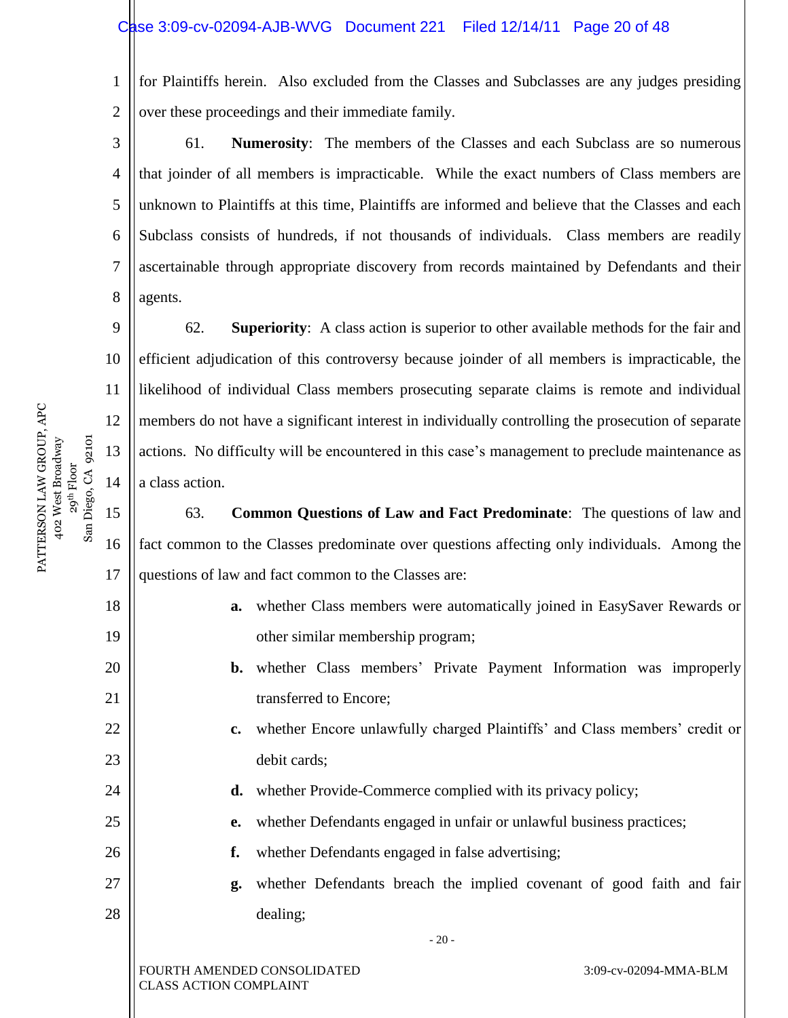1 2 for Plaintiffs herein. Also excluded from the Classes and Subclasses are any judges presiding over these proceedings and their immediate family.

3 4 5 6 7 8 61. **Numerosity**: The members of the Classes and each Subclass are so numerous that joinder of all members is impracticable. While the exact numbers of Class members are unknown to Plaintiffs at this time, Plaintiffs are informed and believe that the Classes and each Subclass consists of hundreds, if not thousands of individuals. Class members are readily ascertainable through appropriate discovery from records maintained by Defendants and their agents.

62. **Superiority**: A class action is superior to other available methods for the fair and efficient adjudication of this controversy because joinder of all members is impracticable, the likelihood of individual Class members prosecuting separate claims is remote and individual members do not have a significant interest in individually controlling the prosecution of separate actions. No difficulty will be encountered in this case's management to preclude maintenance as a class action.

63. **Common Questions of Law and Fact Predominate**: The questions of law and fact common to the Classes predominate over questions affecting only individuals. Among the questions of law and fact common to the Classes are:

- **a.** whether Class members were automatically joined in EasySaver Rewards or other similar membership program;
- **b.** whether Class members' Private Payment Information was improperly transferred to Encore;
- **c.** whether Encore unlawfully charged Plaintiffs' and Class members' credit or debit cards;
	- **d.** whether Provide-Commerce complied with its privacy policy;
	- **e.** whether Defendants engaged in unfair or unlawful business practices;
	- **f.** whether Defendants engaged in false advertising;
- **g.** whether Defendants breach the implied covenant of good faith and fair dealing;

- 20 -

FOURTH AMENDED CONSOLIDATED CLASS ACTION COMPLAINT

PATTERSON LAW GROUP, APC PATTERSON LAW GROUP, APC 402 West Broadway 29<sup>th</sup> Floor<br>Diego, CA 92101 San Diego, CA 92101 402 West Broadway  $San$ 

9

10

11

12

13

14

15

16

17

18

19

20

21

22

23

24

25

26

27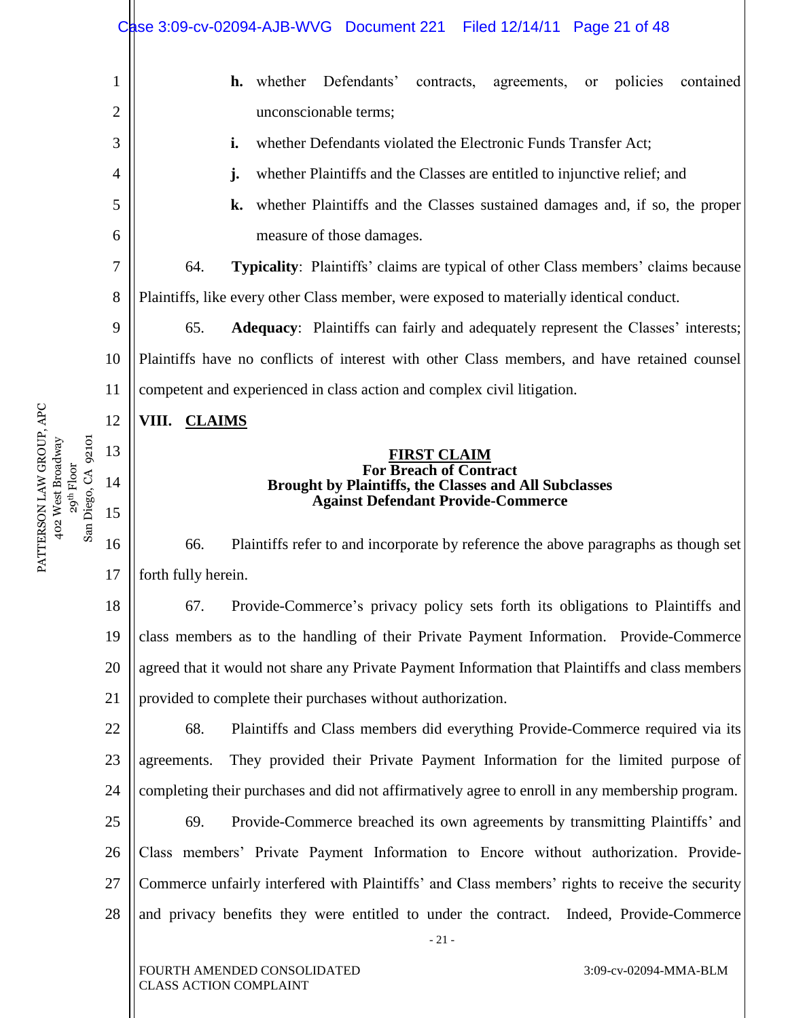|    | Case 3:09-cv-02094-AJB-WVG Document 221 Filed 12/14/11 Page 21 of 48                                 |  |  |  |
|----|------------------------------------------------------------------------------------------------------|--|--|--|
| 1  | Defendants'<br><b>h.</b> whether<br>contained<br>contracts,<br>policies<br>agreements,<br><b>or</b>  |  |  |  |
| 2  | unconscionable terms;                                                                                |  |  |  |
| 3  | whether Defendants violated the Electronic Funds Transfer Act;<br>i.                                 |  |  |  |
| 4  | whether Plaintiffs and the Classes are entitled to injunctive relief; and<br>j.                      |  |  |  |
| 5  | whether Plaintiffs and the Classes sustained damages and, if so, the proper<br>k.                    |  |  |  |
| 6  | measure of those damages.                                                                            |  |  |  |
| 7  | <b>Typicality:</b> Plaintiffs' claims are typical of other Class members' claims because<br>64.      |  |  |  |
| 8  | Plaintiffs, like every other Class member, were exposed to materially identical conduct.             |  |  |  |
| 9  | 65.<br><b>Adequacy:</b> Plaintiffs can fairly and adequately represent the Classes' interests;       |  |  |  |
| 10 | Plaintiffs have no conflicts of interest with other Class members, and have retained counsel         |  |  |  |
| 11 | competent and experienced in class action and complex civil litigation.                              |  |  |  |
| 12 | VIII. CLAIMS                                                                                         |  |  |  |
| 13 | <b>FIRST CLAIM</b>                                                                                   |  |  |  |
| 14 | <b>For Breach of Contract</b><br>Brought by Plaintiffs, the Classes and All Subclasses               |  |  |  |
| 15 | <b>Against Defendant Provide-Commerce</b>                                                            |  |  |  |
| 16 | Plaintiffs refer to and incorporate by reference the above paragraphs as though set<br>66.           |  |  |  |
| 17 | forth fully herein.                                                                                  |  |  |  |
| 18 | Provide-Commerce's privacy policy sets forth its obligations to Plaintiffs and<br>67.                |  |  |  |
| 19 | class members as to the handling of their Private Payment Information. Provide-Commerce              |  |  |  |
| 20 | agreed that it would not share any Private Payment Information that Plaintiffs and class members     |  |  |  |
| 21 | provided to complete their purchases without authorization.                                          |  |  |  |
| 22 | 68.<br>Plaintiffs and Class members did everything Provide-Commerce required via its                 |  |  |  |
| 23 | They provided their Private Payment Information for the limited purpose of<br>agreements.            |  |  |  |
| 24 | completing their purchases and did not affirmatively agree to enroll in any membership program.      |  |  |  |
| 25 | 69.<br>Provide-Commerce breached its own agreements by transmitting Plaintiffs' and                  |  |  |  |
| 26 | Class members' Private Payment Information to Encore without authorization. Provide-                 |  |  |  |
| 27 | Commerce unfairly interfered with Plaintiffs' and Class members' rights to receive the security      |  |  |  |
| 28 | and privacy benefits they were entitled to under the contract.<br>Indeed, Provide-Commerce<br>$-21-$ |  |  |  |
|    | FOURTH AMENDED CONSOLIDATED<br>3:09-cv-02094-MMA-BLM<br><b>CLASS ACTION COMPLAINT</b>                |  |  |  |

PATTERSON LAW GROUP, APC 402 West Broadway PATTERSON LAW GROUP, APC<br>402 West Broadway<br>29<sup>th</sup> Floor<br>San Diego, CA 92101 San Diego, CA 92101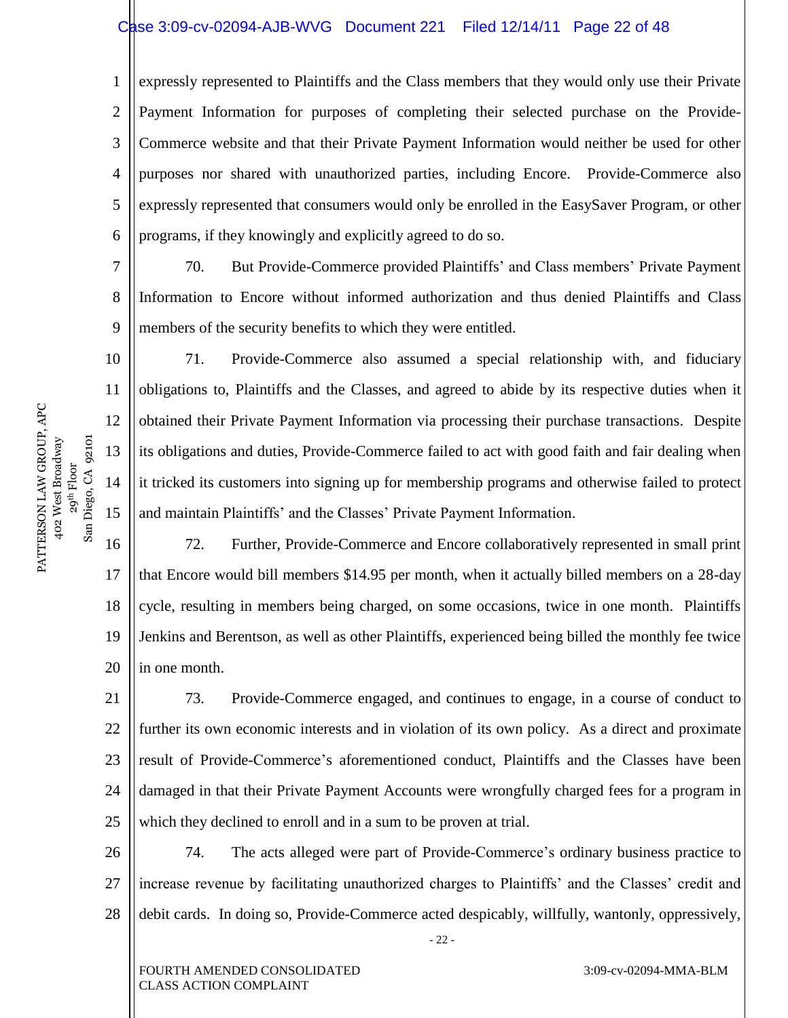#### Case 3:09-cv-02094-AJB-WVG Document 221 Filed 12/14/11 Page 22 of 48

1 2 3 4 5 6 expressly represented to Plaintiffs and the Class members that they would only use their Private Payment Information for purposes of completing their selected purchase on the Provide-Commerce website and that their Private Payment Information would neither be used for other purposes nor shared with unauthorized parties, including Encore. Provide-Commerce also expressly represented that consumers would only be enrolled in the EasySaver Program, or other programs, if they knowingly and explicitly agreed to do so.

7 8 9 70. But Provide-Commerce provided Plaintiffs' and Class members' Private Payment Information to Encore without informed authorization and thus denied Plaintiffs and Class members of the security benefits to which they were entitled.

71. Provide-Commerce also assumed a special relationship with, and fiduciary obligations to, Plaintiffs and the Classes, and agreed to abide by its respective duties when it obtained their Private Payment Information via processing their purchase transactions. Despite its obligations and duties, Provide-Commerce failed to act with good faith and fair dealing when it tricked its customers into signing up for membership programs and otherwise failed to protect and maintain Plaintiffs' and the Classes' Private Payment Information.

16 18 19 20 72. Further, Provide-Commerce and Encore collaboratively represented in small print that Encore would bill members \$14.95 per month, when it actually billed members on a 28-day cycle, resulting in members being charged, on some occasions, twice in one month. Plaintiffs Jenkins and Berentson, as well as other Plaintiffs, experienced being billed the monthly fee twice in one month.

21 22 23 24 25 73. Provide-Commerce engaged, and continues to engage, in a course of conduct to further its own economic interests and in violation of its own policy. As a direct and proximate result of Provide-Commerce's aforementioned conduct, Plaintiffs and the Classes have been damaged in that their Private Payment Accounts were wrongfully charged fees for a program in which they declined to enroll and in a sum to be proven at trial.

26 27 28 74. The acts alleged were part of Provide-Commerce's ordinary business practice to increase revenue by facilitating unauthorized charges to Plaintiffs' and the Classes' credit and debit cards. In doing so, Provide-Commerce acted despicably, willfully, wantonly, oppressively,

- 22 -

PATTERSON LAW GROUP, APC PATTERSON LAW GROUP, APC 402 West Broadway 29<sup>th</sup> Floor<br>Diego, CA 92101 San Diego, CA 92101 402 West Broadway San 1

10

11

12

13

14

15

17

FOURTH AMENDED CONSOLIDATED CLASS ACTION COMPLAINT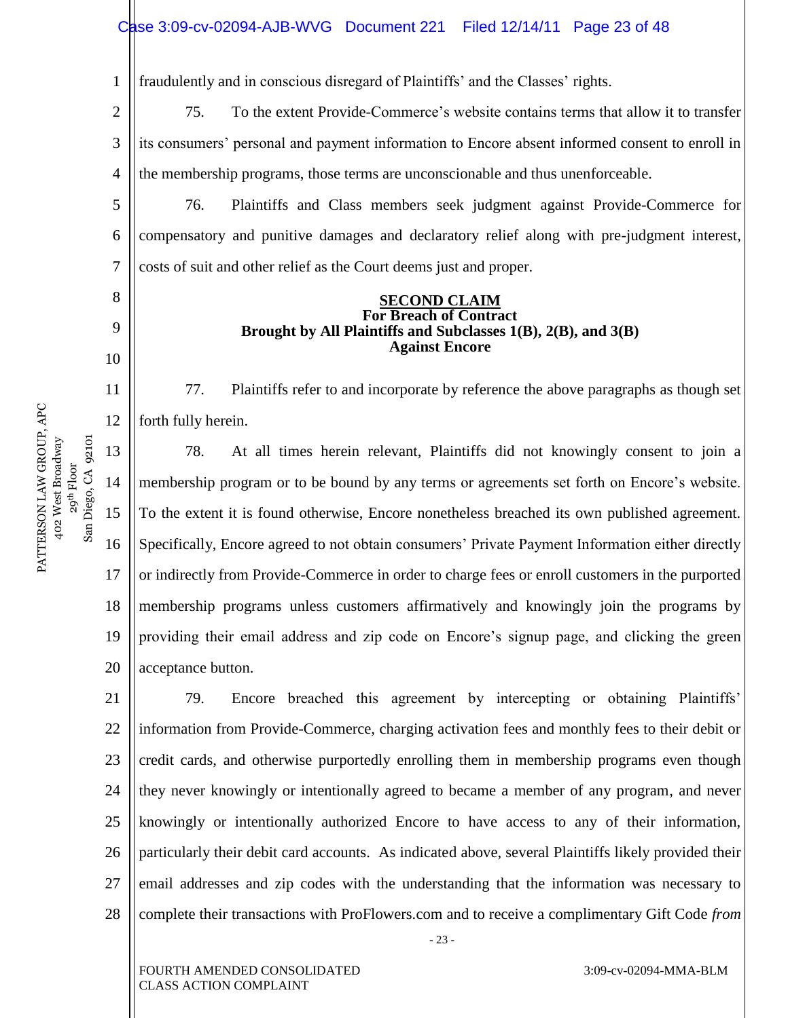1 fraudulently and in conscious disregard of Plaintiffs' and the Classes' rights.

2 3 4 75. To the extent Provide-Commerce's website contains terms that allow it to transfer its consumers' personal and payment information to Encore absent informed consent to enroll in the membership programs, those terms are unconscionable and thus unenforceable.

5 6 7 76. Plaintiffs and Class members seek judgment against Provide-Commerce for compensatory and punitive damages and declaratory relief along with pre-judgment interest, costs of suit and other relief as the Court deems just and proper.

#### **SECOND CLAIM For Breach of Contract Brought by All Plaintiffs and Subclasses 1(B), 2(B), and 3(B) Against Encore**

77. Plaintiffs refer to and incorporate by reference the above paragraphs as though set forth fully herein.

13 14 15 16 17 18 19 20 78. At all times herein relevant, Plaintiffs did not knowingly consent to join a membership program or to be bound by any terms or agreements set forth on Encore's website. To the extent it is found otherwise, Encore nonetheless breached its own published agreement. Specifically, Encore agreed to not obtain consumers' Private Payment Information either directly or indirectly from Provide-Commerce in order to charge fees or enroll customers in the purported membership programs unless customers affirmatively and knowingly join the programs by providing their email address and zip code on Encore's signup page, and clicking the green acceptance button.

21 22 23 24 25 26 27 28 79. Encore breached this agreement by intercepting or obtaining Plaintiffs' information from Provide-Commerce, charging activation fees and monthly fees to their debit or credit cards, and otherwise purportedly enrolling them in membership programs even though they never knowingly or intentionally agreed to became a member of any program, and never knowingly or intentionally authorized Encore to have access to any of their information, particularly their debit card accounts. As indicated above, several Plaintiffs likely provided their email addresses and zip codes with the understanding that the information was necessary to complete their transactions with ProFlowers.com and to receive a complimentary Gift Code *from* 

8

9

10

11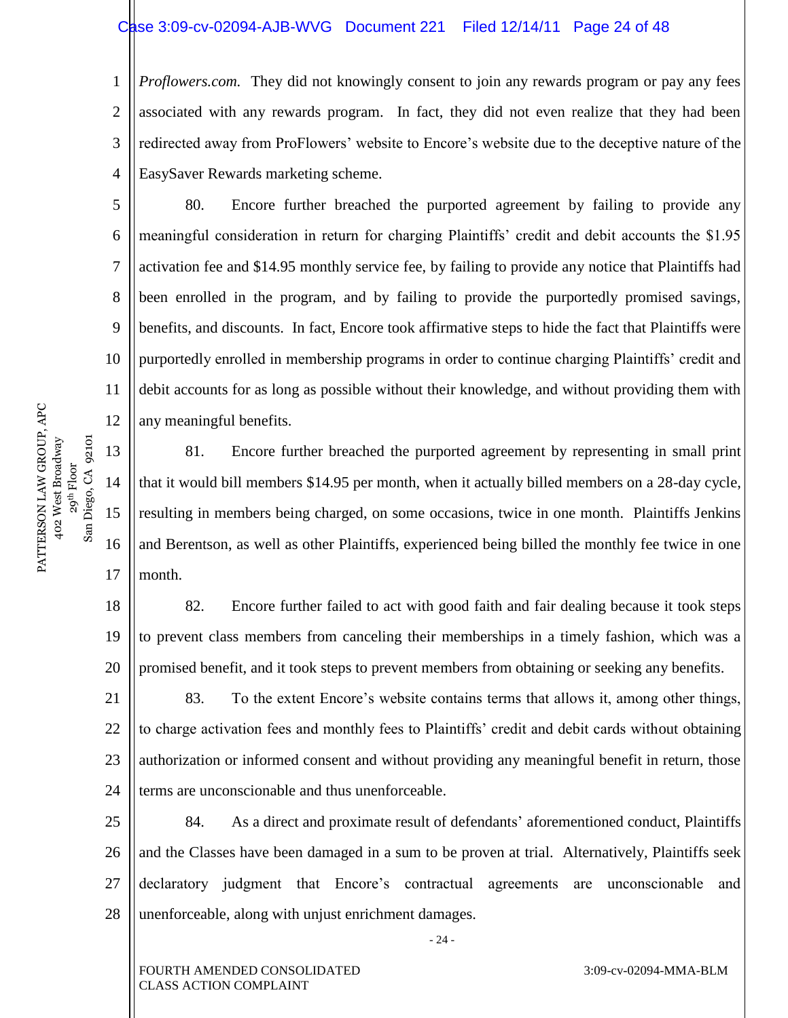#### Case 3:09-cv-02094-AJB-WVG Document 221 Filed 12/14/11 Page 24 of 48

1 2 3 4 *Proflowers.com.* They did not knowingly consent to join any rewards program or pay any fees associated with any rewards program. In fact, they did not even realize that they had been redirected away from ProFlowers' website to Encore's website due to the deceptive nature of the EasySaver Rewards marketing scheme.

80. Encore further breached the purported agreement by failing to provide any meaningful consideration in return for charging Plaintiffs' credit and debit accounts the \$1.95 activation fee and \$14.95 monthly service fee, by failing to provide any notice that Plaintiffs had been enrolled in the program, and by failing to provide the purportedly promised savings, benefits, and discounts. In fact, Encore took affirmative steps to hide the fact that Plaintiffs were purportedly enrolled in membership programs in order to continue charging Plaintiffs' credit and debit accounts for as long as possible without their knowledge, and without providing them with any meaningful benefits.

81. Encore further breached the purported agreement by representing in small print that it would bill members \$14.95 per month, when it actually billed members on a 28-day cycle, resulting in members being charged, on some occasions, twice in one month. Plaintiffs Jenkins and Berentson, as well as other Plaintiffs, experienced being billed the monthly fee twice in one month.

18 19 20 82. Encore further failed to act with good faith and fair dealing because it took steps to prevent class members from canceling their memberships in a timely fashion, which was a promised benefit, and it took steps to prevent members from obtaining or seeking any benefits.

21 22 23 24 83. To the extent Encore's website contains terms that allows it, among other things, to charge activation fees and monthly fees to Plaintiffs' credit and debit cards without obtaining authorization or informed consent and without providing any meaningful benefit in return, those terms are unconscionable and thus unenforceable.

25 26 27 28 84. As a direct and proximate result of defendants' aforementioned conduct, Plaintiffs and the Classes have been damaged in a sum to be proven at trial. Alternatively, Plaintiffs seek declaratory judgment that Encore's contractual agreements are unconscionable and unenforceable, along with unjust enrichment damages.

- 24 -

5

6

7

8

9

10

11

12

13

14

15

16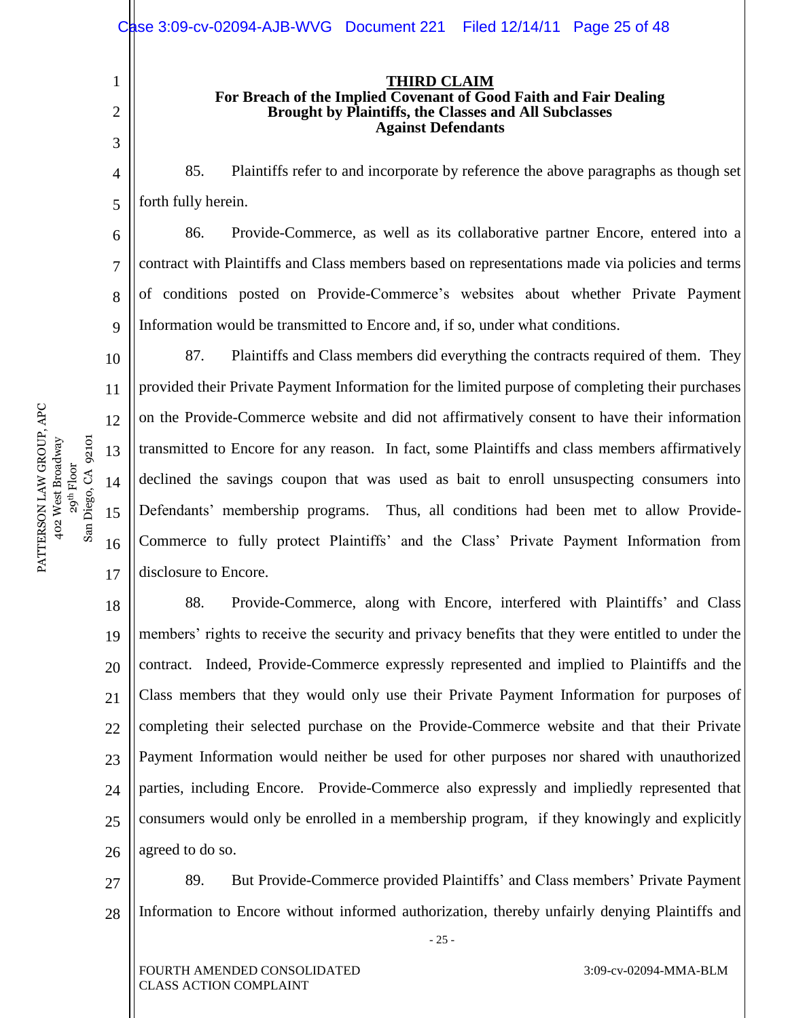#### **THIRD CLAIM For Breach of the Implied Covenant of Good Faith and Fair Dealing Brought by Plaintiffs, the Classes and All Subclasses Against Defendants**

4 5 85. Plaintiffs refer to and incorporate by reference the above paragraphs as though set forth fully herein.

86. Provide-Commerce, as well as its collaborative partner Encore, entered into a contract with Plaintiffs and Class members based on representations made via policies and terms of conditions posted on Provide-Commerce's websites about whether Private Payment Information would be transmitted to Encore and, if so, under what conditions.

87. Plaintiffs and Class members did everything the contracts required of them. They provided their Private Payment Information for the limited purpose of completing their purchases on the Provide-Commerce website and did not affirmatively consent to have their information transmitted to Encore for any reason. In fact, some Plaintiffs and class members affirmatively declined the savings coupon that was used as bait to enroll unsuspecting consumers into Defendants' membership programs. Thus, all conditions had been met to allow Provide-Commerce to fully protect Plaintiffs' and the Class' Private Payment Information from disclosure to Encore.

18 19 20 21 22 23 24 25 26 88. Provide-Commerce, along with Encore, interfered with Plaintiffs' and Class members' rights to receive the security and privacy benefits that they were entitled to under the contract. Indeed, Provide-Commerce expressly represented and implied to Plaintiffs and the Class members that they would only use their Private Payment Information for purposes of completing their selected purchase on the Provide-Commerce website and that their Private Payment Information would neither be used for other purposes nor shared with unauthorized parties, including Encore. Provide-Commerce also expressly and impliedly represented that consumers would only be enrolled in a membership program, if they knowingly and explicitly agreed to do so.

27 28 89. But Provide-Commerce provided Plaintiffs' and Class members' Private Payment Information to Encore without informed authorization, thereby unfairly denying Plaintiffs and

- 25 -

1

2

3

6

7

8

9

10

11

12

13

14

FOURTH AMENDED CONSOLIDATED CLASS ACTION COMPLAINT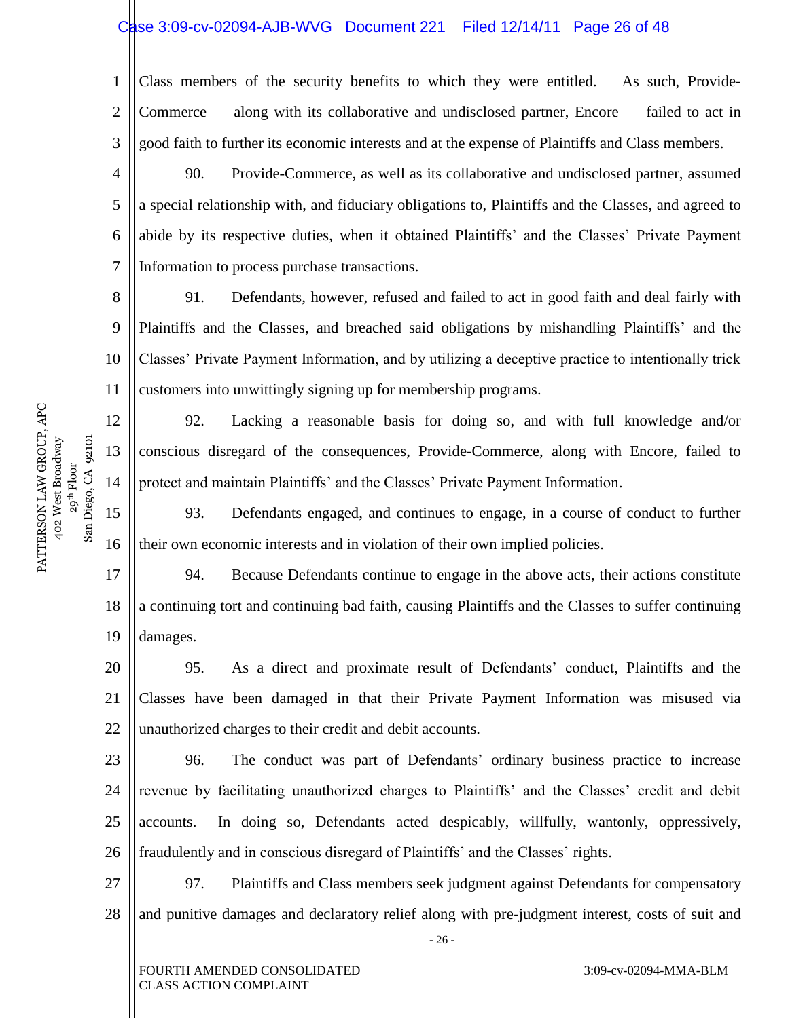# Case 3:09-cv-02094-AJB-WVG Document 221 Filed 12/14/11 Page 26 of 48

1 2 3 Class members of the security benefits to which they were entitled. As such, Provide-Commerce — along with its collaborative and undisclosed partner, Encore — failed to act in good faith to further its economic interests and at the expense of Plaintiffs and Class members.

4 5 6 7 90. Provide-Commerce, as well as its collaborative and undisclosed partner, assumed a special relationship with, and fiduciary obligations to, Plaintiffs and the Classes, and agreed to abide by its respective duties, when it obtained Plaintiffs' and the Classes' Private Payment Information to process purchase transactions.

8 9 10 11 91. Defendants, however, refused and failed to act in good faith and deal fairly with Plaintiffs and the Classes, and breached said obligations by mishandling Plaintiffs' and the Classes' Private Payment Information, and by utilizing a deceptive practice to intentionally trick customers into unwittingly signing up for membership programs.

92. Lacking a reasonable basis for doing so, and with full knowledge and/or conscious disregard of the consequences, Provide-Commerce, along with Encore, failed to protect and maintain Plaintiffs' and the Classes' Private Payment Information.

15 16 93. Defendants engaged, and continues to engage, in a course of conduct to further their own economic interests and in violation of their own implied policies.

17 18 19 94. Because Defendants continue to engage in the above acts, their actions constitute a continuing tort and continuing bad faith, causing Plaintiffs and the Classes to suffer continuing damages.

20 21 22 95. As a direct and proximate result of Defendants' conduct, Plaintiffs and the Classes have been damaged in that their Private Payment Information was misused via unauthorized charges to their credit and debit accounts.

23 24 25 26 96. The conduct was part of Defendants' ordinary business practice to increase revenue by facilitating unauthorized charges to Plaintiffs' and the Classes' credit and debit accounts. In doing so, Defendants acted despicably, willfully, wantonly, oppressively, fraudulently and in conscious disregard of Plaintiffs' and the Classes' rights.

27 28 97. Plaintiffs and Class members seek judgment against Defendants for compensatory and punitive damages and declaratory relief along with pre-judgment interest, costs of suit and

- 26 -

PATTERSON LAW GROUP, APC PATTERSON LAW GROUP, APC 402 West Broadway 29<sup>th</sup> Floor<br>Diego, CA 92101 San Diego, CA 92101 402 West Broadway  $San$ 

12

13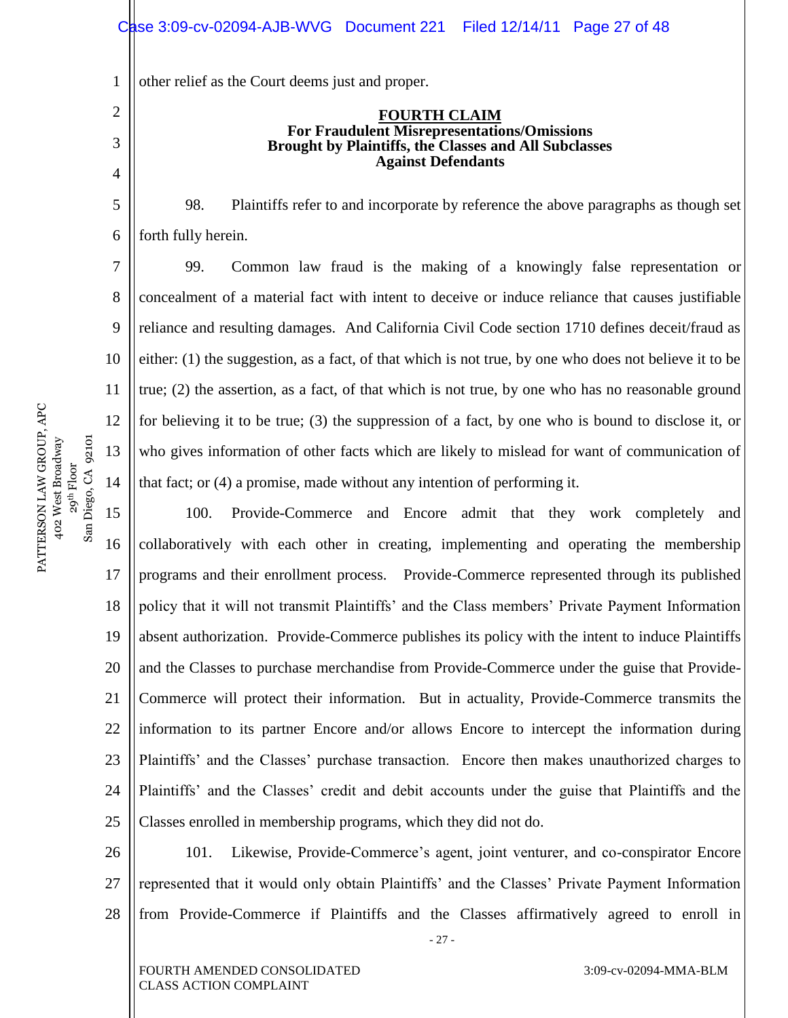1 other relief as the Court deems just and proper.

#### **FOURTH CLAIM For Fraudulent Misrepresentations/Omissions Brought by Plaintiffs, the Classes and All Subclasses Against Defendants**

98. Plaintiffs refer to and incorporate by reference the above paragraphs as though set forth fully herein.

99. Common law fraud is the making of a knowingly false representation or concealment of a material fact with intent to deceive or induce reliance that causes justifiable reliance and resulting damages. And California Civil Code section 1710 defines deceit/fraud as either: (1) the suggestion, as a fact, of that which is not true, by one who does not believe it to be true; (2) the assertion, as a fact, of that which is not true, by one who has no reasonable ground for believing it to be true; (3) the suppression of a fact, by one who is bound to disclose it, or who gives information of other facts which are likely to mislead for want of communication of that fact; or (4) a promise, made without any intention of performing it.

15 16 17 18 19 20 21 22 23 24 25 100. Provide-Commerce and Encore admit that they work completely and collaboratively with each other in creating, implementing and operating the membership programs and their enrollment process. Provide-Commerce represented through its published policy that it will not transmit Plaintiffs' and the Class members' Private Payment Information absent authorization. Provide-Commerce publishes its policy with the intent to induce Plaintiffs and the Classes to purchase merchandise from Provide-Commerce under the guise that Provide-Commerce will protect their information. But in actuality, Provide-Commerce transmits the information to its partner Encore and/or allows Encore to intercept the information during Plaintiffs' and the Classes' purchase transaction. Encore then makes unauthorized charges to Plaintiffs' and the Classes' credit and debit accounts under the guise that Plaintiffs and the Classes enrolled in membership programs, which they did not do.

26 27 28 101. Likewise, Provide-Commerce's agent, joint venturer, and co-conspirator Encore represented that it would only obtain Plaintiffs' and the Classes' Private Payment Information from Provide-Commerce if Plaintiffs and the Classes affirmatively agreed to enroll in

- 27 -

PATTERSON LAW GROUP, APC PATTERSON LAW GROUP, APC 402 West Broadway 29<sup>th</sup> Floor<br>Diego, CA 92101 San Diego, CA 92101 402 West Broadway  $San$ 

2

3

4

5

6

7

8

9

10

11

12

13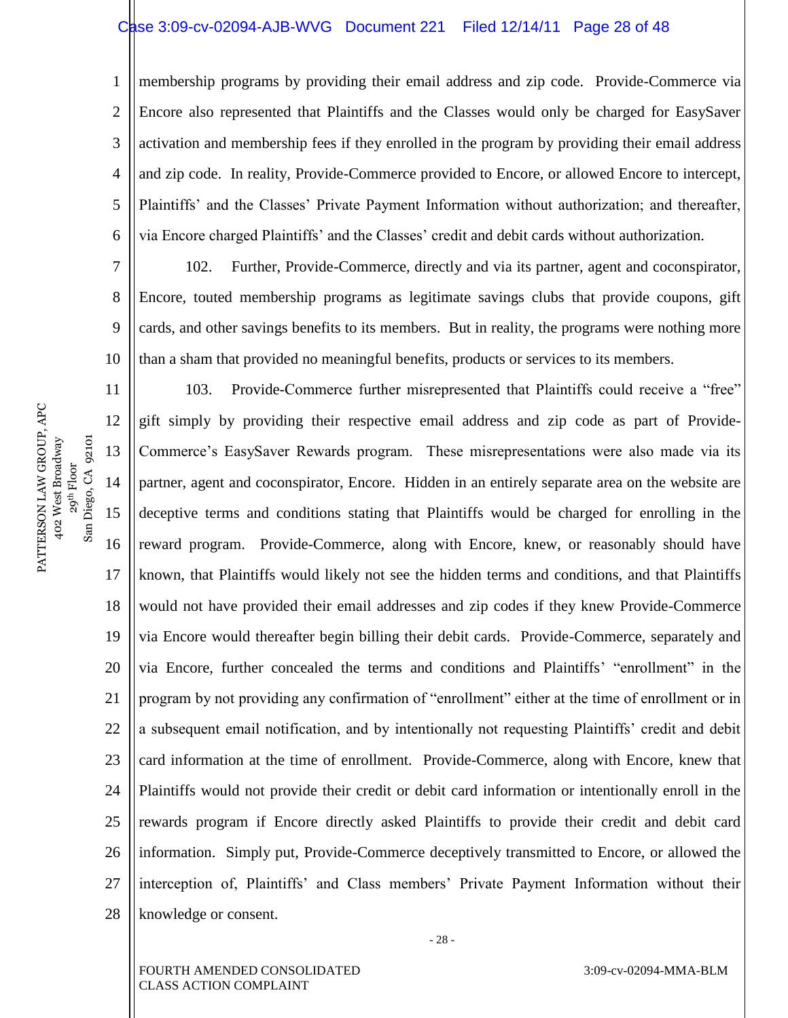#### Case 3:09-cv-02094-AJB-WVG Document 221 Filed 12/14/11 Page 28 of 48

1 2 3 4 5 6 membership programs by providing their email address and zip code. Provide-Commerce via Encore also represented that Plaintiffs and the Classes would only be charged for EasySaver activation and membership fees if they enrolled in the program by providing their email address and zip code. In reality, Provide-Commerce provided to Encore, or allowed Encore to intercept, Plaintiffs' and the Classes' Private Payment Information without authorization; and thereafter, via Encore charged Plaintiffs' and the Classes' credit and debit cards without authorization.

7 8 9 10 102. Further, Provide-Commerce, directly and via its partner, agent and coconspirator, Encore, touted membership programs as legitimate savings clubs that provide coupons, gift cards, and other savings benefits to its members. But in reality, the programs were nothing more than a sham that provided no meaningful benefits, products or services to its members.

11 12 13 14 15 16 17 18 19 20 21 22 23 24 25 26 27 28 103. Provide-Commerce further misrepresented that Plaintiffs could receive a "free" gift simply by providing their respective email address and zip code as part of Provide-Commerce's EasySaver Rewards program. These misrepresentations were also made via its partner, agent and coconspirator, Encore. Hidden in an entirely separate area on the website are deceptive terms and conditions stating that Plaintiffs would be charged for enrolling in the reward program. Provide-Commerce, along with Encore, knew, or reasonably should have known, that Plaintiffs would likely not see the hidden terms and conditions, and that Plaintiffs would not have provided their email addresses and zip codes if they knew Provide-Commerce via Encore would thereafter begin billing their debit cards. Provide-Commerce, separately and via Encore, further concealed the terms and conditions and Plaintiffs' "enrollment" in the program by not providing any confirmation of "enrollment" either at the time of enrollment or in a subsequent email notification, and by intentionally not requesting Plaintiffs' credit and debit card information at the time of enrollment. Provide-Commerce, along with Encore, knew that Plaintiffs would not provide their credit or debit card information or intentionally enroll in the rewards program if Encore directly asked Plaintiffs to provide their credit and debit card information. Simply put, Provide-Commerce deceptively transmitted to Encore, or allowed the interception of, Plaintiffs' and Class members' Private Payment Information without their knowledge or consent.

PATTERSON LAW GROUP, APC PATTERSON LAW GROUP, APC 402 West Broadway 29<sup>th</sup> Floor<br>Diego, CA 92101 San Diego, CA 92101 402 West Broadway  $San$ 

- 28 -

FOURTH AMENDED CONSOLIDATED CLASS ACTION COMPLAINT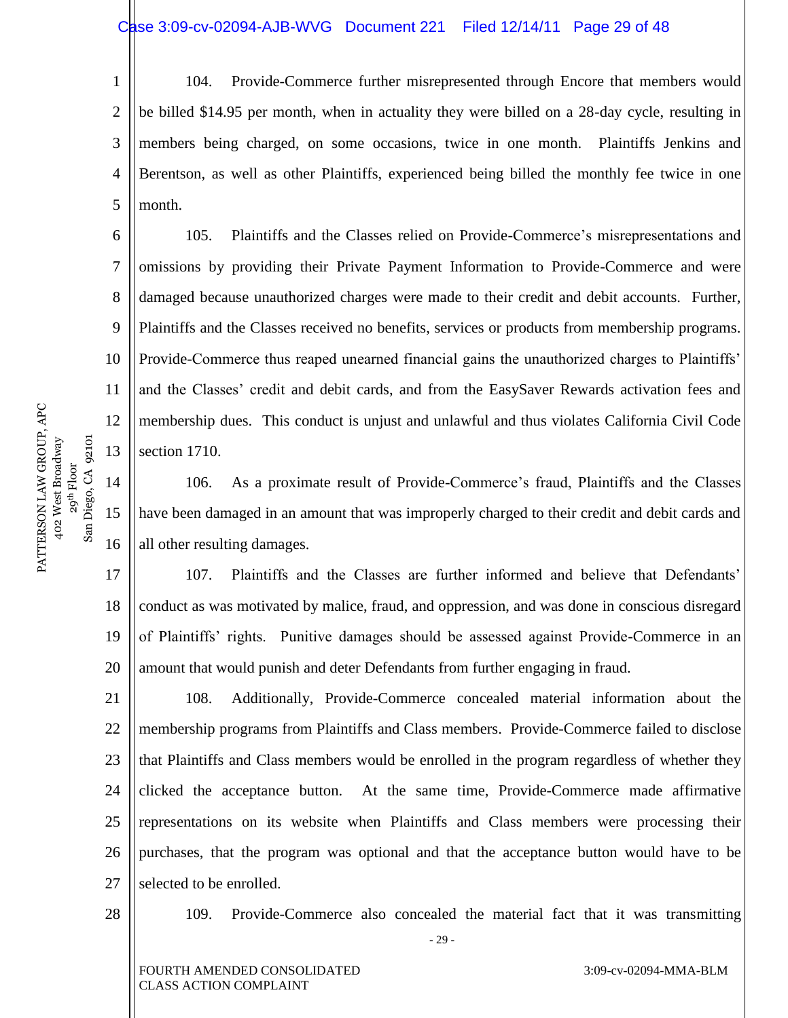1 2 3 4 5 104. Provide-Commerce further misrepresented through Encore that members would be billed \$14.95 per month, when in actuality they were billed on a 28-day cycle, resulting in members being charged, on some occasions, twice in one month. Plaintiffs Jenkins and Berentson, as well as other Plaintiffs, experienced being billed the monthly fee twice in one month.

105. Plaintiffs and the Classes relied on Provide-Commerce's misrepresentations and omissions by providing their Private Payment Information to Provide-Commerce and were damaged because unauthorized charges were made to their credit and debit accounts. Further, Plaintiffs and the Classes received no benefits, services or products from membership programs. Provide-Commerce thus reaped unearned financial gains the unauthorized charges to Plaintiffs' and the Classes' credit and debit cards, and from the EasySaver Rewards activation fees and membership dues. This conduct is unjust and unlawful and thus violates California Civil Code section 1710.

106. As a proximate result of Provide-Commerce's fraud, Plaintiffs and the Classes have been damaged in an amount that was improperly charged to their credit and debit cards and all other resulting damages.

17 18 19 20 107. Plaintiffs and the Classes are further informed and believe that Defendants' conduct as was motivated by malice, fraud, and oppression, and was done in conscious disregard of Plaintiffs' rights. Punitive damages should be assessed against Provide-Commerce in an amount that would punish and deter Defendants from further engaging in fraud.

21 22 23 24 25 26 27 108. Additionally, Provide-Commerce concealed material information about the membership programs from Plaintiffs and Class members. Provide-Commerce failed to disclose that Plaintiffs and Class members would be enrolled in the program regardless of whether they clicked the acceptance button. At the same time, Provide-Commerce made affirmative representations on its website when Plaintiffs and Class members were processing their purchases, that the program was optional and that the acceptance button would have to be selected to be enrolled.

28

- 29 - 109. Provide-Commerce also concealed the material fact that it was transmitting

FOURTH AMENDED CONSOLIDATED CLASS ACTION COMPLAINT

6

7

8

9

10

11

12

13

14

15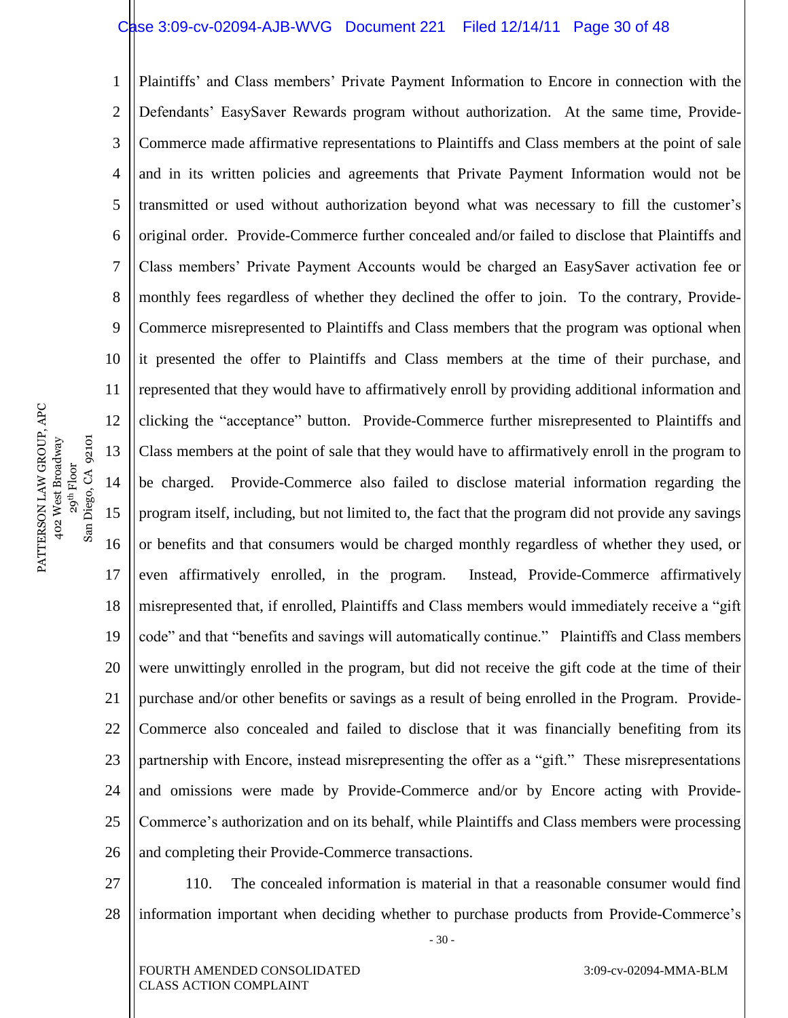#### Case 3:09-cv-02094-AJB-WVG Document 221 Filed 12/14/11 Page 30 of 48

1 2 3 4 5 6 7 8 9 10 11 12 13 14 15 16 17 18 19 20 21 22 23 24 25 26 Plaintiffs' and Class members' Private Payment Information to Encore in connection with the Defendants' EasySaver Rewards program without authorization. At the same time, Provide-Commerce made affirmative representations to Plaintiffs and Class members at the point of sale and in its written policies and agreements that Private Payment Information would not be transmitted or used without authorization beyond what was necessary to fill the customer's original order. Provide-Commerce further concealed and/or failed to disclose that Plaintiffs and Class members' Private Payment Accounts would be charged an EasySaver activation fee or monthly fees regardless of whether they declined the offer to join. To the contrary, Provide-Commerce misrepresented to Plaintiffs and Class members that the program was optional when it presented the offer to Plaintiffs and Class members at the time of their purchase, and represented that they would have to affirmatively enroll by providing additional information and clicking the "acceptance" button. Provide-Commerce further misrepresented to Plaintiffs and Class members at the point of sale that they would have to affirmatively enroll in the program to be charged. Provide-Commerce also failed to disclose material information regarding the program itself, including, but not limited to, the fact that the program did not provide any savings or benefits and that consumers would be charged monthly regardless of whether they used, or even affirmatively enrolled, in the program. Instead, Provide-Commerce affirmatively misrepresented that, if enrolled, Plaintiffs and Class members would immediately receive a "gift" code" and that "benefits and savings will automatically continue." Plaintiffs and Class members were unwittingly enrolled in the program, but did not receive the gift code at the time of their purchase and/or other benefits or savings as a result of being enrolled in the Program. Provide-Commerce also concealed and failed to disclose that it was financially benefiting from its partnership with Encore, instead misrepresenting the offer as a "gift." These misrepresentations and omissions were made by Provide-Commerce and/or by Encore acting with Provide-Commerce's authorization and on its behalf, while Plaintiffs and Class members were processing and completing their Provide-Commerce transactions.

- 27
- 28

110. The concealed information is material in that a reasonable consumer would find information important when deciding whether to purchase products from Provide-Commerce's

- 30 -

PATTERSON LAW GROUP, APC PATTERSON LAW GROUP, APC 402 West Broadway 29<sup>th</sup> Floor<br>Diego, CA 92101 402 West Broadway

San Diego, CA 92101

 $San$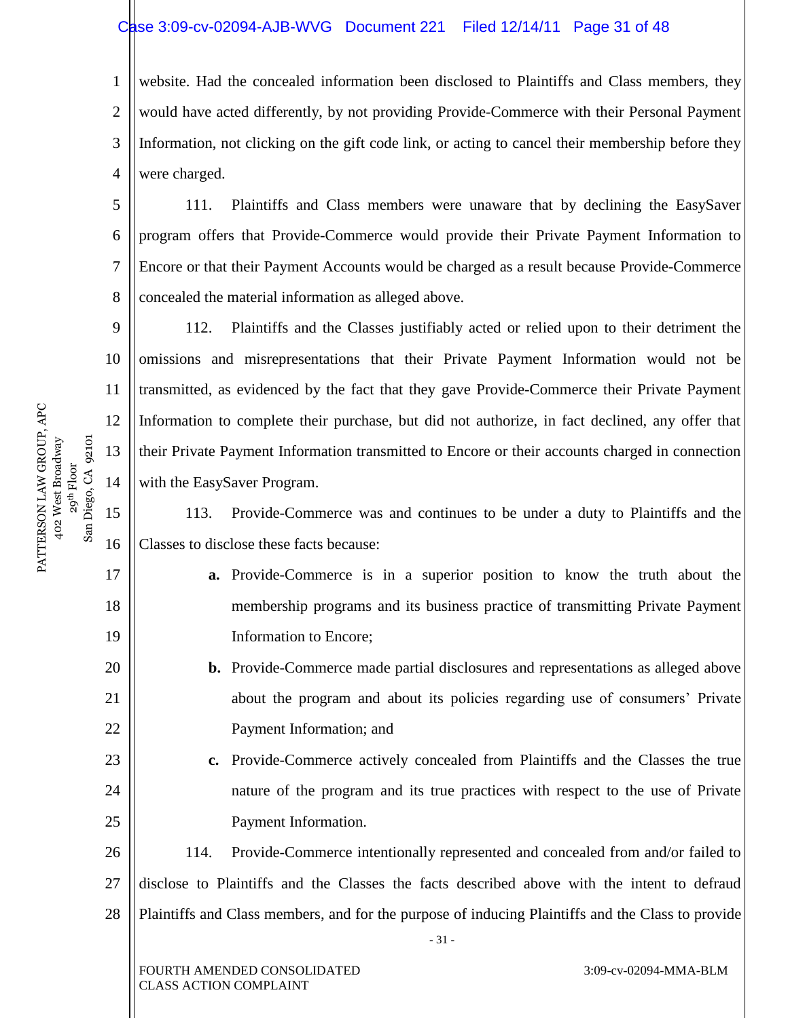# Case 3:09-cv-02094-AJB-WVG Document 221 Filed 12/14/11 Page 31 of 48

1 2 3 4 website. Had the concealed information been disclosed to Plaintiffs and Class members, they would have acted differently, by not providing Provide-Commerce with their Personal Payment Information, not clicking on the gift code link, or acting to cancel their membership before they were charged.

111. Plaintiffs and Class members were unaware that by declining the EasySaver program offers that Provide-Commerce would provide their Private Payment Information to Encore or that their Payment Accounts would be charged as a result because Provide-Commerce concealed the material information as alleged above.

112. Plaintiffs and the Classes justifiably acted or relied upon to their detriment the omissions and misrepresentations that their Private Payment Information would not be transmitted, as evidenced by the fact that they gave Provide-Commerce their Private Payment Information to complete their purchase, but did not authorize, in fact declined, any offer that their Private Payment Information transmitted to Encore or their accounts charged in connection with the EasySaver Program.

15 16 113. Provide-Commerce was and continues to be under a duty to Plaintiffs and the Classes to disclose these facts because:

- **a.** Provide-Commerce is in a superior position to know the truth about the membership programs and its business practice of transmitting Private Payment Information to Encore;
- **b.** Provide-Commerce made partial disclosures and representations as alleged above about the program and about its policies regarding use of consumers' Private Payment Information; and
- **c.** Provide-Commerce actively concealed from Plaintiffs and the Classes the true nature of the program and its true practices with respect to the use of Private Payment Information.

26 27 28 114. Provide-Commerce intentionally represented and concealed from and/or failed to disclose to Plaintiffs and the Classes the facts described above with the intent to defraud Plaintiffs and Class members, and for the purpose of inducing Plaintiffs and the Class to provide

- 31 -

PATTERSON LAW GROUP, APC PATTERSON LAW GROUP, APC 402 West Broadway 29<sup>th</sup> Floor<br>Diego, CA 92101 San Diego, CA 92101 402 West Broadway  $San$ 

5

6

7

8

9

10

11

12

13

14

17

18

19

20

21

22

23

24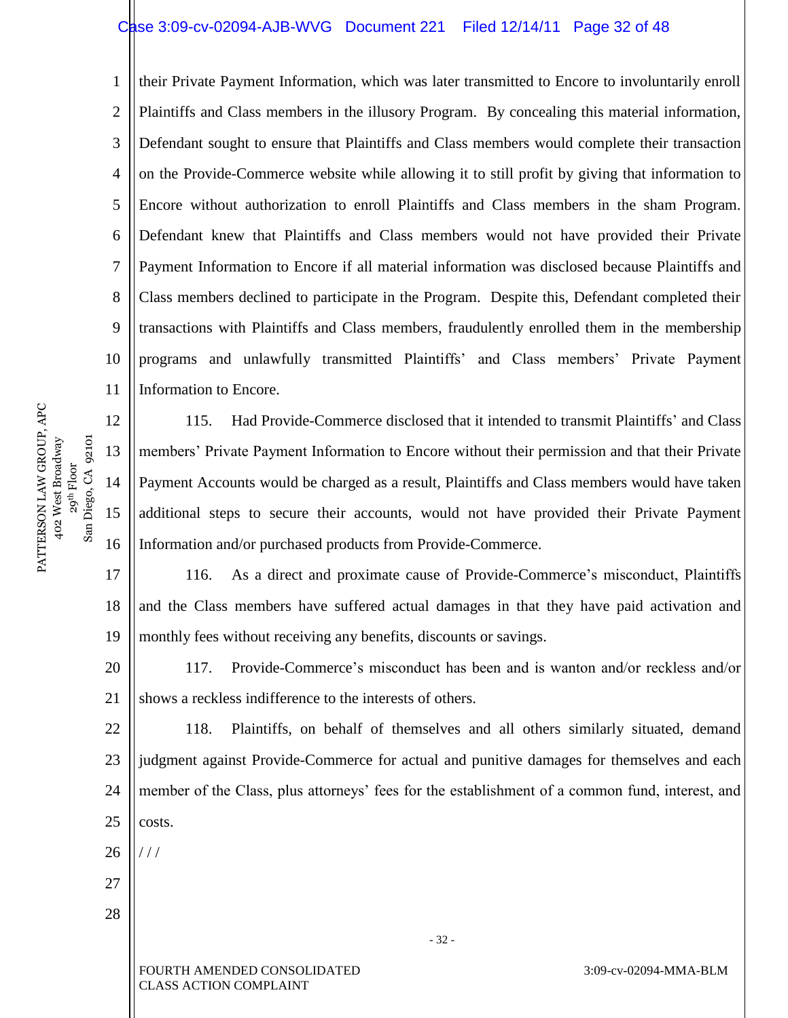# Case 3:09-cv-02094-AJB-WVG Document 221 Filed 12/14/11 Page 32 of 48

1 2 3 4 5 6 7 8 9 10 11 their Private Payment Information, which was later transmitted to Encore to involuntarily enroll Plaintiffs and Class members in the illusory Program. By concealing this material information, Defendant sought to ensure that Plaintiffs and Class members would complete their transaction on the Provide-Commerce website while allowing it to still profit by giving that information to Encore without authorization to enroll Plaintiffs and Class members in the sham Program. Defendant knew that Plaintiffs and Class members would not have provided their Private Payment Information to Encore if all material information was disclosed because Plaintiffs and Class members declined to participate in the Program. Despite this, Defendant completed their transactions with Plaintiffs and Class members, fraudulently enrolled them in the membership programs and unlawfully transmitted Plaintiffs' and Class members' Private Payment Information to Encore.

12 115. Had Provide-Commerce disclosed that it intended to transmit Plaintiffs' and Class members' Private Payment Information to Encore without their permission and that their Private Payment Accounts would be charged as a result, Plaintiffs and Class members would have taken additional steps to secure their accounts, would not have provided their Private Payment Information and/or purchased products from Provide-Commerce.

17 18 19 116. As a direct and proximate cause of Provide-Commerce's misconduct, Plaintiffs and the Class members have suffered actual damages in that they have paid activation and monthly fees without receiving any benefits, discounts or savings.

20 21 117. Provide-Commerce's misconduct has been and is wanton and/or reckless and/or shows a reckless indifference to the interests of others.

22 23 24 25 118. Plaintiffs, on behalf of themselves and all others similarly situated, demand judgment against Provide-Commerce for actual and punitive damages for themselves and each member of the Class, plus attorneys' fees for the establishment of a common fund, interest, and costs.

26 / / /

- 27
- 28

FOURTH AMENDED CONSOLIDATED CLASS ACTION COMPLAINT

3:09-cv-02094-MMA-BLM

PATTERSON LAW GROUP, APC PATTERSON LAW GROUP, APC 402 West Broadway 29<sup>th</sup> Floor<br>Diego, CA 92101 San Diego, CA 92101 402 West Broadway  $San$ 

13

14

15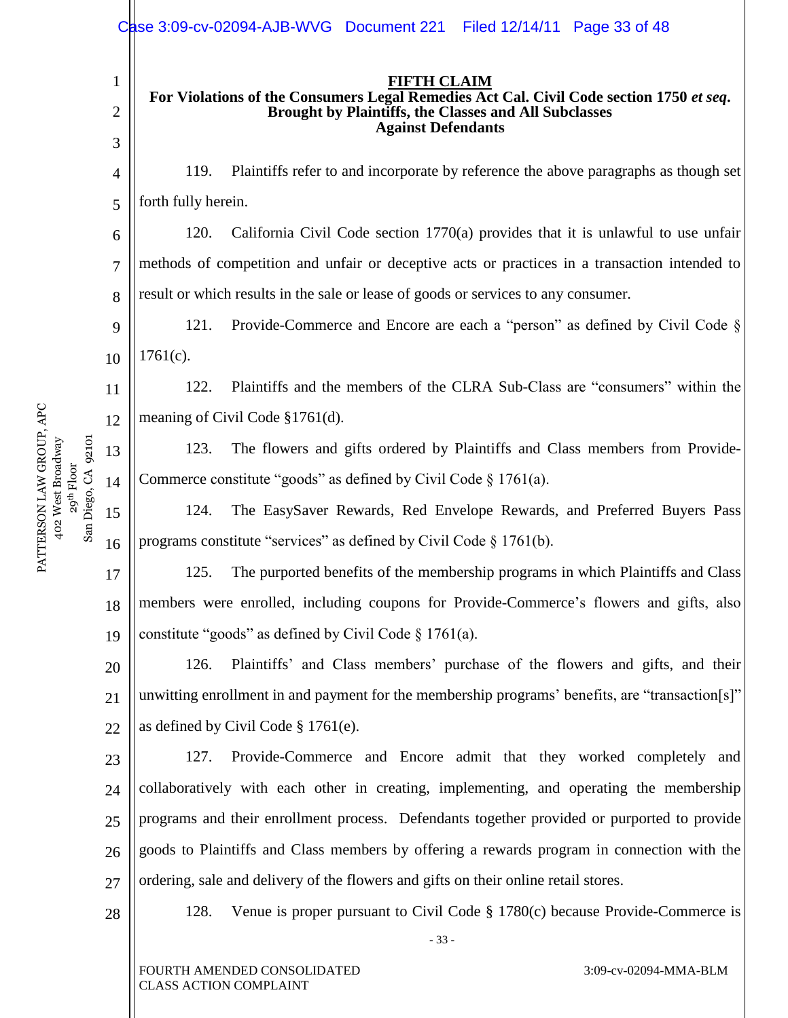|                                             |                | Case 3:09-cv-02094-AJB-WVG Document 221 Filed 12/14/11 Page 33 of 48                                                                                                          |  |  |  |  |  |
|---------------------------------------------|----------------|-------------------------------------------------------------------------------------------------------------------------------------------------------------------------------|--|--|--|--|--|
|                                             | $\mathbf 1$    | <b>FIFTH CLAIM</b><br>For Violations of the Consumers Legal Remedies Act Cal. Civil Code section 1750 et seq.<br><b>Brought by Plaintiffs, the Classes and All Subclasses</b> |  |  |  |  |  |
|                                             | $\overline{2}$ |                                                                                                                                                                               |  |  |  |  |  |
|                                             | 3              | <b>Against Defendants</b>                                                                                                                                                     |  |  |  |  |  |
|                                             | 4              | Plaintiffs refer to and incorporate by reference the above paragraphs as though set<br>119.                                                                                   |  |  |  |  |  |
|                                             | 5              | forth fully herein.                                                                                                                                                           |  |  |  |  |  |
|                                             | 6              | California Civil Code section 1770(a) provides that it is unlawful to use unfair<br>120.                                                                                      |  |  |  |  |  |
|                                             | $\overline{7}$ | methods of competition and unfair or deceptive acts or practices in a transaction intended to                                                                                 |  |  |  |  |  |
|                                             | 8              | result or which results in the sale or lease of goods or services to any consumer.                                                                                            |  |  |  |  |  |
|                                             | 9              | Provide-Commerce and Encore are each a "person" as defined by Civil Code §<br>121.                                                                                            |  |  |  |  |  |
|                                             | 10             | $1761(c)$ .                                                                                                                                                                   |  |  |  |  |  |
|                                             | 11             | Plaintiffs and the members of the CLRA Sub-Class are "consumers" within the<br>122.                                                                                           |  |  |  |  |  |
|                                             | 12             | meaning of Civil Code §1761(d).                                                                                                                                               |  |  |  |  |  |
| 92101                                       | 13             | The flowers and gifts ordered by Plaintiffs and Class members from Provide-<br>123.                                                                                           |  |  |  |  |  |
| 402 West Broadway<br>29 <sup>th</sup> Floor | 14             | Commerce constitute "goods" as defined by Civil Code § 1761(a).                                                                                                               |  |  |  |  |  |
| San Diego, CA                               | 15             | The EasySaver Rewards, Red Envelope Rewards, and Preferred Buyers Pass<br>124.                                                                                                |  |  |  |  |  |
| PATTERSON LAW GROUP, APC                    | 16             | programs constitute "services" as defined by Civil Code § 1761(b).                                                                                                            |  |  |  |  |  |
|                                             | 17             | 125.<br>The purported benefits of the membership programs in which Plaintiffs and Class                                                                                       |  |  |  |  |  |
|                                             | 18             | members were enrolled, including coupons for Provide-Commerce's flowers and gifts, also                                                                                       |  |  |  |  |  |
|                                             | 19             | constitute "goods" as defined by Civil Code $\S$ 1761(a).                                                                                                                     |  |  |  |  |  |
|                                             | 20             | Plaintiffs' and Class members' purchase of the flowers and gifts, and their<br>126.                                                                                           |  |  |  |  |  |
|                                             | 21             | unwitting enrollment in and payment for the membership programs' benefits, are "transaction[s]"                                                                               |  |  |  |  |  |
|                                             | 22             | as defined by Civil Code $\S 1761(e)$ .                                                                                                                                       |  |  |  |  |  |
|                                             | 23             | Provide-Commerce and Encore admit that they worked completely and<br>127.                                                                                                     |  |  |  |  |  |
|                                             | 24             | collaboratively with each other in creating, implementing, and operating the membership                                                                                       |  |  |  |  |  |
|                                             | 25             | programs and their enrollment process. Defendants together provided or purported to provide                                                                                   |  |  |  |  |  |
|                                             | 26             | goods to Plaintiffs and Class members by offering a rewards program in connection with the                                                                                    |  |  |  |  |  |
|                                             | 27             | ordering, sale and delivery of the flowers and gifts on their online retail stores.                                                                                           |  |  |  |  |  |
|                                             | 28             | 128.<br>Venue is proper pursuant to Civil Code $\S 1780(c)$ because Provide-Commerce is                                                                                       |  |  |  |  |  |
|                                             |                | $-33-$                                                                                                                                                                        |  |  |  |  |  |
|                                             |                |                                                                                                                                                                               |  |  |  |  |  |

FOURTH AMENDED CONSOLIDATED CLASS ACTION COMPLAINT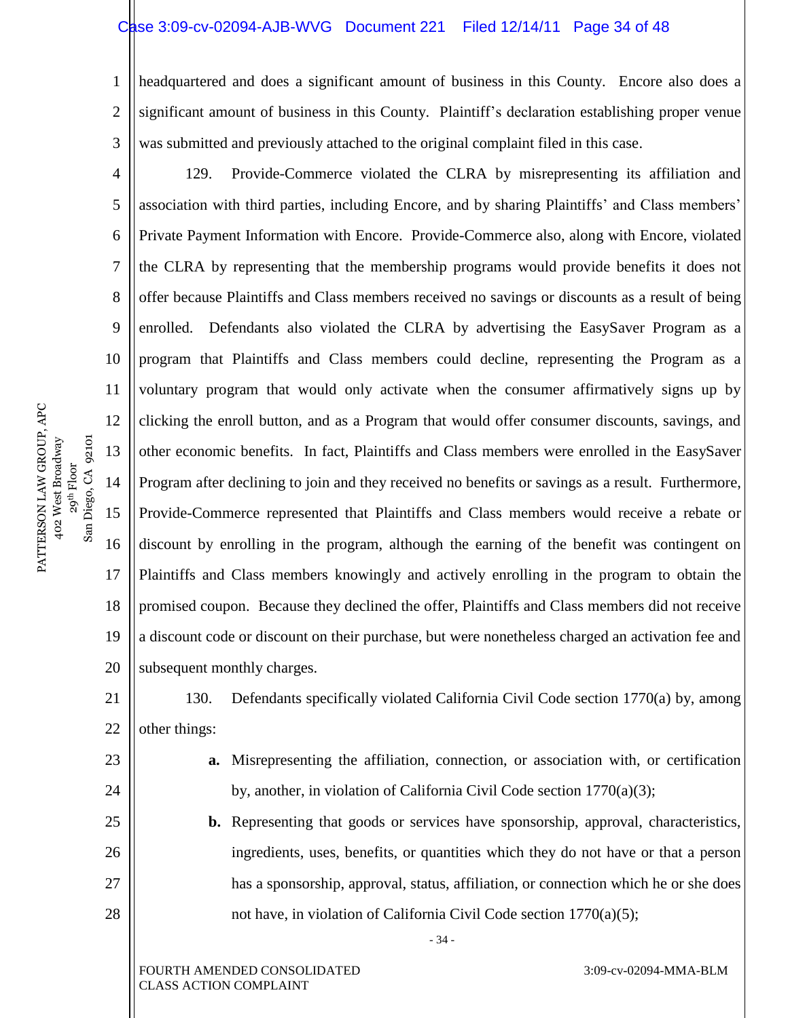# Case 3:09-cv-02094-AJB-WVG Document 221 Filed 12/14/11 Page 34 of 48

1 2 3 headquartered and does a significant amount of business in this County. Encore also does a significant amount of business in this County. Plaintiff's declaration establishing proper venue was submitted and previously attached to the original complaint filed in this case.

4 5 6 7 8 9 10 11 12 13 14 15 16 17 18 19 20 129. Provide-Commerce violated the CLRA by misrepresenting its affiliation and association with third parties, including Encore, and by sharing Plaintiffs' and Class members' Private Payment Information with Encore. Provide-Commerce also, along with Encore, violated the CLRA by representing that the membership programs would provide benefits it does not offer because Plaintiffs and Class members received no savings or discounts as a result of being enrolled. Defendants also violated the CLRA by advertising the EasySaver Program as a program that Plaintiffs and Class members could decline, representing the Program as a voluntary program that would only activate when the consumer affirmatively signs up by clicking the enroll button, and as a Program that would offer consumer discounts, savings, and other economic benefits. In fact, Plaintiffs and Class members were enrolled in the EasySaver Program after declining to join and they received no benefits or savings as a result. Furthermore, Provide-Commerce represented that Plaintiffs and Class members would receive a rebate or discount by enrolling in the program, although the earning of the benefit was contingent on Plaintiffs and Class members knowingly and actively enrolling in the program to obtain the promised coupon. Because they declined the offer, Plaintiffs and Class members did not receive a discount code or discount on their purchase, but were nonetheless charged an activation fee and subsequent monthly charges.

21 22 130. Defendants specifically violated California Civil Code section 1770(a) by, among other things:

> **a.** Misrepresenting the affiliation, connection, or association with, or certification by, another, in violation of California Civil Code section 1770(a)(3);

**b.** Representing that goods or services have sponsorship, approval, characteristics, ingredients, uses, benefits, or quantities which they do not have or that a person has a sponsorship, approval, status, affiliation, or connection which he or she does not have, in violation of California Civil Code section 1770(a)(5);

- 34 -

PATTERSON LAW GROUP, APC PATTERSON LAW GROUP, APC 29<sup>th</sup> Floor<br>Diego, CA 92101 402 West Broadway San Diego, CA 92101 402 West Broadway San 1

23

24

25

26

27

28

FOURTH AMENDED CONSOLIDATED CLASS ACTION COMPLAINT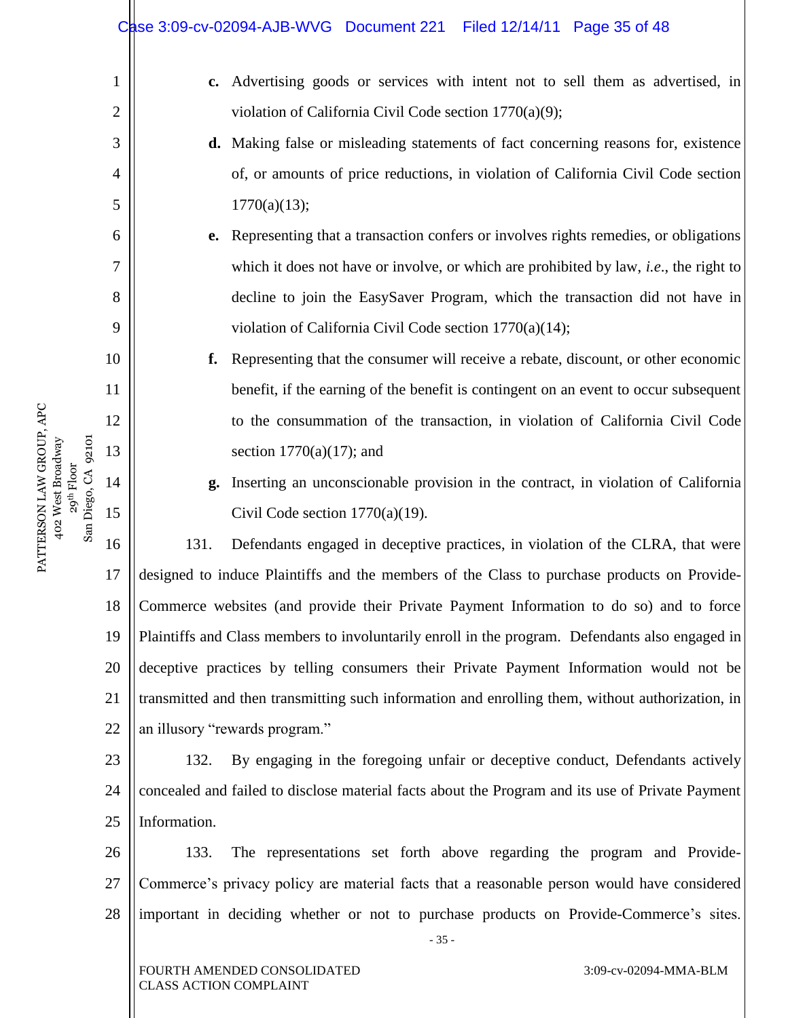|    | Case 3:09-cv-02094-AJB-WVG Document 221   Filed 12/14/11   Page 35 of 48                         |
|----|--------------------------------------------------------------------------------------------------|
| 1  | c. Advertising goods or services with intent not to sell them as advertised, in                  |
| 2  | violation of California Civil Code section 1770(a)(9);                                           |
| 3  | d. Making false or misleading statements of fact concerning reasons for, existence               |
| 4  | of, or amounts of price reductions, in violation of California Civil Code section                |
| 5  | 1770(a)(13);                                                                                     |
| 6  | Representing that a transaction confers or involves rights remedies, or obligations<br>e.        |
| 7  | which it does not have or involve, or which are prohibited by law, <i>i.e.</i> , the right to    |
| 8  | decline to join the EasySaver Program, which the transaction did not have in                     |
| 9  | violation of California Civil Code section $1770(a)(14)$ ;                                       |
| 10 | Representing that the consumer will receive a rebate, discount, or other economic<br>f.          |
| 11 | benefit, if the earning of the benefit is contingent on an event to occur subsequent             |
| 12 | to the consummation of the transaction, in violation of California Civil Code                    |
| 13 | section $1770(a)(17)$ ; and                                                                      |
| 14 | Inserting an unconscionable provision in the contract, in violation of California<br>g.          |
| 15 | Civil Code section $1770(a)(19)$ .                                                               |
| 16 | 131.<br>Defendants engaged in deceptive practices, in violation of the CLRA, that were           |
| 17 | designed to induce Plaintiffs and the members of the Class to purchase products on Provide-      |
| 18 | Commerce websites (and provide their Private Payment Information to do so) and to force          |
| 19 | Plaintiffs and Class members to involuntarily enroll in the program. Defendants also engaged in  |
| 20 | deceptive practices by telling consumers their Private Payment Information would not be          |
| 21 | transmitted and then transmitting such information and enrolling them, without authorization, in |
| 22 | an illusory "rewards program."                                                                   |
| 23 | By engaging in the foregoing unfair or deceptive conduct, Defendants actively<br>132.            |
| 24 | concealed and failed to disclose material facts about the Program and its use of Private Payment |
| 25 | Information.                                                                                     |
| 26 | The representations set forth above regarding the program and Provide-<br>133.                   |
| 27 | Commerce's privacy policy are material facts that a reasonable person would have considered      |
| 28 | important in deciding whether or not to purchase products on Provide-Commerce's sites.<br>$-35-$ |
|    | 3:09-cv-02094-MMA-BLM<br>FOURTH AMENDED CONSOLIDATED<br><b>CLASS ACTION COMPLAINT</b>            |
|    |                                                                                                  |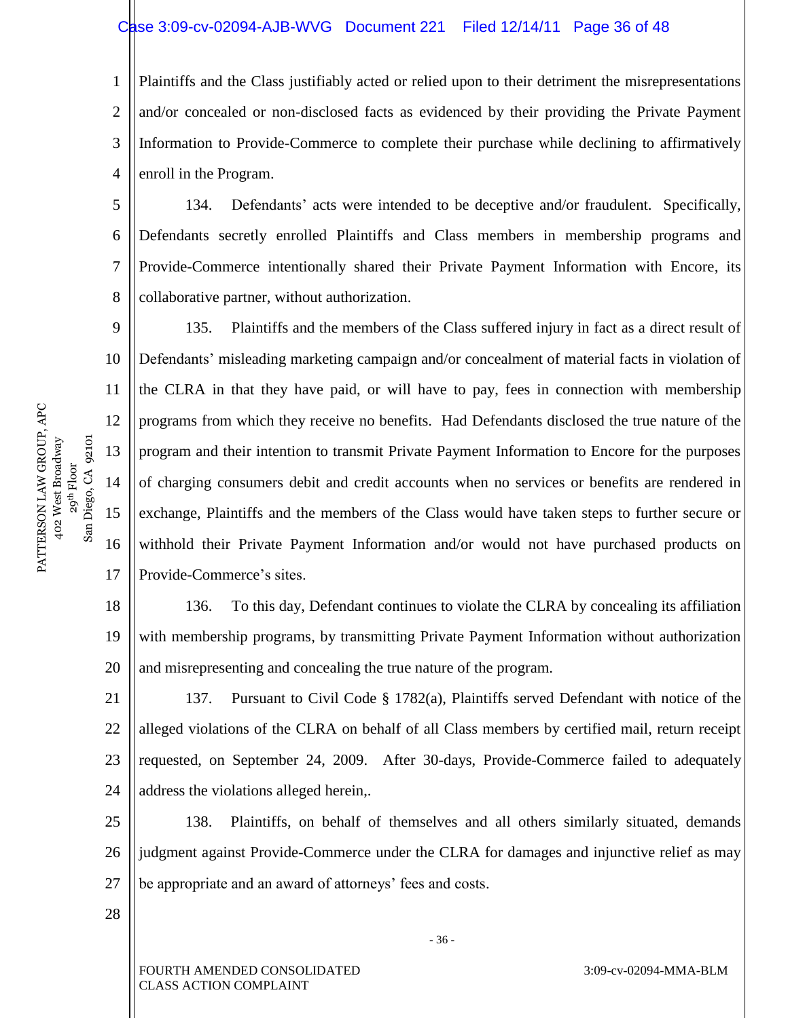### Case 3:09-cv-02094-AJB-WVG Document 221 Filed 12/14/11 Page 36 of 48

1 2 3 4 Plaintiffs and the Class justifiably acted or relied upon to their detriment the misrepresentations and/or concealed or non-disclosed facts as evidenced by their providing the Private Payment Information to Provide-Commerce to complete their purchase while declining to affirmatively enroll in the Program.

5 6 7 8 134. Defendants' acts were intended to be deceptive and/or fraudulent. Specifically, Defendants secretly enrolled Plaintiffs and Class members in membership programs and Provide-Commerce intentionally shared their Private Payment Information with Encore, its collaborative partner, without authorization.

9 10 11 12 13 14 15 16 17 135. Plaintiffs and the members of the Class suffered injury in fact as a direct result of Defendants' misleading marketing campaign and/or concealment of material facts in violation of the CLRA in that they have paid, or will have to pay, fees in connection with membership programs from which they receive no benefits. Had Defendants disclosed the true nature of the program and their intention to transmit Private Payment Information to Encore for the purposes of charging consumers debit and credit accounts when no services or benefits are rendered in exchange, Plaintiffs and the members of the Class would have taken steps to further secure or withhold their Private Payment Information and/or would not have purchased products on Provide-Commerce's sites.

18 19 20 136. To this day, Defendant continues to violate the CLRA by concealing its affiliation with membership programs, by transmitting Private Payment Information without authorization and misrepresenting and concealing the true nature of the program.

21 22 23 24 137. Pursuant to Civil Code § 1782(a), Plaintiffs served Defendant with notice of the alleged violations of the CLRA on behalf of all Class members by certified mail, return receipt requested, on September 24, 2009. After 30-days, Provide-Commerce failed to adequately address the violations alleged herein,.

25 26 27 138. Plaintiffs, on behalf of themselves and all others similarly situated, demands judgment against Provide-Commerce under the CLRA for damages and injunctive relief as may be appropriate and an award of attorneys' fees and costs.

28

FOURTH AMENDED CONSOLIDATED CLASS ACTION COMPLAINT

- 36 -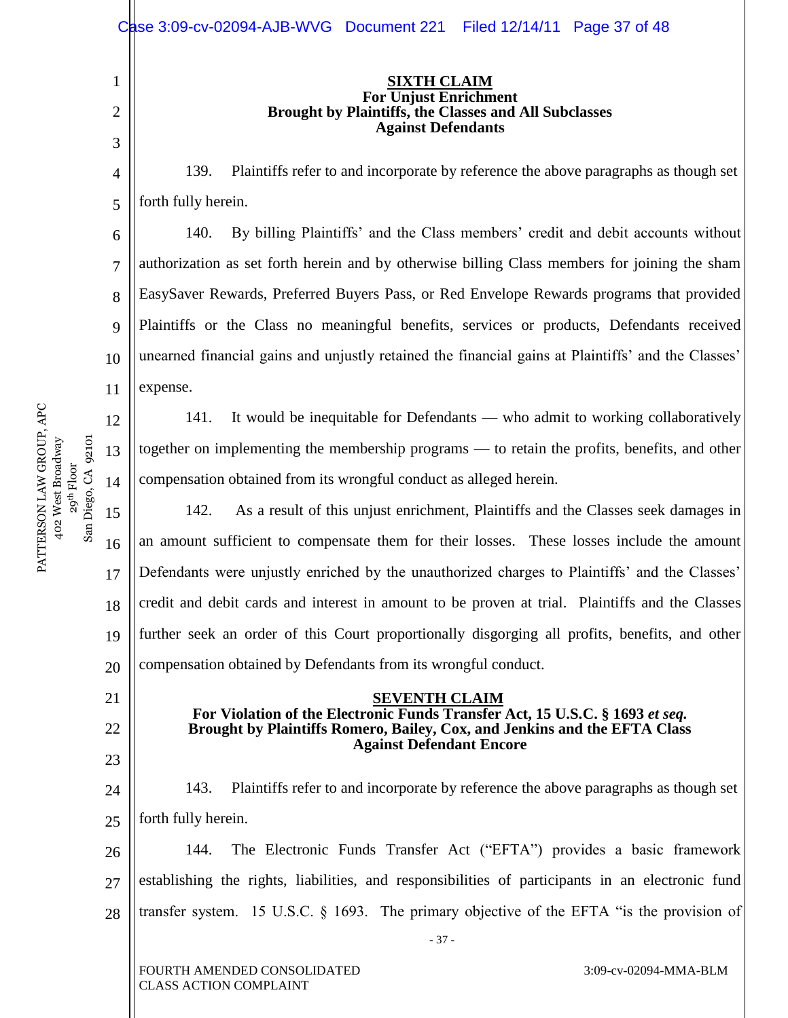|                     |                                | Case 3:09-cv-02094-AJB-WVG Document 221<br>Filed 12/14/11 Page 37 of 48                                                                                   |  |  |  |  |  |  |
|---------------------|--------------------------------|-----------------------------------------------------------------------------------------------------------------------------------------------------------|--|--|--|--|--|--|
|                     | $\mathbf{1}$<br>$\overline{2}$ | <b>SIXTH CLAIM</b><br><b>For Unjust Enrichment</b><br>Brought by Plaintiffs, the Classes and All Subclasses<br><b>Against Defendants</b>                  |  |  |  |  |  |  |
|                     | 3                              |                                                                                                                                                           |  |  |  |  |  |  |
|                     | $\overline{4}$                 | Plaintiffs refer to and incorporate by reference the above paragraphs as though set<br>139.                                                               |  |  |  |  |  |  |
|                     | 5                              | forth fully herein.                                                                                                                                       |  |  |  |  |  |  |
|                     | 6                              | 140.<br>By billing Plaintiffs' and the Class members' credit and debit accounts without                                                                   |  |  |  |  |  |  |
|                     | $\tau$                         | authorization as set forth herein and by otherwise billing Class members for joining the sham                                                             |  |  |  |  |  |  |
|                     | 8                              | EasySaver Rewards, Preferred Buyers Pass, or Red Envelope Rewards programs that provided                                                                  |  |  |  |  |  |  |
|                     | 9                              | Plaintiffs or the Class no meaningful benefits, services or products, Defendants received                                                                 |  |  |  |  |  |  |
|                     | 10                             | unearned financial gains and unjustly retained the financial gains at Plaintiffs' and the Classes'                                                        |  |  |  |  |  |  |
|                     | 11                             | expense.                                                                                                                                                  |  |  |  |  |  |  |
|                     | 12                             | It would be inequitable for Defendants — who admit to working collaboratively<br>141.                                                                     |  |  |  |  |  |  |
|                     | 13                             | together on implementing the membership programs — to retain the profits, benefits, and other                                                             |  |  |  |  |  |  |
|                     | 14                             | compensation obtained from its wrongful conduct as alleged herein.                                                                                        |  |  |  |  |  |  |
| San Diego, CA 92101 | 15                             | 142.<br>As a result of this unjust enrichment, Plaintiffs and the Classes seek damages in                                                                 |  |  |  |  |  |  |
|                     | 16                             | an amount sufficient to compensate them for their losses. These losses include the amount                                                                 |  |  |  |  |  |  |
|                     | 17                             | Defendants were unjustly enriched by the unauthorized charges to Plaintiffs' and the Classes'                                                             |  |  |  |  |  |  |
|                     | 18                             | credit and debit cards and interest in amount to be proven at trial. Plaintiffs and the Classes                                                           |  |  |  |  |  |  |
|                     | 19                             | further seek an order of this Court proportionally disgorging all profits, benefits, and other                                                            |  |  |  |  |  |  |
|                     | 20                             | compensation obtained by Defendants from its wrongful conduct.                                                                                            |  |  |  |  |  |  |
|                     | 21                             | <b>SEVENTH CLAIM</b>                                                                                                                                      |  |  |  |  |  |  |
|                     | 22                             | For Violation of the Electronic Funds Transfer Act, 15 U.S.C. § 1693 et seq.<br>Brought by Plaintiffs Romero, Bailey, Cox, and Jenkins and the EFTA Class |  |  |  |  |  |  |
|                     | 23                             | <b>Against Defendant Encore</b>                                                                                                                           |  |  |  |  |  |  |
|                     | 24                             | Plaintiffs refer to and incorporate by reference the above paragraphs as though set<br>143.                                                               |  |  |  |  |  |  |
|                     | 25                             | forth fully herein.                                                                                                                                       |  |  |  |  |  |  |
|                     | 26                             | The Electronic Funds Transfer Act ("EFTA") provides a basic framework<br>144.                                                                             |  |  |  |  |  |  |
|                     | 27                             | establishing the rights, liabilities, and responsibilities of participants in an electronic fund                                                          |  |  |  |  |  |  |
|                     | 28                             | transfer system. 15 U.S.C. $\S$ 1693. The primary objective of the EFTA "is the provision of                                                              |  |  |  |  |  |  |
|                     |                                | $-37-$                                                                                                                                                    |  |  |  |  |  |  |
|                     |                                | FOURTH AMENDED CONSOLIDATED<br>3:09-cv-02094-MMA-BLM<br><b>CLASS ACTION COMPLAINT</b>                                                                     |  |  |  |  |  |  |

PATTERSON LAW GROUP, APC 402 West Broadway PATTERSON LAW GROUP, APC<br>402 West Broadway<br>29<sup>th</sup> Floor<br>San Diego. CA 92101

 $\mathbb{I}$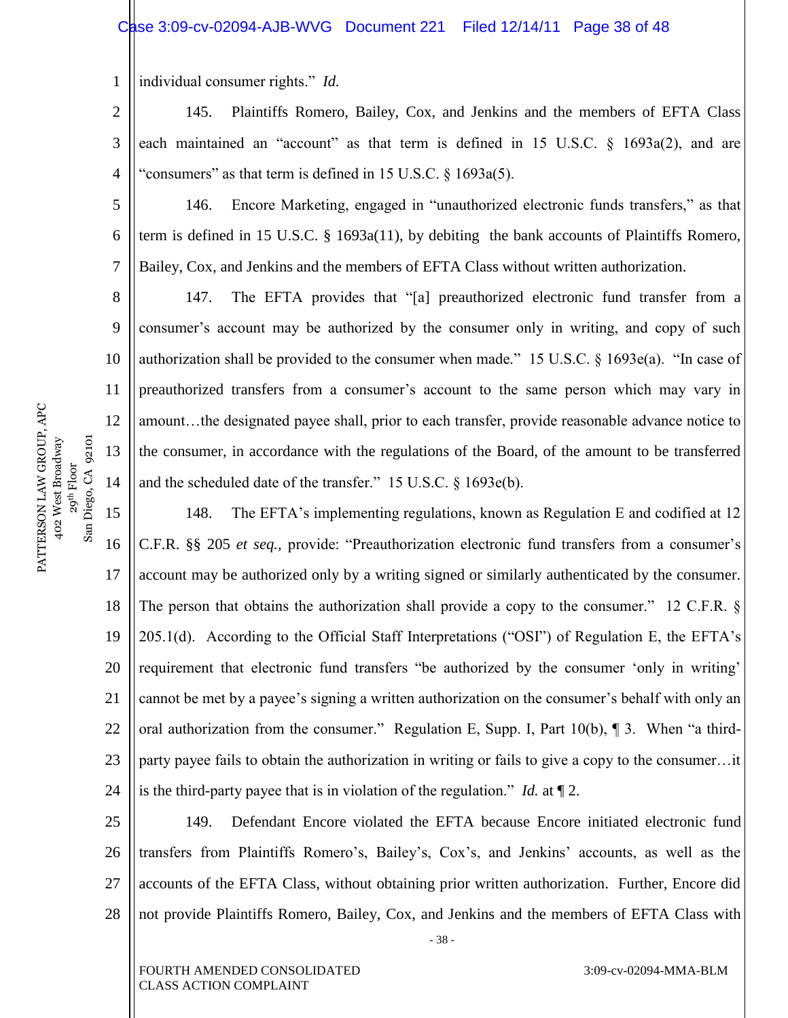#### Case 3:09-cv-02094-AJB-WVG Document 221 Filed 12/14/11 Page 38 of 48

1 individual consumer rights." *Id.* 

2 3 4 145. Plaintiffs Romero, Bailey, Cox, and Jenkins and the members of EFTA Class each maintained an "account" as that term is defined in 15 U.S.C.  $\S$  1693a(2), and are "consumers" as that term is defined in 15 U.S.C.  $\S$  1693a(5).

146. Encore Marketing, engaged in "unauthorized electronic funds transfers," as that term is defined in 15 U.S.C. § 1693a(11), by debiting the bank accounts of Plaintiffs Romero, Bailey, Cox, and Jenkins and the members of EFTA Class without written authorization.

147. The EFTA provides that "[a] preauthorized electronic fund transfer from a consumer's account may be authorized by the consumer only in writing, and copy of such authorization shall be provided to the consumer when made." 15 U.S.C.  $\S$  1693e(a). "In case of preauthorized transfers from a consumer's account to the same person which may vary in amount…the designated payee shall, prior to each transfer, provide reasonable advance notice to the consumer, in accordance with the regulations of the Board, of the amount to be transferred and the scheduled date of the transfer."  $15 \text{ U.S.C.}$  §  $1693e(b)$ .

15 16 17 18 19 20 21 22 23 24 148. The EFTA's implementing regulations, known as Regulation E and codified at 12 C.F.R. §§ 205 *et seq.*, provide: "Preauthorization electronic fund transfers from a consumer's account may be authorized only by a writing signed or similarly authenticated by the consumer. The person that obtains the authorization shall provide a copy to the consumer." 12 C.F.R.  $\S$ 205.1(d). According to the Official Staff Interpretations ("OSI") of Regulation E, the EFTA's requirement that electronic fund transfers "be authorized by the consumer 'only in writing' cannot be met by a payee's signing a written authorization on the consumer's behalf with only an oral authorization from the consumer." Regulation E, Supp. I, Part 10(b),  $\P$  3. When "a thirdparty payee fails to obtain the authorization in writing or fails to give a copy to the consumer…it is the third-party payee that is in violation of the regulation." *Id.* at  $\P$  2.

25 26 27 28 149. Defendant Encore violated the EFTA because Encore initiated electronic fund transfers from Plaintiffs Romero's, Bailey's, Cox's, and Jenkins' accounts, as well as the accounts of the EFTA Class, without obtaining prior written authorization. Further, Encore did not provide Plaintiffs Romero, Bailey, Cox, and Jenkins and the members of EFTA Class with

- 38 -

FOURTH AMENDED CONSOLIDATED CLASS ACTION COMPLAINT

3:09-cv-02094-MMA-BLM

PATTERSON LAW GROUP, APC PATTERSON LAW GROUP, APC 402 West Broadway 29<sup>th</sup> Floor<br>Diego, CA 92101 San Diego, CA 92101 402 West Broadway  $S$ an

5

6

7

8

9

10

11

12

13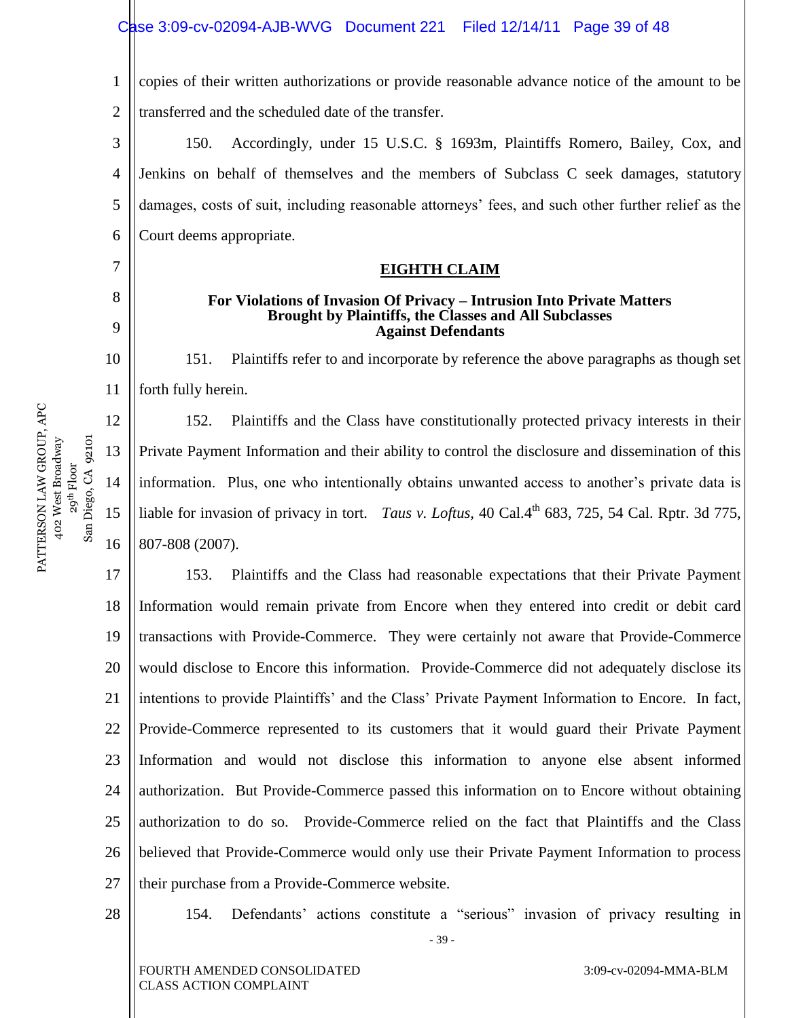1 2 copies of their written authorizations or provide reasonable advance notice of the amount to be transferred and the scheduled date of the transfer.

3 4 5 6 150. Accordingly, under 15 U.S.C. § 1693m, Plaintiffs Romero, Bailey, Cox, and Jenkins on behalf of themselves and the members of Subclass C seek damages, statutory damages, costs of suit, including reasonable attorneys' fees, and such other further relief as the Court deems appropriate.

#### **EIGHTH CLAIM**

#### **For Violations of Invasion Of Privacy – Intrusion Into Private Matters Brought by Plaintiffs, the Classes and All Subclasses Against Defendants**

151. Plaintiffs refer to and incorporate by reference the above paragraphs as though set forth fully herein.

152. Plaintiffs and the Class have constitutionally protected privacy interests in their Private Payment Information and their ability to control the disclosure and dissemination of this information. Plus, one who intentionally obtains unwanted access to another's private data is liable for invasion of privacy in tort. *Taus v. Loftus*, 40 Cal.4<sup>th</sup> 683, 725, 54 Cal. Rptr. 3d 775, 807-808 (2007).

17 18 19 20 21 22 23 24 25 26 27 153. Plaintiffs and the Class had reasonable expectations that their Private Payment Information would remain private from Encore when they entered into credit or debit card transactions with Provide-Commerce. They were certainly not aware that Provide-Commerce would disclose to Encore this information. Provide-Commerce did not adequately disclose its intentions to provide Plaintiffs' and the Class' Private Payment Information to Encore. In fact, Provide-Commerce represented to its customers that it would guard their Private Payment Information and would not disclose this information to anyone else absent informed authorization. But Provide-Commerce passed this information on to Encore without obtaining authorization to do so. Provide-Commerce relied on the fact that Plaintiffs and the Class believed that Provide-Commerce would only use their Private Payment Information to process their purchase from a Provide-Commerce website.

#### 28

- 39 - 154. Defendants' actions constitute a "serious" invasion of privacy resulting in

PATTERSON LAW GROUP, APC PATTERSON LAW GROUP, APC 402 West Broadway 29<sup>th</sup> Floor<br>Diego, CA 92101 San Diego, CA 92101 402 West Broadway  $San$ 

7

8

9

10

11

12

13

14

15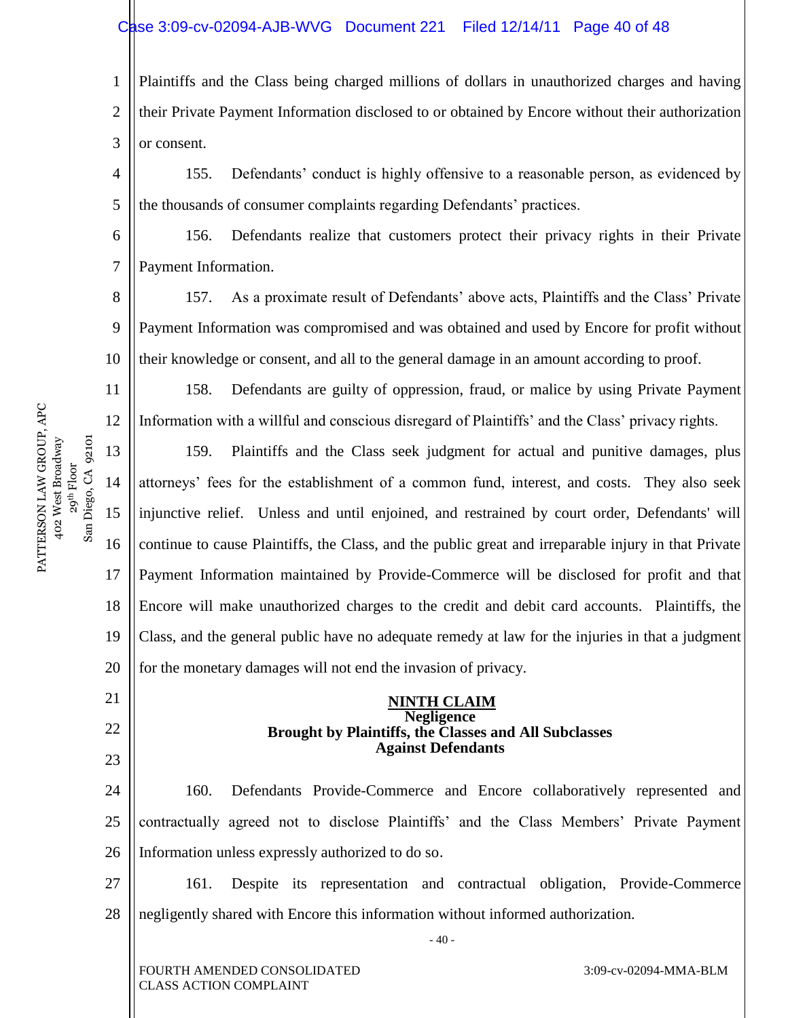# Case 3:09-cv-02094-AJB-WVG Document 221 Filed 12/14/11 Page 40 of 48

1 2 3 Plaintiffs and the Class being charged millions of dollars in unauthorized charges and having their Private Payment Information disclosed to or obtained by Encore without their authorization or consent.

4 5 155. Defendants' conduct is highly offensive to a reasonable person, as evidenced by the thousands of consumer complaints regarding Defendants' practices.

6 7 156. Defendants realize that customers protect their privacy rights in their Private Payment Information.

8 9 10 157. As a proximate result of Defendants' above acts, Plaintiffs and the Class' Private Payment Information was compromised and was obtained and used by Encore for profit without their knowledge or consent, and all to the general damage in an amount according to proof.

158. Defendants are guilty of oppression, fraud, or malice by using Private Payment Information with a willful and conscious disregard of Plaintiffs' and the Class' privacy rights.

13 14 15 16 17 18 19 20 159. Plaintiffs and the Class seek judgment for actual and punitive damages, plus attorneys' fees for the establishment of a common fund, interest, and costs. They also seek injunctive relief. Unless and until enjoined, and restrained by court order, Defendants' will continue to cause Plaintiffs, the Class, and the public great and irreparable injury in that Private Payment Information maintained by Provide-Commerce will be disclosed for profit and that Encore will make unauthorized charges to the credit and debit card accounts. Plaintiffs, the Class, and the general public have no adequate remedy at law for the injuries in that a judgment for the monetary damages will not end the invasion of privacy.

#### **NINTH CLAIM Negligence Brought by Plaintiffs, the Classes and All Subclasses Against Defendants**

24 25 26 160. Defendants Provide-Commerce and Encore collaboratively represented and contractually agreed not to disclose Plaintiffs' and the Class Members' Private Payment Information unless expressly authorized to do so.

27 28 161. Despite its representation and contractual obligation, Provide-Commerce negligently shared with Encore this information without informed authorization.

- 40 -

FOURTH AMENDED CONSOLIDATED CLASS ACTION COMPLAINT

3:09-cv-02094-MMA-BLM

PATTERSON LAW GROUP, APC PATTERSON LAW GROUP, APC 29<sup>th</sup> Floor<br>Diego, CA 92101 402 West Broadway San Diego, CA 92101 402 West Broadway  $San$ 

11

12

21

22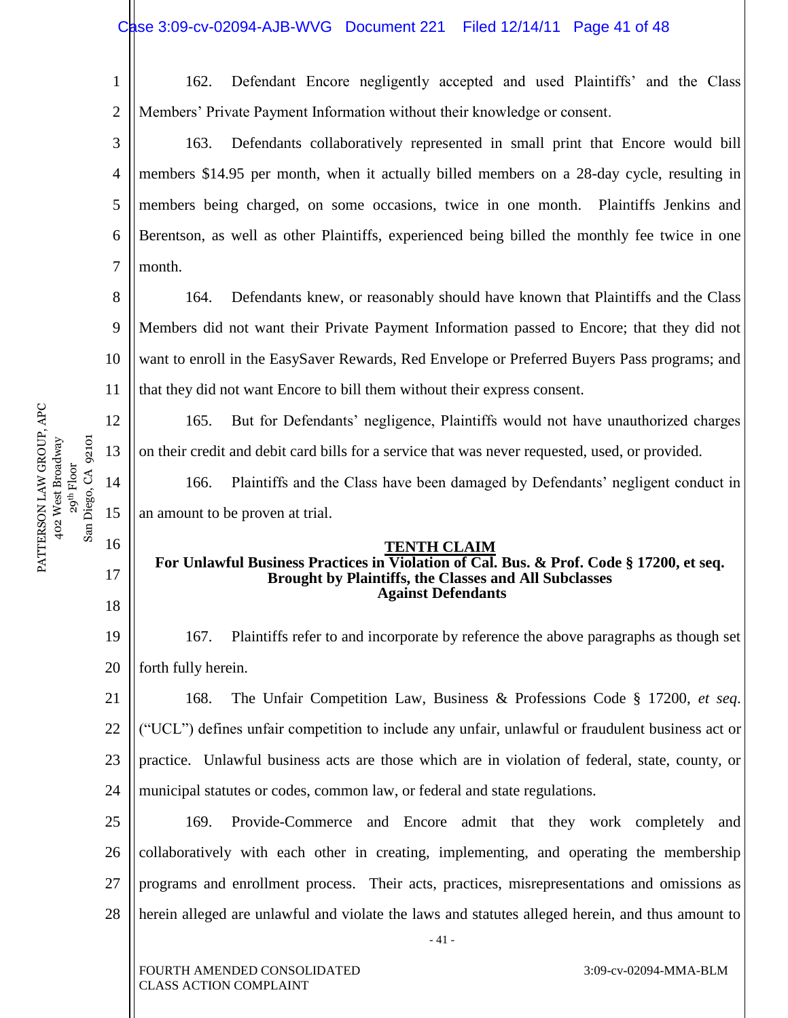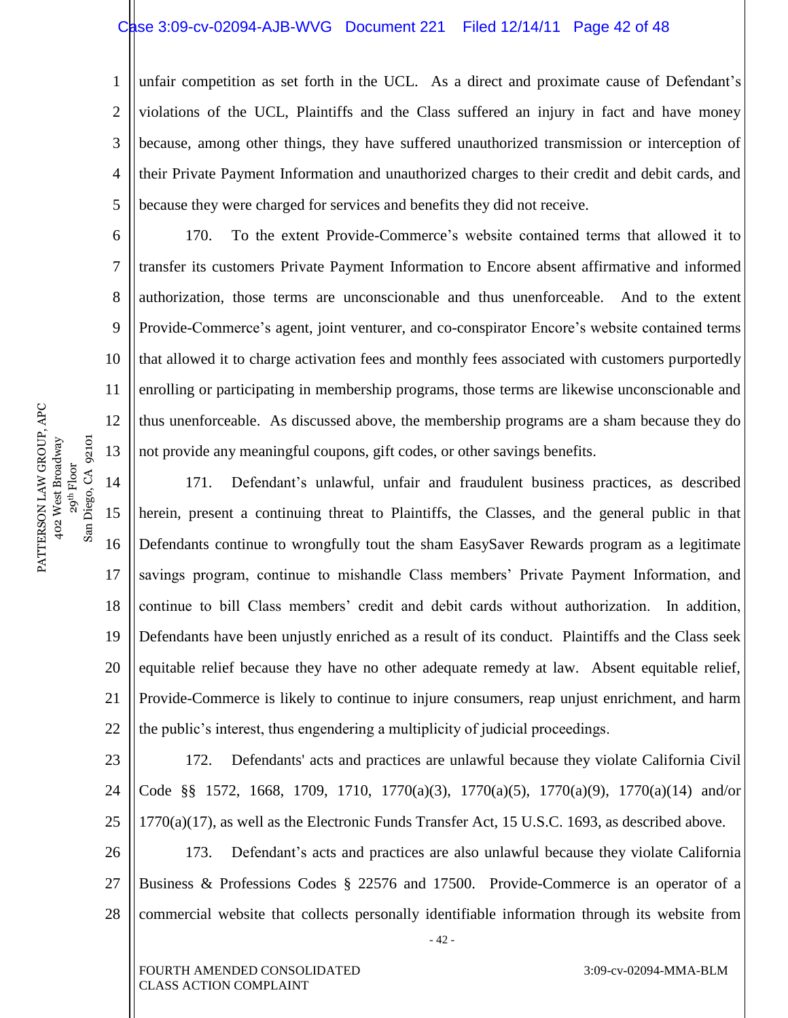#### Case 3:09-cv-02094-AJB-WVG Document 221 Filed 12/14/11 Page 42 of 48

1 2 3 4 5 unfair competition as set forth in the UCL. As a direct and proximate cause of Defendant's violations of the UCL, Plaintiffs and the Class suffered an injury in fact and have money because, among other things, they have suffered unauthorized transmission or interception of their Private Payment Information and unauthorized charges to their credit and debit cards, and because they were charged for services and benefits they did not receive.

170. To the extent Provide-Commerce's website contained terms that allowed it to transfer its customers Private Payment Information to Encore absent affirmative and informed authorization, those terms are unconscionable and thus unenforceable. And to the extent Provide-Commerce's agent, joint venturer, and co-conspirator Encore's website contained terms that allowed it to charge activation fees and monthly fees associated with customers purportedly enrolling or participating in membership programs, those terms are likewise unconscionable and thus unenforceable. As discussed above, the membership programs are a sham because they do not provide any meaningful coupons, gift codes, or other savings benefits.

14 15 16 17 18 19 20 21 22 171. Defendant's unlawful, unfair and fraudulent business practices, as described herein, present a continuing threat to Plaintiffs, the Classes, and the general public in that Defendants continue to wrongfully tout the sham EasySaver Rewards program as a legitimate savings program, continue to mishandle Class members' Private Payment Information, and continue to bill Class members' credit and debit cards without authorization. In addition, Defendants have been unjustly enriched as a result of its conduct. Plaintiffs and the Class seek equitable relief because they have no other adequate remedy at law. Absent equitable relief, Provide-Commerce is likely to continue to injure consumers, reap unjust enrichment, and harm the public's interest, thus engendering a multiplicity of judicial proceedings.

23 24 25 26 27 28 - 42 - 172. Defendants' acts and practices are unlawful because they violate California Civil Code §§ 1572, 1668, 1709, 1710, 1770(a)(3), 1770(a)(5), 1770(a)(9), 1770(a)(14) and/or 1770(a)(17), as well as the Electronic Funds Transfer Act, 15 U.S.C. 1693, as described above. 173. Defendant's acts and practices are also unlawful because they violate California Business & Professions Codes § 22576 and 17500. Provide-Commerce is an operator of a commercial website that collects personally identifiable information through its website from

6

7

8

9

10

11

12

13

FOURTH AMENDED CONSOLIDATED CLASS ACTION COMPLAINT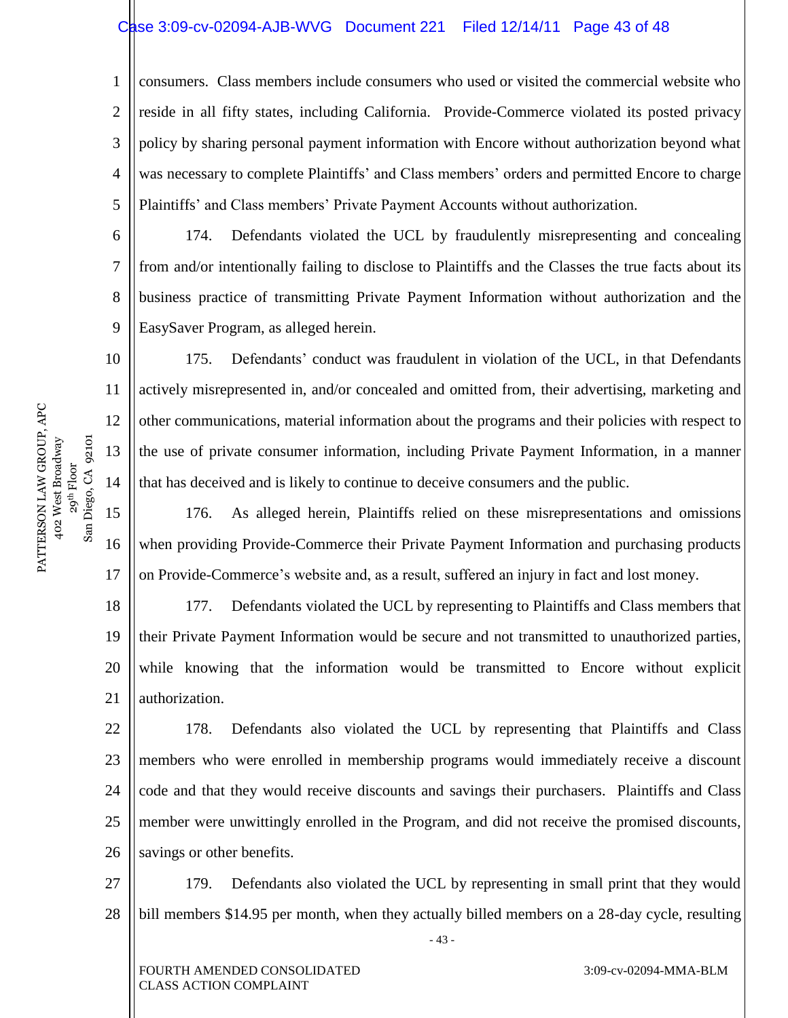#### Case 3:09-cv-02094-AJB-WVG Document 221 Filed 12/14/11 Page 43 of 48

1 2 3 4 5 consumers. Class members include consumers who used or visited the commercial website who reside in all fifty states, including California. Provide-Commerce violated its posted privacy policy by sharing personal payment information with Encore without authorization beyond what was necessary to complete Plaintiffs' and Class members' orders and permitted Encore to charge Plaintiffs' and Class members' Private Payment Accounts without authorization.

6 8 9 174. Defendants violated the UCL by fraudulently misrepresenting and concealing from and/or intentionally failing to disclose to Plaintiffs and the Classes the true facts about its business practice of transmitting Private Payment Information without authorization and the EasySaver Program, as alleged herein.

175. Defendants' conduct was fraudulent in violation of the UCL, in that Defendants actively misrepresented in, and/or concealed and omitted from, their advertising, marketing and other communications, material information about the programs and their policies with respect to the use of private consumer information, including Private Payment Information, in a manner that has deceived and is likely to continue to deceive consumers and the public.

15 16 17 176. As alleged herein, Plaintiffs relied on these misrepresentations and omissions when providing Provide-Commerce their Private Payment Information and purchasing products on Provide-Commerce's website and, as a result, suffered an injury in fact and lost money.

18 19 20 21 177. Defendants violated the UCL by representing to Plaintiffs and Class members that their Private Payment Information would be secure and not transmitted to unauthorized parties, while knowing that the information would be transmitted to Encore without explicit authorization.

22 23 24 25 26 178. Defendants also violated the UCL by representing that Plaintiffs and Class members who were enrolled in membership programs would immediately receive a discount code and that they would receive discounts and savings their purchasers. Plaintiffs and Class member were unwittingly enrolled in the Program, and did not receive the promised discounts, savings or other benefits.

27 28 179. Defendants also violated the UCL by representing in small print that they would bill members \$14.95 per month, when they actually billed members on a 28-day cycle, resulting

- 43 -

PATTERSON LAW GROUP, APC PATTERSON LAW GROUP, APC 402 West Broadway 29<sup>th</sup> Floor<br>Diego, CA 92101 San Diego, CA 92101 402 West Broadway  $S$ an

7

10

11

12

13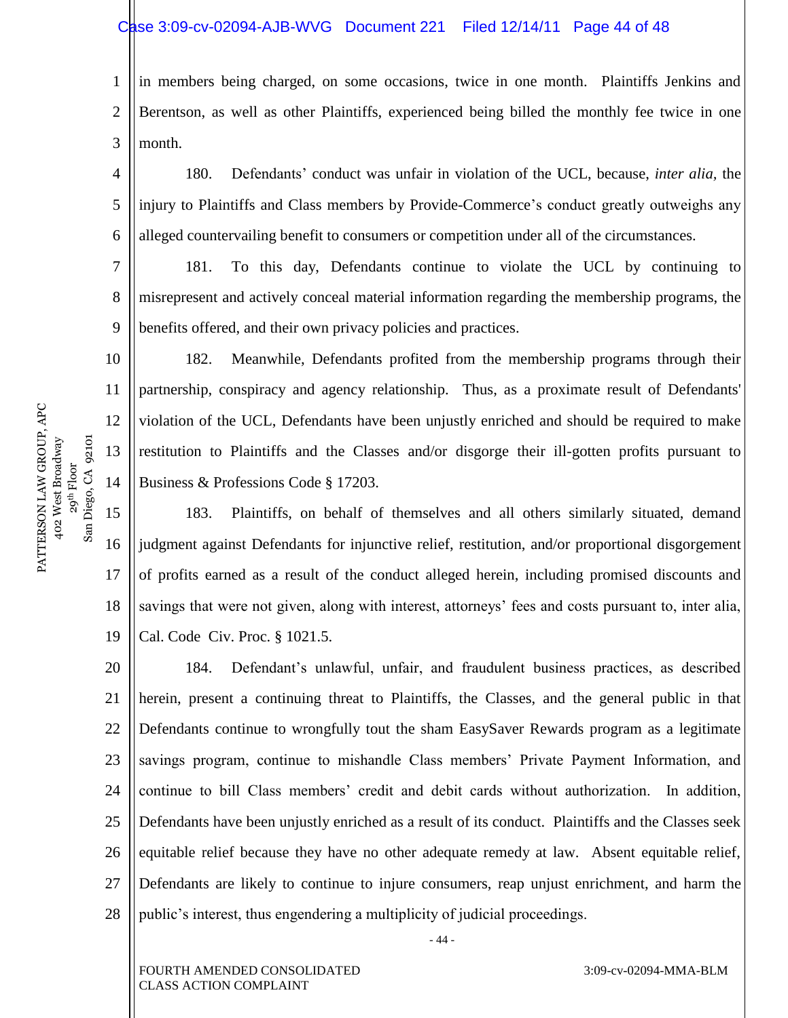#### Case 3:09-cv-02094-AJB-WVG Document 221 Filed 12/14/11 Page 44 of 48

10

11

12

13

14

1 2 3 in members being charged, on some occasions, twice in one month. Plaintiffs Jenkins and Berentson, as well as other Plaintiffs, experienced being billed the monthly fee twice in one month.

4 5 6 180. Defendants' conduct was unfair in violation of the UCL, because, *inter alia,* the injury to Plaintiffs and Class members by Provide-Commerce's conduct greatly outweighs any alleged countervailing benefit to consumers or competition under all of the circumstances.

7 8 9 181. To this day, Defendants continue to violate the UCL by continuing to misrepresent and actively conceal material information regarding the membership programs, the benefits offered, and their own privacy policies and practices.

182. Meanwhile, Defendants profited from the membership programs through their partnership, conspiracy and agency relationship. Thus, as a proximate result of Defendants' violation of the UCL, Defendants have been unjustly enriched and should be required to make restitution to Plaintiffs and the Classes and/or disgorge their ill-gotten profits pursuant to Business & Professions Code § 17203.

15 16 17 18 19 183. Plaintiffs, on behalf of themselves and all others similarly situated, demand judgment against Defendants for injunctive relief, restitution, and/or proportional disgorgement of profits earned as a result of the conduct alleged herein, including promised discounts and savings that were not given, along with interest, attorneys' fees and costs pursuant to, inter alia, Cal. Code Civ. Proc. § 1021.5.

20 21 22 23 24 25 26 27 28 184. Defendant's unlawful, unfair, and fraudulent business practices, as described herein, present a continuing threat to Plaintiffs, the Classes, and the general public in that Defendants continue to wrongfully tout the sham EasySaver Rewards program as a legitimate savings program, continue to mishandle Class members' Private Payment Information, and continue to bill Class members' credit and debit cards without authorization. In addition, Defendants have been unjustly enriched as a result of its conduct. Plaintiffs and the Classes seek equitable relief because they have no other adequate remedy at law. Absent equitable relief, Defendants are likely to continue to injure consumers, reap unjust enrichment, and harm the public's interest, thus engendering a multiplicity of judicial proceedings.

- 44 -

FOURTH AMENDED CONSOLIDATED CLASS ACTION COMPLAINT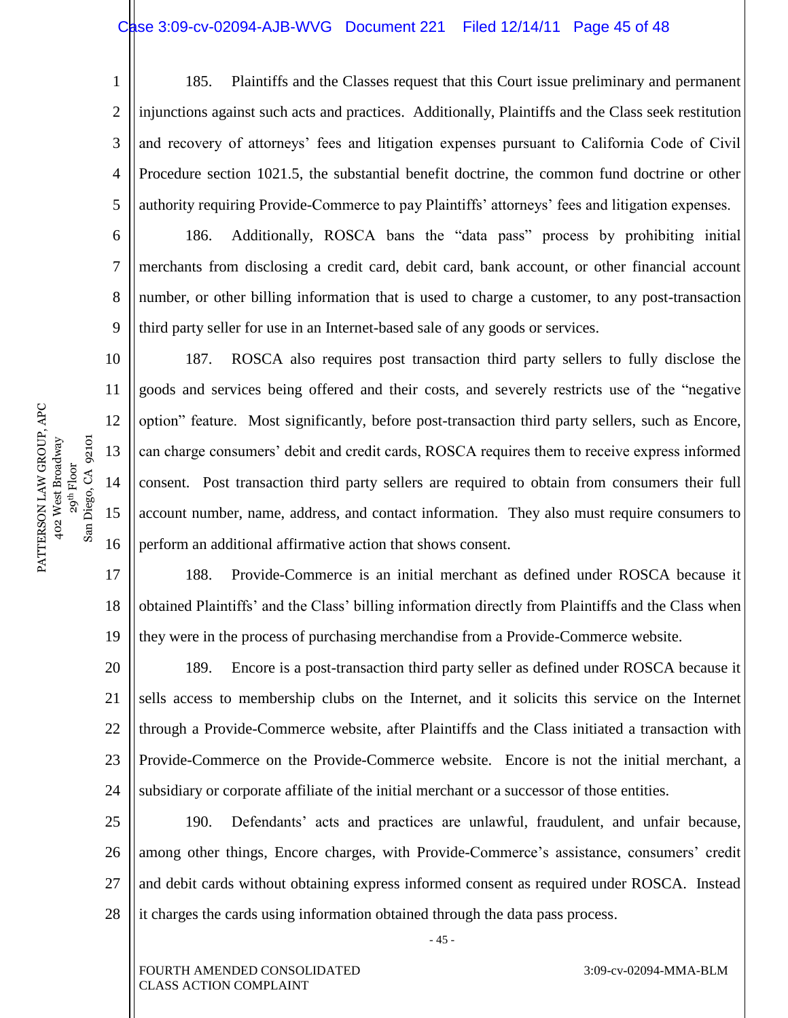### Case 3:09-cv-02094-AJB-WVG Document 221 Filed 12/14/11 Page 45 of 48

1 2 3 4 5 185. Plaintiffs and the Classes request that this Court issue preliminary and permanent injunctions against such acts and practices. Additionally, Plaintiffs and the Class seek restitution and recovery of attorneys' fees and litigation expenses pursuant to California Code of Civil Procedure section 1021.5, the substantial benefit doctrine, the common fund doctrine or other authority requiring Provide-Commerce to pay Plaintiffs' attorneys' fees and litigation expenses.

6 7 8 9 186. Additionally, ROSCA bans the "data pass" process by prohibiting initial merchants from disclosing a credit card, debit card, bank account, or other financial account number, or other billing information that is used to charge a customer, to any post-transaction third party seller for use in an Internet-based sale of any goods or services.

187. ROSCA also requires post transaction third party sellers to fully disclose the goods and services being offered and their costs, and severely restricts use of the "negative" option‖ feature. Most significantly, before post-transaction third party sellers, such as Encore, can charge consumers' debit and credit cards, ROSCA requires them to receive express informed consent. Post transaction third party sellers are required to obtain from consumers their full account number, name, address, and contact information. They also must require consumers to perform an additional affirmative action that shows consent.

17 18 19 188. Provide-Commerce is an initial merchant as defined under ROSCA because it obtained Plaintiffs' and the Class' billing information directly from Plaintiffs and the Class when they were in the process of purchasing merchandise from a Provide-Commerce website.

20 21 22 23 24 189. Encore is a post-transaction third party seller as defined under ROSCA because it sells access to membership clubs on the Internet, and it solicits this service on the Internet through a Provide-Commerce website, after Plaintiffs and the Class initiated a transaction with Provide-Commerce on the Provide-Commerce website. Encore is not the initial merchant, a subsidiary or corporate affiliate of the initial merchant or a successor of those entities.

25 26 27 28 190. Defendants' acts and practices are unlawful, fraudulent, and unfair because, among other things, Encore charges, with Provide-Commerce's assistance, consumers' credit and debit cards without obtaining express informed consent as required under ROSCA. Instead it charges the cards using information obtained through the data pass process.

- 45 -

3:09-cv-02094-MMA-BLM

PATTERSON LAW GROUP, APC PATTERSON LAW GROUP, APC 402 West Broadway 29<sup>th</sup> Floor<br>Diego, CA 92101 San Diego, CA 92101 402 West Broadway  $San$ 

10

11

12

13

14

15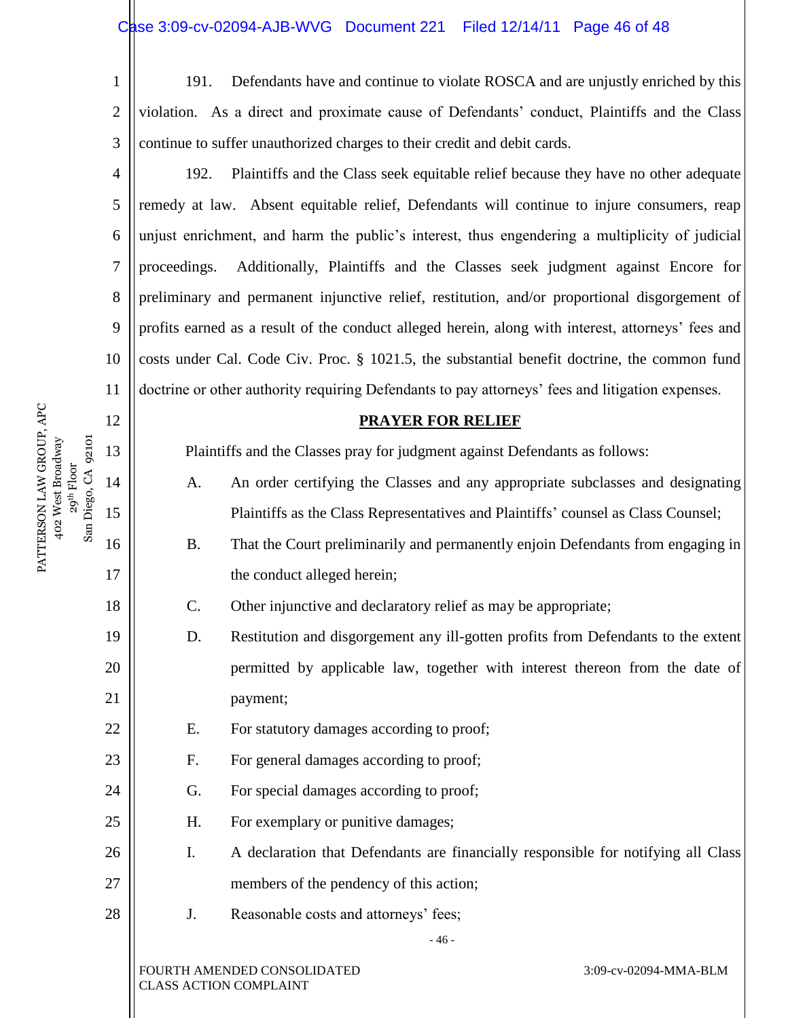2 3

12

13

14

San Diego, CA 92101

15

16

17

18

19

20

21

22

23

24

25

26

27

28

1

191. Defendants have and continue to violate ROSCA and are unjustly enriched by this violation. As a direct and proximate cause of Defendants' conduct, Plaintiffs and the Class continue to suffer unauthorized charges to their credit and debit cards.

4 5 6 7 8 9 10 11 192. Plaintiffs and the Class seek equitable relief because they have no other adequate remedy at law. Absent equitable relief, Defendants will continue to injure consumers, reap unjust enrichment, and harm the public's interest, thus engendering a multiplicity of judicial proceedings. Additionally, Plaintiffs and the Classes seek judgment against Encore for preliminary and permanent injunctive relief, restitution, and/or proportional disgorgement of profits earned as a result of the conduct alleged herein, along with interest, attorneys' fees and costs under Cal. Code Civ. Proc. § 1021.5, the substantial benefit doctrine, the common fund doctrine or other authority requiring Defendants to pay attorneys' fees and litigation expenses.

#### **PRAYER FOR RELIEF**

Plaintiffs and the Classes pray for judgment against Defendants as follows:

- A. An order certifying the Classes and any appropriate subclasses and designating Plaintiffs as the Class Representatives and Plaintiffs' counsel as Class Counsel;
- B. That the Court preliminarily and permanently enjoin Defendants from engaging in the conduct alleged herein;
- C. Other injunctive and declaratory relief as may be appropriate;
- D. Restitution and disgorgement any ill-gotten profits from Defendants to the extent permitted by applicable law, together with interest thereon from the date of payment;
- E. For statutory damages according to proof;
- F. For general damages according to proof;
- G. For special damages according to proof;
- H. For exemplary or punitive damages;
- I. A declaration that Defendants are financially responsible for notifying all Class members of the pendency of this action;

- 46 -

J. Reasonable costs and attorneys' fees;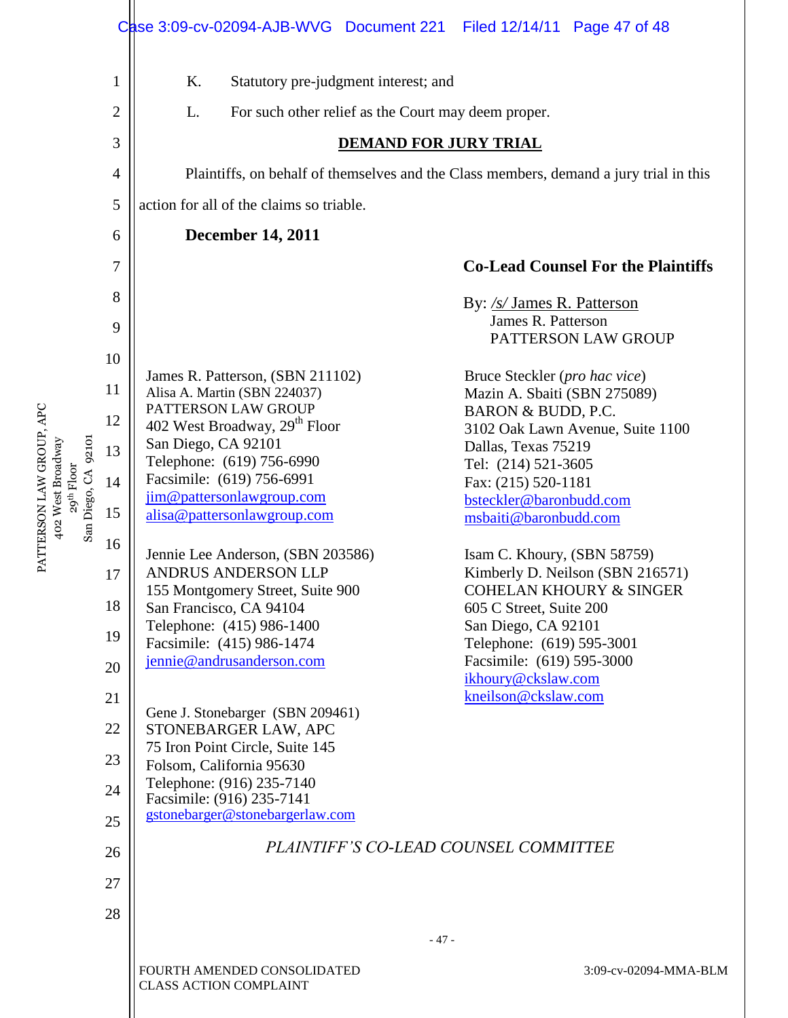|                |                                                                                        | Filed 12/14/11 Page 47 of 48                                                                                                                                                                                                                                                                                                                                                                                                              |  |  |  |  |  |  |
|----------------|----------------------------------------------------------------------------------------|-------------------------------------------------------------------------------------------------------------------------------------------------------------------------------------------------------------------------------------------------------------------------------------------------------------------------------------------------------------------------------------------------------------------------------------------|--|--|--|--|--|--|
| 1              | Κ.<br>Statutory pre-judgment interest; and                                             |                                                                                                                                                                                                                                                                                                                                                                                                                                           |  |  |  |  |  |  |
| $\overline{2}$ | L.<br>For such other relief as the Court may deem proper.                              |                                                                                                                                                                                                                                                                                                                                                                                                                                           |  |  |  |  |  |  |
| 3              | <b>DEMAND FOR JURY TRIAL</b>                                                           |                                                                                                                                                                                                                                                                                                                                                                                                                                           |  |  |  |  |  |  |
| 4              | Plaintiffs, on behalf of themselves and the Class members, demand a jury trial in this |                                                                                                                                                                                                                                                                                                                                                                                                                                           |  |  |  |  |  |  |
| 5              | action for all of the claims so triable.                                               |                                                                                                                                                                                                                                                                                                                                                                                                                                           |  |  |  |  |  |  |
| 6              | <b>December 14, 2011</b>                                                               |                                                                                                                                                                                                                                                                                                                                                                                                                                           |  |  |  |  |  |  |
| 7              |                                                                                        | <b>Co-Lead Counsel For the Plaintiffs</b>                                                                                                                                                                                                                                                                                                                                                                                                 |  |  |  |  |  |  |
| 8              |                                                                                        | By: /s/ James R. Patterson                                                                                                                                                                                                                                                                                                                                                                                                                |  |  |  |  |  |  |
| 9              |                                                                                        | James R. Patterson                                                                                                                                                                                                                                                                                                                                                                                                                        |  |  |  |  |  |  |
| 10             |                                                                                        | PATTERSON LAW GROUP                                                                                                                                                                                                                                                                                                                                                                                                                       |  |  |  |  |  |  |
|                | James R. Patterson, (SBN 211102)                                                       | Bruce Steckler (pro hac vice)<br>Mazin A. Sbaiti (SBN 275089)                                                                                                                                                                                                                                                                                                                                                                             |  |  |  |  |  |  |
|                | PATTERSON LAW GROUP                                                                    | BARON & BUDD, P.C.                                                                                                                                                                                                                                                                                                                                                                                                                        |  |  |  |  |  |  |
|                | San Diego, CA 92101                                                                    | 3102 Oak Lawn Avenue, Suite 1100<br>Dallas, Texas 75219                                                                                                                                                                                                                                                                                                                                                                                   |  |  |  |  |  |  |
|                | Telephone: (619) 756-6990                                                              | Tel: (214) 521-3605                                                                                                                                                                                                                                                                                                                                                                                                                       |  |  |  |  |  |  |
|                |                                                                                        | Fax: (215) 520-1181<br>bsteckler@baronbudd.com                                                                                                                                                                                                                                                                                                                                                                                            |  |  |  |  |  |  |
| 15             | alisa@pattersonlawgroup.com                                                            | msbaiti@baronbudd.com                                                                                                                                                                                                                                                                                                                                                                                                                     |  |  |  |  |  |  |
| 16             |                                                                                        | Isam C. Khoury, (SBN 58759)                                                                                                                                                                                                                                                                                                                                                                                                               |  |  |  |  |  |  |
| 17             | ANDRUS ANDERSON LLP                                                                    | Kimberly D. Neilson (SBN 216571)                                                                                                                                                                                                                                                                                                                                                                                                          |  |  |  |  |  |  |
| 18             |                                                                                        | <b>COHELAN KHOURY &amp; SINGER</b><br>605 C Street, Suite 200                                                                                                                                                                                                                                                                                                                                                                             |  |  |  |  |  |  |
|                | Telephone: (415) 986-1400                                                              | San Diego, CA 92101                                                                                                                                                                                                                                                                                                                                                                                                                       |  |  |  |  |  |  |
|                |                                                                                        | Telephone: (619) 595-3001<br>Facsimile: (619) 595-3000                                                                                                                                                                                                                                                                                                                                                                                    |  |  |  |  |  |  |
|                |                                                                                        | ikhoury@ckslaw.com                                                                                                                                                                                                                                                                                                                                                                                                                        |  |  |  |  |  |  |
|                | Gene J. Stonebarger (SBN 209461)                                                       | kneilson@ckslaw.com                                                                                                                                                                                                                                                                                                                                                                                                                       |  |  |  |  |  |  |
| 22             | STONEBARGER LAW, APC                                                                   |                                                                                                                                                                                                                                                                                                                                                                                                                                           |  |  |  |  |  |  |
| 23             | Folsom, California 95630                                                               |                                                                                                                                                                                                                                                                                                                                                                                                                                           |  |  |  |  |  |  |
| 24             |                                                                                        |                                                                                                                                                                                                                                                                                                                                                                                                                                           |  |  |  |  |  |  |
| 25             | gstonebarger@stonebargerlaw.com                                                        |                                                                                                                                                                                                                                                                                                                                                                                                                                           |  |  |  |  |  |  |
| 26             | PLAINTIFF'S CO-LEAD COUNSEL COMMITTEE                                                  |                                                                                                                                                                                                                                                                                                                                                                                                                                           |  |  |  |  |  |  |
| 27             |                                                                                        |                                                                                                                                                                                                                                                                                                                                                                                                                                           |  |  |  |  |  |  |
|                |                                                                                        |                                                                                                                                                                                                                                                                                                                                                                                                                                           |  |  |  |  |  |  |
|                | $-47-$                                                                                 |                                                                                                                                                                                                                                                                                                                                                                                                                                           |  |  |  |  |  |  |
|                | FOURTH AMENDED CONSOLIDATED<br>3:09-cv-02094-MMA-BLM<br><b>CLASS ACTION COMPLAINT</b>  |                                                                                                                                                                                                                                                                                                                                                                                                                                           |  |  |  |  |  |  |
|                | 11<br>12<br>13<br>14<br>19<br>20<br>21<br>28                                           | Case 3:09-cv-02094-AJB-WVG Document 221<br>Alisa A. Martin (SBN 224037)<br>402 West Broadway, 29 <sup>th</sup> Floor<br>Facsimile: (619) 756-6991<br>jim@pattersonlawgroup.com<br>Jennie Lee Anderson, (SBN 203586)<br>155 Montgomery Street, Suite 900<br>San Francisco, CA 94104<br>Facsimile: (415) 986-1474<br>jennie@andrusanderson.com<br>75 Iron Point Circle, Suite 145<br>Telephone: (916) 235-7140<br>Facsimile: (916) 235-7141 |  |  |  |  |  |  |